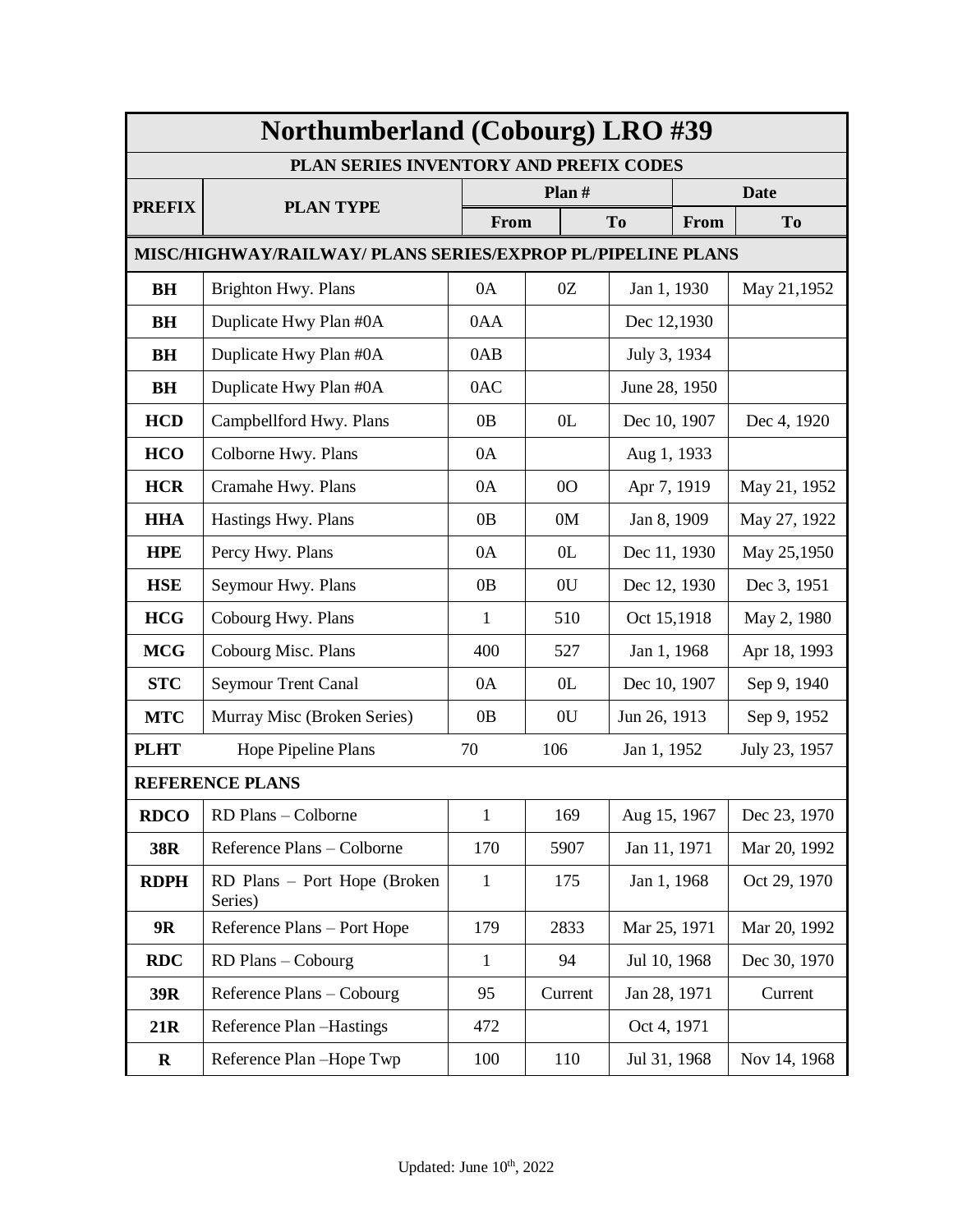| <b>Northumberland (Cobourg) LRO #39</b> |                                                             |              |                |                        |  |                |  |
|-----------------------------------------|-------------------------------------------------------------|--------------|----------------|------------------------|--|----------------|--|
|                                         | PLAN SERIES INVENTORY AND PREFIX CODES                      |              |                |                        |  |                |  |
| <b>PREFIX</b>                           | <b>PLAN TYPE</b>                                            |              | Plan $#$       |                        |  | <b>Date</b>    |  |
|                                         |                                                             | From         |                | T <sub>o</sub><br>From |  | T <sub>o</sub> |  |
|                                         | MISC/HIGHWAY/RAILWAY/ PLANS SERIES/EXPROP PL/PIPELINE PLANS |              |                |                        |  |                |  |
| BH                                      | Brighton Hwy. Plans                                         | 0A           | 0Z             | Jan 1, 1930            |  | May 21,1952    |  |
| BH                                      | Duplicate Hwy Plan #0A                                      | 0AA          |                | Dec 12,1930            |  |                |  |
| BH                                      | Duplicate Hwy Plan #0A                                      | 0AB          |                | July 3, 1934           |  |                |  |
| <b>BH</b>                               | Duplicate Hwy Plan #0A                                      | 0AC          |                | June 28, 1950          |  |                |  |
| <b>HCD</b>                              | Campbellford Hwy. Plans                                     | 0B           | 0 <sub>L</sub> | Dec 10, 1907           |  | Dec 4, 1920    |  |
| <b>HCO</b>                              | Colborne Hwy. Plans                                         | 0A           |                | Aug 1, 1933            |  |                |  |
| <b>HCR</b>                              | Cramahe Hwy. Plans                                          | 0A           | 0 <sub>O</sub> | Apr 7, 1919            |  | May 21, 1952   |  |
| <b>HHA</b>                              | Hastings Hwy. Plans                                         | 0B           | 0M             | Jan 8, 1909            |  | May 27, 1922   |  |
| <b>HPE</b>                              | Percy Hwy. Plans                                            | 0A           | 0 <sub>L</sub> | Dec 11, 1930           |  | May 25,1950    |  |
| <b>HSE</b>                              | Seymour Hwy. Plans                                          | 0B           | 0U             | Dec 12, 1930           |  | Dec 3, 1951    |  |
| <b>HCG</b>                              | Cobourg Hwy. Plans                                          | $\mathbf{1}$ | 510            | Oct 15,1918            |  | May 2, 1980    |  |
| <b>MCG</b>                              | Cobourg Misc. Plans                                         | 400          | 527            | Jan 1, 1968            |  | Apr 18, 1993   |  |
| <b>STC</b>                              | Seymour Trent Canal                                         | 0A           | 0 <sub>L</sub> | Dec 10, 1907           |  | Sep 9, 1940    |  |
| <b>MTC</b>                              | Murray Misc (Broken Series)                                 | 0B           | 0U             | Jun 26, 1913           |  | Sep 9, 1952    |  |
| <b>PLHT</b>                             | Hope Pipeline Plans                                         | 70           | 106            | Jan 1, 1952            |  | July 23, 1957  |  |
|                                         | <b>REFERENCE PLANS</b>                                      |              |                |                        |  |                |  |
| <b>RDCO</b>                             | RD Plans - Colborne                                         | 1            | 169            | Aug 15, 1967           |  | Dec 23, 1970   |  |
| 38R                                     | Reference Plans - Colborne                                  | 170          | 5907           | Jan 11, 1971           |  | Mar 20, 1992   |  |
| <b>RDPH</b>                             | RD Plans – Port Hope (Broken<br>Series)                     | 1            | 175            | Jan 1, 1968            |  | Oct 29, 1970   |  |
| 9R                                      | Reference Plans - Port Hope                                 | 179          | 2833           | Mar 25, 1971           |  | Mar 20, 1992   |  |
| <b>RDC</b>                              | RD Plans - Cobourg                                          | 1            | 94             | Jul 10, 1968           |  | Dec 30, 1970   |  |
| 39R                                     | Reference Plans - Cobourg                                   | 95           | Current        | Jan 28, 1971           |  | Current        |  |
| 21R                                     | Reference Plan -Hastings                                    | 472          |                | Oct 4, 1971            |  |                |  |
| $\mathbf R$                             | Reference Plan-Hope Twp                                     | 100          | 110            | Jul 31, 1968           |  | Nov 14, 1968   |  |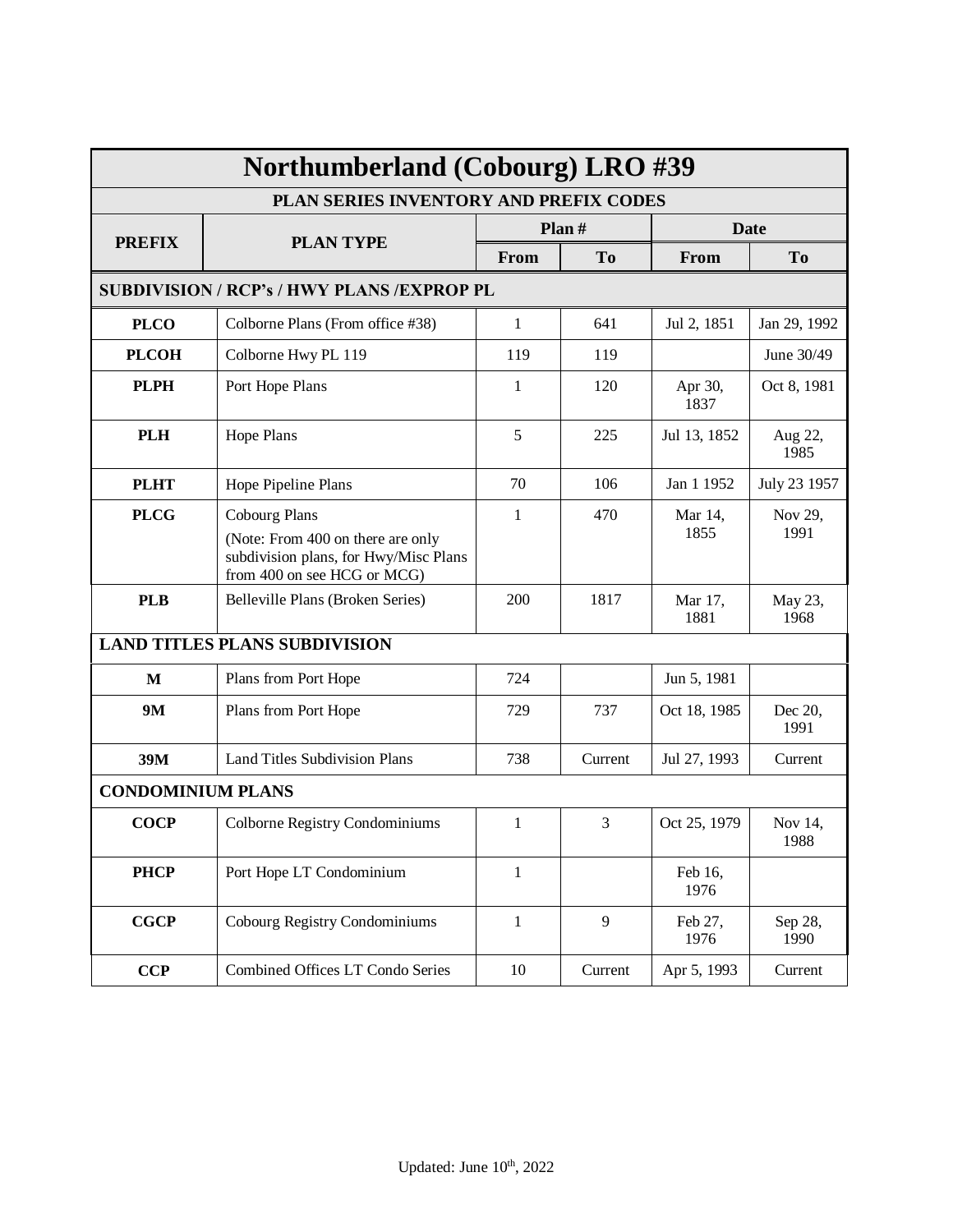| Northumberland (Cobourg) LRO #39                                                                                                                 |                                                   |              |                |                 |                 |  |  |
|--------------------------------------------------------------------------------------------------------------------------------------------------|---------------------------------------------------|--------------|----------------|-----------------|-----------------|--|--|
| PLAN SERIES INVENTORY AND PREFIX CODES                                                                                                           |                                                   |              |                |                 |                 |  |  |
| <b>PREFIX</b>                                                                                                                                    | <b>PLAN TYPE</b>                                  |              | Plan $#$       | <b>Date</b>     |                 |  |  |
|                                                                                                                                                  |                                                   | From         | T <sub>o</sub> | From            | T <sub>o</sub>  |  |  |
|                                                                                                                                                  | <b>SUBDIVISION / RCP's / HWY PLANS /EXPROP PL</b> |              |                |                 |                 |  |  |
| <b>PLCO</b>                                                                                                                                      | Colborne Plans (From office #38)                  | 1            | 641            | Jul 2, 1851     | Jan 29, 1992    |  |  |
| <b>PLCOH</b><br>Colborne Hwy PL 119                                                                                                              |                                                   | 119          | 119            |                 | June 30/49      |  |  |
| <b>PLPH</b><br>Port Hope Plans                                                                                                                   |                                                   | $\mathbf{1}$ | 120            | Apr 30,<br>1837 | Oct 8, 1981     |  |  |
| <b>PLH</b><br>Hope Plans                                                                                                                         |                                                   | 5            | 225            | Jul 13, 1852    | Aug 22,<br>1985 |  |  |
| <b>PLHT</b>                                                                                                                                      | Hope Pipeline Plans                               | 70           | 106            | Jan 1 1952      | July 23 1957    |  |  |
| <b>PLCG</b><br><b>Cobourg Plans</b><br>(Note: From 400 on there are only<br>subdivision plans, for Hwy/Misc Plans<br>from 400 on see HCG or MCG) |                                                   | $\mathbf{1}$ | 470            | Mar 14,<br>1855 | Nov 29,<br>1991 |  |  |
| <b>PLB</b><br>Belleville Plans (Broken Series)                                                                                                   |                                                   | 200          | 1817           | Mar 17,<br>1881 | May 23,<br>1968 |  |  |
|                                                                                                                                                  | <b>LAND TITLES PLANS SUBDIVISION</b>              |              |                |                 |                 |  |  |
| M                                                                                                                                                | Plans from Port Hope                              | 724          |                | Jun 5, 1981     |                 |  |  |
| <b>9M</b>                                                                                                                                        | Plans from Port Hope                              | 729          | 737            | Oct 18, 1985    | Dec 20,<br>1991 |  |  |
| 39M                                                                                                                                              | <b>Land Titles Subdivision Plans</b>              | 738          | Current        | Jul 27, 1993    | Current         |  |  |
| <b>CONDOMINIUM PLANS</b>                                                                                                                         |                                                   |              |                |                 |                 |  |  |
| <b>COCP</b>                                                                                                                                      | Colborne Registry Condominiums                    | 1            | 3              | Oct 25, 1979    | Nov 14,<br>1988 |  |  |
| <b>PHCP</b>                                                                                                                                      | Port Hope LT Condominium                          | $\mathbf{1}$ |                | Feb 16,<br>1976 |                 |  |  |
| <b>CGCP</b>                                                                                                                                      | Cobourg Registry Condominiums                     | $\mathbf{1}$ | 9              | Feb 27,<br>1976 | Sep 28,<br>1990 |  |  |
| CCP                                                                                                                                              | Combined Offices LT Condo Series                  | 10           | Current        | Apr 5, 1993     | Current         |  |  |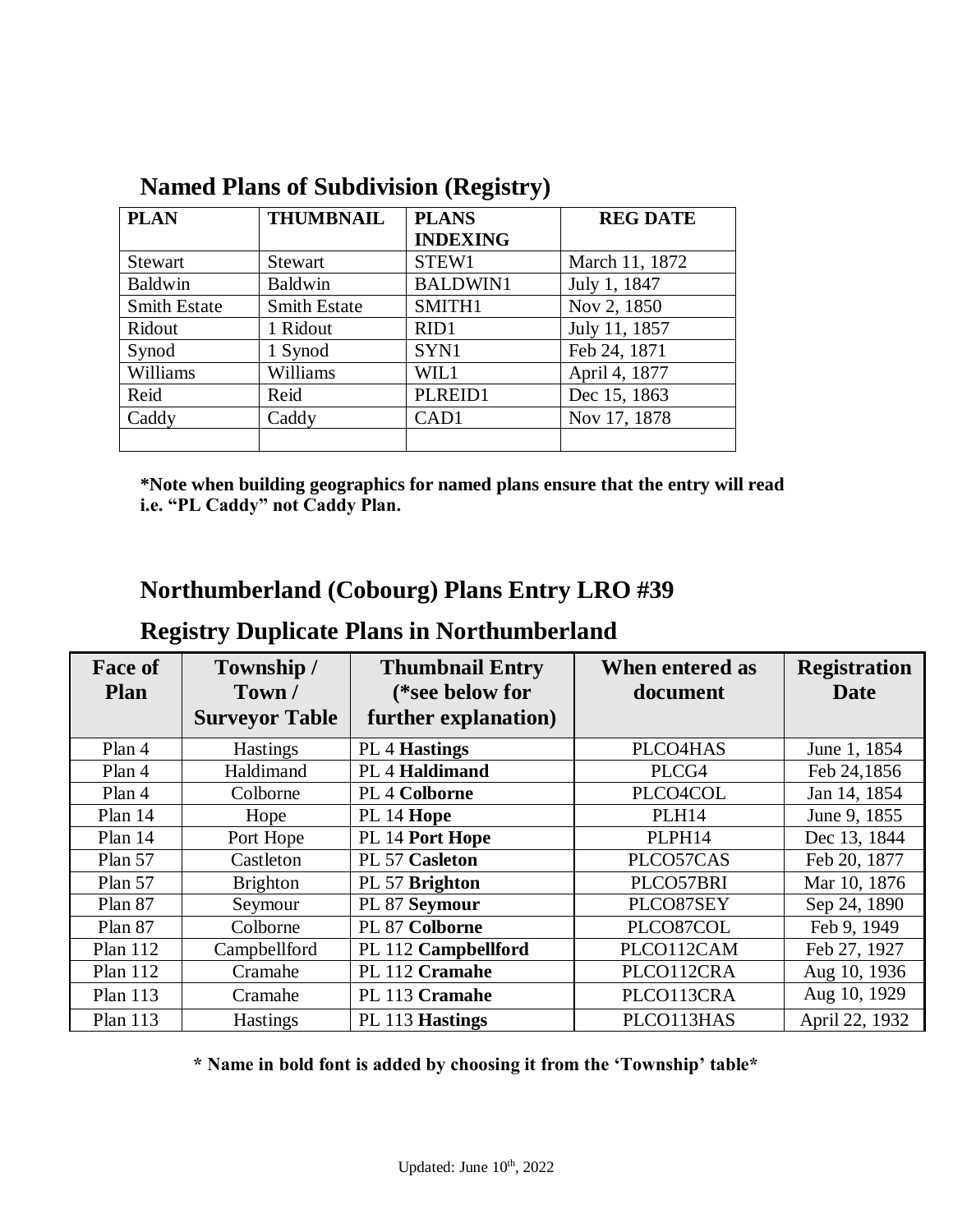| <b>PLAN</b>         | <b>THUMBNAIL</b>    | <b>PLANS</b>     | <b>REG DATE</b> |
|---------------------|---------------------|------------------|-----------------|
|                     |                     | <b>INDEXING</b>  |                 |
| <b>Stewart</b>      | <b>Stewart</b>      | STEW1            | March 11, 1872  |
| <b>Baldwin</b>      | Baldwin             | <b>BALDWIN1</b>  | July 1, 1847    |
| <b>Smith Estate</b> | <b>Smith Estate</b> | SMITH1           | Nov 2, 1850     |
| Ridout              | 1 Ridout            | RID <sub>1</sub> | July 11, 1857   |
| Synod               | 1 Synod             | SYN1             | Feb 24, 1871    |
| Williams            | Williams            | WIL1             | April 4, 1877   |
| Reid                | Reid                | PLREID1          | Dec 15, 1863    |
| Caddy               | Caddy               | CAD1             | Nov 17, 1878    |
|                     |                     |                  |                 |

## **Named Plans of Subdivision (Registry)**

**\*Note when building geographics for named plans ensure that the entry will read i.e. "PL Caddy" not Caddy Plan.**

## **Northumberland (Cobourg) Plans Entry LRO #39**

## **Registry Duplicate Plans in Northumberland**

| <b>Face of</b><br><b>Plan</b> | Township /<br>Town/   | <b>Thumbnail Entry</b>                  | When entered as | <b>Registration</b> |
|-------------------------------|-----------------------|-----------------------------------------|-----------------|---------------------|
|                               | <b>Surveyor Table</b> | (*see below for<br>further explanation) | document        | Date                |
| Plan 4                        | <b>Hastings</b>       | <b>PL 4 Hastings</b>                    | PLCO4HAS        | June 1, 1854        |
| Plan 4                        | Haldimand             | PL 4 Haldimand                          | PLCG4           | Feb 24,1856         |
| Plan 4                        | Colborne              | <b>PL 4 Colborne</b>                    | PLCO4COL        | Jan 14, 1854        |
| Plan 14                       | Hope                  | PL 14 Hope                              | <b>PLH14</b>    | June 9, 1855        |
| Plan 14                       | Port Hope             | PL 14 Port Hope                         | PLPH14          | Dec 13, 1844        |
| Plan 57                       | Castleton             | PL 57 Casleton                          | PLCO57CAS       | Feb 20, 1877        |
| Plan 57                       | <b>Brighton</b>       | PL 57 Brighton                          | PLCO57BRI       | Mar 10, 1876        |
| Plan 87                       | Seymour               | PL 87 Seymour                           | PLCO87SEY       | Sep 24, 1890        |
| Plan 87                       | Colborne              | PL 87 Colborne                          | PLCO87COL       | Feb 9, 1949         |
| <b>Plan 112</b>               | Campbellford          | PL 112 Campbellford                     | PLCO112CAM      | Feb 27, 1927        |
| <b>Plan 112</b>               | Cramahe               | PL 112 Cramahe                          | PLCO112CRA      | Aug 10, 1936        |
| <b>Plan 113</b>               | Cramahe               | PL 113 Cramahe                          | PLCO113CRA      | Aug 10, 1929        |
| <b>Plan 113</b>               | <b>Hastings</b>       | PL 113 Hastings                         | PLCO113HAS      | April 22, 1932      |

**\* Name in bold font is added by choosing it from the 'Township' table\***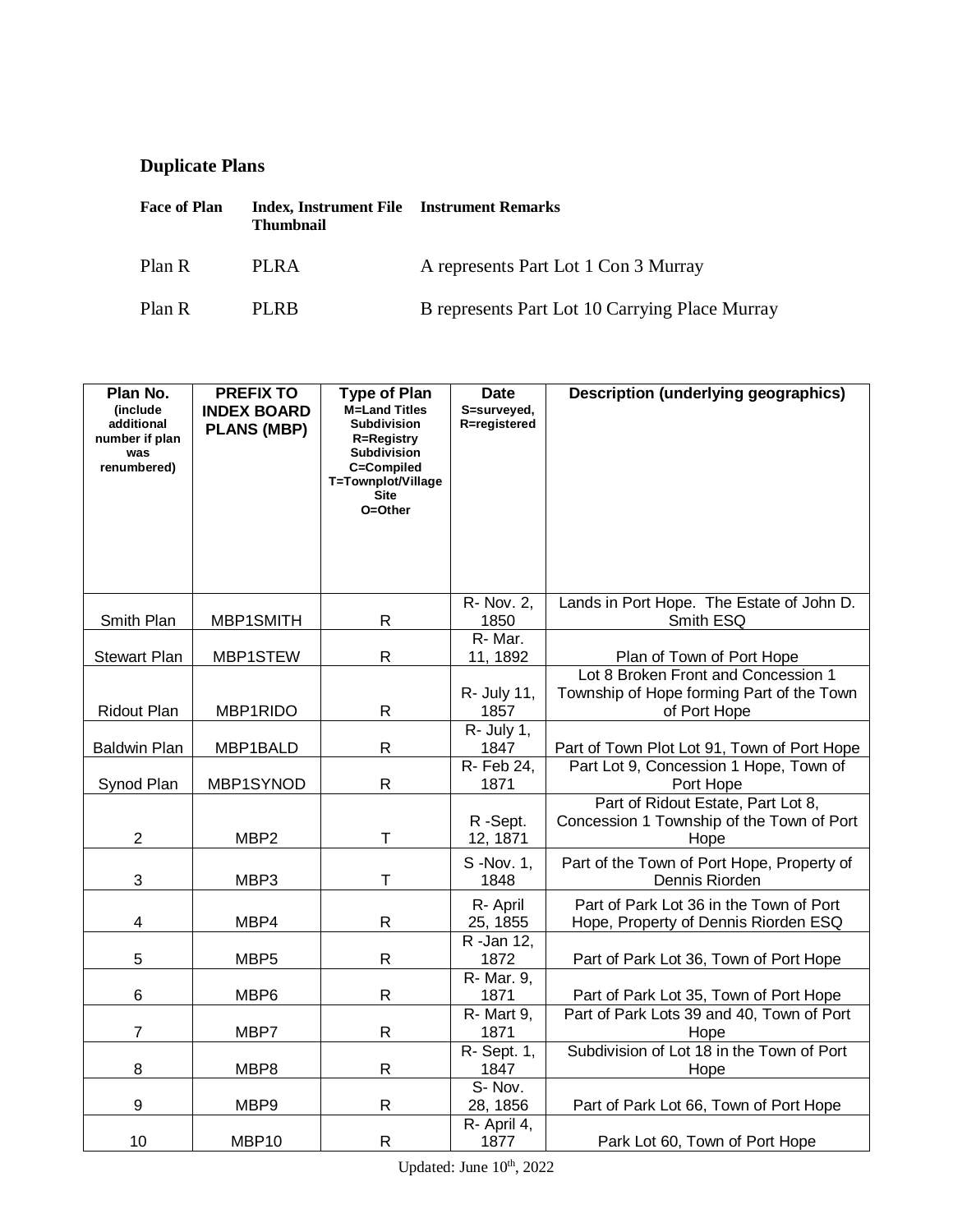## **Duplicate Plans**

| <b>Face of Plan</b> | <b>Index, Instrument File</b> Instrument Remarks<br><b>Thumbnail</b> |                                                |
|---------------------|----------------------------------------------------------------------|------------------------------------------------|
| Plan R              | PLRA                                                                 | A represents Part Lot 1 Con 3 Murray           |
| Plan R              | <b>PLRB</b>                                                          | B represents Part Lot 10 Carrying Place Murray |

| Plan No.<br><i>(include)</i><br>additional<br>number if plan<br>was<br>renumbered) | <b>PREFIX TO</b><br><b>INDEX BOARD</b><br><b>PLANS (MBP)</b> | <b>Type of Plan</b><br><b>M=Land Titles</b><br><b>Subdivision</b><br><b>R=Registry</b><br><b>Subdivision</b><br>C=Compiled<br>T=Townplot/Village<br><b>Site</b><br>O=Other | <b>Date</b><br>S=surveyed,<br>R=registered | <b>Description (underlying geographics)</b>                                                      |
|------------------------------------------------------------------------------------|--------------------------------------------------------------|----------------------------------------------------------------------------------------------------------------------------------------------------------------------------|--------------------------------------------|--------------------------------------------------------------------------------------------------|
| Smith Plan                                                                         | MBP1SMITH                                                    | R                                                                                                                                                                          | R- Nov. 2,<br>1850                         | Lands in Port Hope. The Estate of John D.<br>Smith ESQ                                           |
| <b>Stewart Plan</b>                                                                | MBP1STEW                                                     | $\mathsf R$                                                                                                                                                                | R-Mar.<br>11, 1892                         | Plan of Town of Port Hope                                                                        |
| Ridout Plan                                                                        | MBP1RIDO                                                     | R                                                                                                                                                                          | R- July 11,<br>1857                        | Lot 8 Broken Front and Concession 1<br>Township of Hope forming Part of the Town<br>of Port Hope |
| <b>Baldwin Plan</b>                                                                | MBP1BALD                                                     | R                                                                                                                                                                          | $R - July 1,$<br>1847                      | Part of Town Plot Lot 91, Town of Port Hope                                                      |
| Synod Plan                                                                         | MBP1SYNOD                                                    | R                                                                                                                                                                          | R- Feb 24,<br>1871                         | Part Lot 9, Concession 1 Hope, Town of<br>Port Hope                                              |
| $\overline{2}$                                                                     | MBP <sub>2</sub>                                             | T                                                                                                                                                                          | R-Sept.<br>12, 1871                        | Part of Ridout Estate, Part Lot 8,<br>Concession 1 Township of the Town of Port<br>Hope          |
| $\ensuremath{\mathsf{3}}$                                                          | MBP3                                                         | $\mathsf T$                                                                                                                                                                | S -Nov. 1,<br>1848                         | Part of the Town of Port Hope, Property of<br>Dennis Riorden                                     |
| $\overline{\mathbf{4}}$                                                            | MBP4                                                         | R                                                                                                                                                                          | R- April<br>25, 1855                       | Part of Park Lot 36 in the Town of Port<br>Hope, Property of Dennis Riorden ESQ                  |
| 5                                                                                  | MBP <sub>5</sub>                                             | R                                                                                                                                                                          | R -Jan 12,<br>1872                         | Part of Park Lot 36, Town of Port Hope                                                           |
| 6                                                                                  | MBP6                                                         | R                                                                                                                                                                          | R- Mar. 9,<br>1871                         | Part of Park Lot 35, Town of Port Hope                                                           |
| $\overline{7}$                                                                     | MBP7                                                         | R                                                                                                                                                                          | R-Mart 9,<br>1871                          | Part of Park Lots 39 and 40, Town of Port<br>Hope                                                |
| 8                                                                                  | MBP8                                                         | R                                                                                                                                                                          | R- Sept. 1,<br>1847                        | Subdivision of Lot 18 in the Town of Port<br>Hope                                                |
| $\boldsymbol{9}$                                                                   | MBP9                                                         | $\mathsf{R}$                                                                                                                                                               | S-Nov.<br>28, 1856                         | Part of Park Lot 66, Town of Port Hope                                                           |
| 10                                                                                 | MBP10                                                        | ${\sf R}$                                                                                                                                                                  | R- April 4,<br>1877                        | Park Lot 60, Town of Port Hope                                                                   |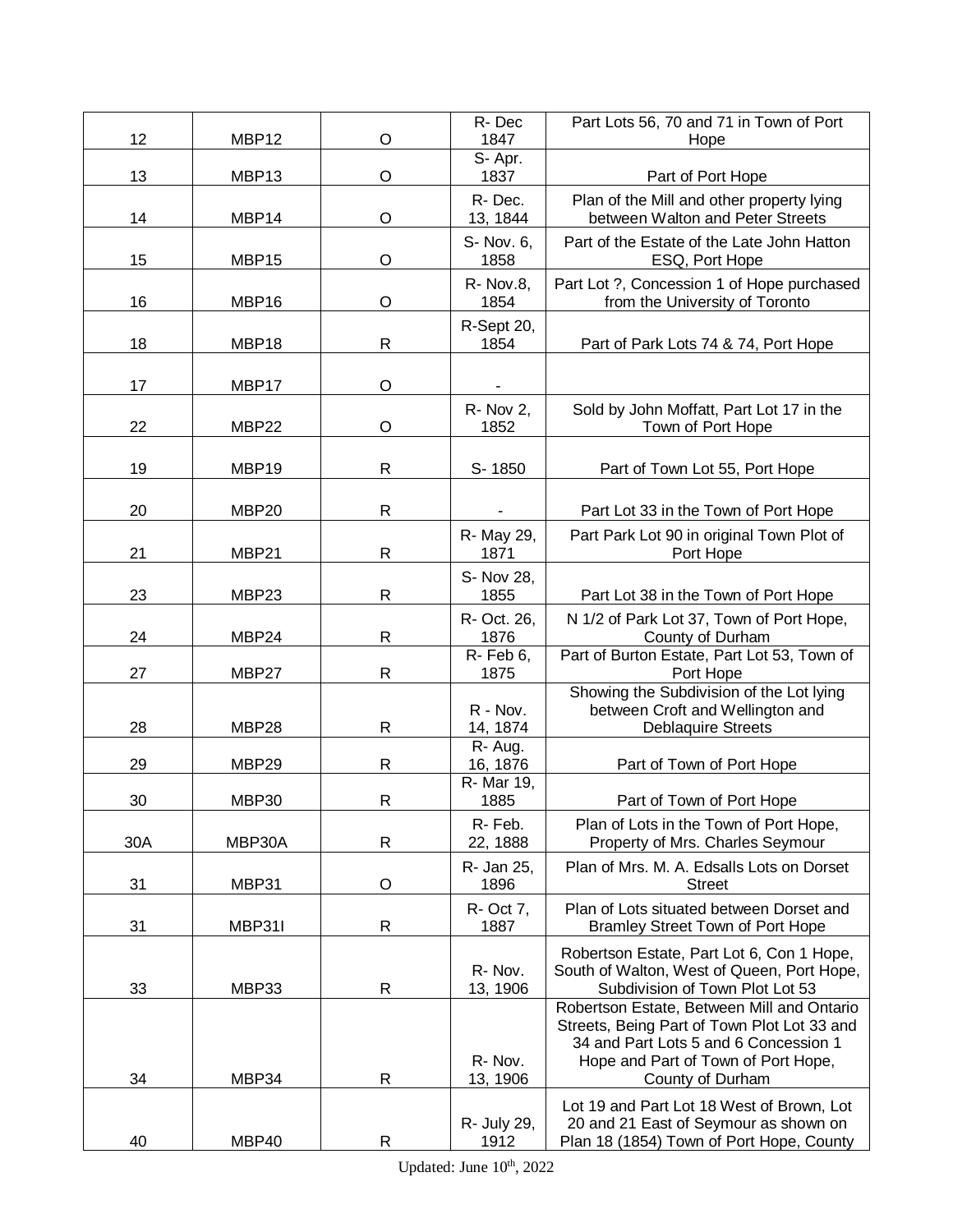|     |        |              | R-Dec                   | Part Lots 56, 70 and 71 in Town of Port                                                                                                                                                       |
|-----|--------|--------------|-------------------------|-----------------------------------------------------------------------------------------------------------------------------------------------------------------------------------------------|
| 12  | MBP12  | O            | 1847                    | Hope                                                                                                                                                                                          |
| 13  | MBP13  | O            | S-Apr.<br>1837          | Part of Port Hope                                                                                                                                                                             |
| 14  | MBP14  | O            | R-Dec.<br>13, 1844      | Plan of the Mill and other property lying<br>between Walton and Peter Streets                                                                                                                 |
| 15  | MBP15  | O            | S- Nov. 6,<br>1858      | Part of the Estate of the Late John Hatton<br>ESQ, Port Hope                                                                                                                                  |
| 16  | MBP16  | O            | R- Nov.8,<br>1854       | Part Lot ?, Concession 1 of Hope purchased<br>from the University of Toronto                                                                                                                  |
| 18  | MBP18  | R            | R-Sept 20,<br>1854      | Part of Park Lots 74 & 74, Port Hope                                                                                                                                                          |
| 17  | MBP17  | O            |                         |                                                                                                                                                                                               |
| 22  | MBP22  | O            | <b>R-Nov 2,</b><br>1852 | Sold by John Moffatt, Part Lot 17 in the<br>Town of Port Hope                                                                                                                                 |
| 19  | MBP19  | R            | S-1850                  | Part of Town Lot 55, Port Hope                                                                                                                                                                |
| 20  | MBP20  | $\mathsf{R}$ |                         | Part Lot 33 in the Town of Port Hope                                                                                                                                                          |
|     |        |              | R- May 29,              | Part Park Lot 90 in original Town Plot of                                                                                                                                                     |
| 21  | MBP21  | $\mathsf{R}$ | 1871                    | Port Hope                                                                                                                                                                                     |
| 23  | MBP23  | $\mathsf{R}$ | S- Nov 28,<br>1855      | Part Lot 38 in the Town of Port Hope                                                                                                                                                          |
| 24  | MBP24  | R            | R- Oct. 26,<br>1876     | N 1/2 of Park Lot 37, Town of Port Hope,<br>County of Durham                                                                                                                                  |
| 27  | MBP27  | R            | R-Feb 6,<br>1875        | Part of Burton Estate, Part Lot 53, Town of<br>Port Hope                                                                                                                                      |
| 28  | MBP28  | R            | R - Nov.<br>14, 1874    | Showing the Subdivision of the Lot lying<br>between Croft and Wellington and<br><b>Deblaquire Streets</b>                                                                                     |
| 29  | MBP29  | $\mathsf{R}$ | R-Aug.<br>16, 1876      | Part of Town of Port Hope                                                                                                                                                                     |
| 30  | MBP30  | R            | R- Mar 19,<br>1885      | Part of Town of Port Hope                                                                                                                                                                     |
| 30A | MBP30A | ${\sf R}$    | R-Feb.<br>22, 1888      | Plan of Lots in the Town of Port Hope,<br>Property of Mrs. Charles Seymour                                                                                                                    |
| 31  | MBP31  | O            | R- Jan 25,<br>1896      | Plan of Mrs. M. A. Edsalls Lots on Dorset<br><b>Street</b>                                                                                                                                    |
| 31  | MBP31I | R            | R- Oct 7,<br>1887       | Plan of Lots situated between Dorset and<br>Bramley Street Town of Port Hope                                                                                                                  |
| 33  | MBP33  | R            | R-Nov.<br>13, 1906      | Robertson Estate, Part Lot 6, Con 1 Hope,<br>South of Walton, West of Queen, Port Hope,<br>Subdivision of Town Plot Lot 53                                                                    |
| 34  | MBP34  | R            | R-Nov.<br>13, 1906      | Robertson Estate, Between Mill and Ontario<br>Streets, Being Part of Town Plot Lot 33 and<br>34 and Part Lots 5 and 6 Concession 1<br>Hope and Part of Town of Port Hope,<br>County of Durham |
| 40  | MBP40  | R            | R- July 29,<br>1912     | Lot 19 and Part Lot 18 West of Brown, Lot<br>20 and 21 East of Seymour as shown on<br>Plan 18 (1854) Town of Port Hope, County                                                                |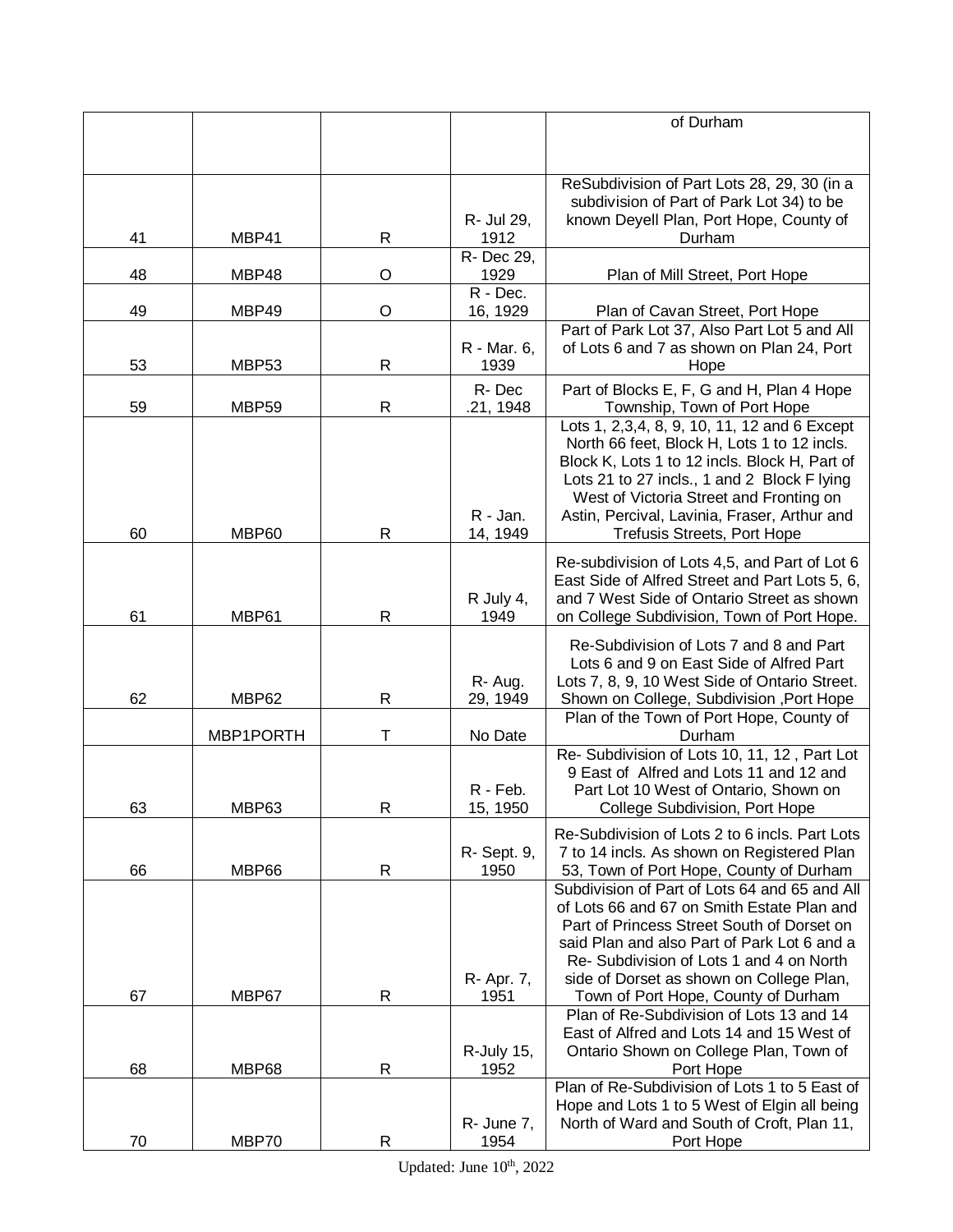|    |              |         |                      | of Durham                                                                                       |
|----|--------------|---------|----------------------|-------------------------------------------------------------------------------------------------|
|    |              |         |                      |                                                                                                 |
|    |              |         |                      |                                                                                                 |
|    |              |         |                      | ReSubdivision of Part Lots 28, 29, 30 (in a                                                     |
|    |              |         |                      | subdivision of Part of Park Lot 34) to be                                                       |
|    |              |         | R- Jul 29,           | known Deyell Plan, Port Hope, County of                                                         |
| 41 | MBP41        | R       | 1912                 | Durham                                                                                          |
|    |              |         | R- Dec 29,           |                                                                                                 |
| 48 | MBP48        | O       | 1929                 | Plan of Mill Street, Port Hope                                                                  |
| 49 | MBP49        | $\circ$ | R - Dec.<br>16, 1929 | Plan of Cavan Street, Port Hope                                                                 |
|    |              |         |                      | Part of Park Lot 37, Also Part Lot 5 and All                                                    |
|    |              |         | R - Mar. 6,          | of Lots 6 and 7 as shown on Plan 24, Port                                                       |
| 53 | MBP53        | R       | 1939                 | Hope                                                                                            |
|    |              |         | R-Dec                | Part of Blocks E, F, G and H, Plan 4 Hope                                                       |
| 59 | <b>MBP59</b> | R       | .21, 1948            | Township, Town of Port Hope                                                                     |
|    |              |         |                      | Lots 1, 2,3,4, 8, 9, 10, 11, 12 and 6 Except                                                    |
|    |              |         |                      | North 66 feet, Block H, Lots 1 to 12 incls.                                                     |
|    |              |         |                      | Block K, Lots 1 to 12 incls. Block H, Part of                                                   |
|    |              |         |                      | Lots 21 to 27 incls., 1 and 2 Block F lying<br>West of Victoria Street and Fronting on          |
|    |              |         | R - Jan.             | Astin, Percival, Lavinia, Fraser, Arthur and                                                    |
| 60 | MBP60        | R       | 14, 1949             | <b>Trefusis Streets, Port Hope</b>                                                              |
|    |              |         |                      |                                                                                                 |
|    |              |         |                      | Re-subdivision of Lots 4,5, and Part of Lot 6<br>East Side of Alfred Street and Part Lots 5, 6, |
|    |              |         | R July 4,            | and 7 West Side of Ontario Street as shown                                                      |
| 61 | MBP61        | R       | 1949                 | on College Subdivision, Town of Port Hope.                                                      |
|    |              |         |                      |                                                                                                 |
|    |              |         |                      | Re-Subdivision of Lots 7 and 8 and Part                                                         |
|    |              |         | R-Aug.               | Lots 6 and 9 on East Side of Alfred Part                                                        |
| 62 | MBP62        | R       | 29, 1949             | Lots 7, 8, 9, 10 West Side of Ontario Street.<br>Shown on College, Subdivision , Port Hope      |
|    |              |         |                      | Plan of the Town of Port Hope, County of                                                        |
|    | MBP1PORTH    | т       | No Date              | Durham                                                                                          |
|    |              |         |                      | Re- Subdivision of Lots 10, 11, 12, Part Lot                                                    |
|    |              |         |                      | 9 East of Alfred and Lots 11 and 12 and                                                         |
|    |              |         | R - Feb.             | Part Lot 10 West of Ontario, Shown on                                                           |
| 63 | MBP63        | R       | 15, 1950             | College Subdivision, Port Hope                                                                  |
|    |              |         |                      | Re-Subdivision of Lots 2 to 6 incls. Part Lots                                                  |
|    |              |         | R- Sept. 9,          | 7 to 14 incls. As shown on Registered Plan                                                      |
| 66 | MBP66        | R       | 1950                 | 53, Town of Port Hope, County of Durham                                                         |
|    |              |         |                      | Subdivision of Part of Lots 64 and 65 and All                                                   |
|    |              |         |                      | of Lots 66 and 67 on Smith Estate Plan and<br>Part of Princess Street South of Dorset on        |
|    |              |         |                      | said Plan and also Part of Park Lot 6 and a                                                     |
|    |              |         |                      | Re- Subdivision of Lots 1 and 4 on North                                                        |
|    |              |         | R- Apr. 7,           | side of Dorset as shown on College Plan,                                                        |
| 67 | MBP67        | R       | 1951                 | Town of Port Hope, County of Durham                                                             |
|    |              |         |                      | Plan of Re-Subdivision of Lots 13 and 14                                                        |
|    |              |         |                      | East of Alfred and Lots 14 and 15 West of                                                       |
|    |              |         | R-July 15,           | Ontario Shown on College Plan, Town of                                                          |
| 68 | MBP68        | R       | 1952                 | Port Hope                                                                                       |
|    |              |         |                      | Plan of Re-Subdivision of Lots 1 to 5 East of<br>Hope and Lots 1 to 5 West of Elgin all being   |
|    |              |         | R- June 7,           | North of Ward and South of Croft, Plan 11,                                                      |
| 70 | MBP70        | R       | 1954                 | Port Hope                                                                                       |
|    |              |         |                      |                                                                                                 |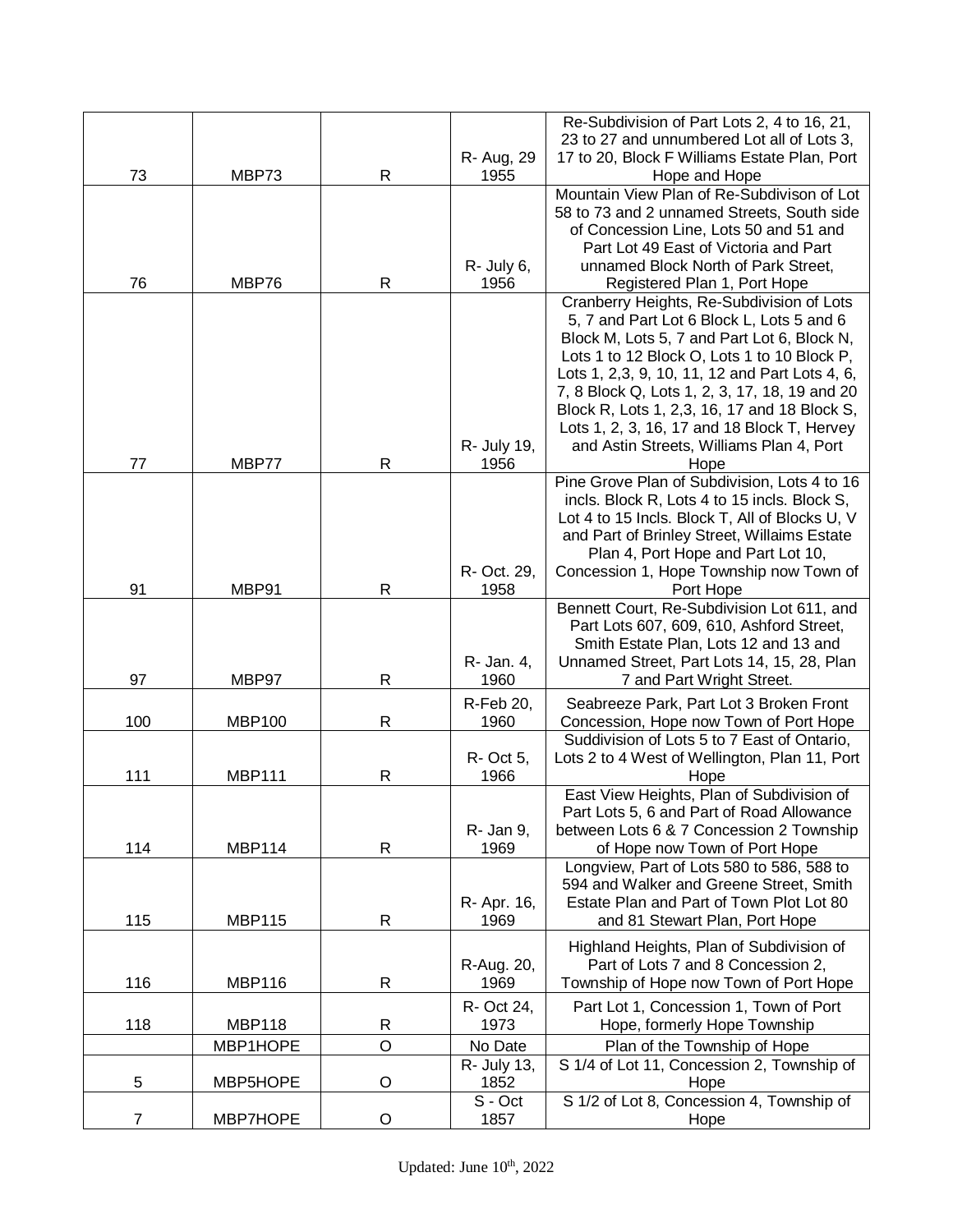|                |               |              |                   | Re-Subdivision of Part Lots 2, 4 to 16, 21,                                                  |
|----------------|---------------|--------------|-------------------|----------------------------------------------------------------------------------------------|
|                |               |              | R- Aug, 29        | 23 to 27 and unnumbered Lot all of Lots 3,<br>17 to 20, Block F Williams Estate Plan, Port   |
| 73             | MBP73         | $\mathsf R$  | 1955              | Hope and Hope                                                                                |
|                |               |              |                   | Mountain View Plan of Re-Subdivison of Lot                                                   |
|                |               |              |                   | 58 to 73 and 2 unnamed Streets, South side                                                   |
|                |               |              |                   | of Concession Line, Lots 50 and 51 and                                                       |
|                |               |              |                   | Part Lot 49 East of Victoria and Part                                                        |
|                |               |              | R- July 6,        | unnamed Block North of Park Street,                                                          |
| 76             | MBP76         | R            | 1956              | Registered Plan 1, Port Hope<br>Cranberry Heights, Re-Subdivision of Lots                    |
|                |               |              |                   | 5, 7 and Part Lot 6 Block L, Lots 5 and 6                                                    |
|                |               |              |                   | Block M, Lots 5, 7 and Part Lot 6, Block N,                                                  |
|                |               |              |                   | Lots 1 to 12 Block O, Lots 1 to 10 Block P,                                                  |
|                |               |              |                   | Lots 1, 2,3, 9, 10, 11, 12 and Part Lots 4, 6,                                               |
|                |               |              |                   | 7, 8 Block Q, Lots 1, 2, 3, 17, 18, 19 and 20                                                |
|                |               |              |                   | Block R, Lots 1, 2,3, 16, 17 and 18 Block S,                                                 |
|                |               |              |                   | Lots 1, 2, 3, 16, 17 and 18 Block T, Hervey                                                  |
|                |               |              | R- July 19,       | and Astin Streets, Williams Plan 4, Port                                                     |
| 77             | MBP77         | $\mathsf{R}$ | 1956              | Hope                                                                                         |
|                |               |              |                   | Pine Grove Plan of Subdivision, Lots 4 to 16<br>incls. Block R, Lots 4 to 15 incls. Block S, |
|                |               |              |                   | Lot 4 to 15 Incls. Block T, All of Blocks U, V                                               |
|                |               |              |                   | and Part of Brinley Street, Willaims Estate                                                  |
|                |               |              |                   | Plan 4, Port Hope and Part Lot 10,                                                           |
|                |               |              | R- Oct. 29,       | Concession 1, Hope Township now Town of                                                      |
| 91             | MBP91         | R            | 1958              | Port Hope                                                                                    |
|                |               |              |                   | Bennett Court, Re-Subdivision Lot 611, and                                                   |
|                |               |              |                   | Part Lots 607, 609, 610, Ashford Street,<br>Smith Estate Plan, Lots 12 and 13 and            |
|                |               |              | R- Jan. 4,        | Unnamed Street, Part Lots 14, 15, 28, Plan                                                   |
| 97             | MBP97         | $\mathsf{R}$ | 1960              | 7 and Part Wright Street.                                                                    |
|                |               |              | R-Feb 20,         | Seabreeze Park, Part Lot 3 Broken Front                                                      |
| 100            | <b>MBP100</b> | $\mathsf R$  | 1960              | Concession, Hope now Town of Port Hope                                                       |
|                |               |              |                   | Suddivision of Lots 5 to 7 East of Ontario,                                                  |
|                |               |              | R- Oct 5,         | Lots 2 to 4 West of Wellington, Plan 11, Port                                                |
| 111            | <b>MBP111</b> | R            | 1966              | Hope                                                                                         |
|                |               |              |                   | East View Heights, Plan of Subdivision of                                                    |
|                |               |              |                   | Part Lots 5, 6 and Part of Road Allowance                                                    |
| 114            | <b>MBP114</b> | $\mathsf{R}$ | R- Jan 9,<br>1969 | between Lots 6 & 7 Concession 2 Township<br>of Hope now Town of Port Hope                    |
|                |               |              |                   | Longview, Part of Lots 580 to 586, 588 to                                                    |
|                |               |              |                   | 594 and Walker and Greene Street, Smith                                                      |
|                |               |              | R- Apr. 16,       | Estate Plan and Part of Town Plot Lot 80                                                     |
| 115            | <b>MBP115</b> | $\mathsf R$  | 1969              | and 81 Stewart Plan, Port Hope                                                               |
|                |               |              |                   | Highland Heights, Plan of Subdivision of                                                     |
|                |               |              | R-Aug. 20,        | Part of Lots 7 and 8 Concession 2,                                                           |
| 116            | <b>MBP116</b> | R            | 1969              | Township of Hope now Town of Port Hope                                                       |
|                |               |              | R- Oct 24,        | Part Lot 1, Concession 1, Town of Port                                                       |
| 118            | <b>MBP118</b> | ${\sf R}$    | 1973              | Hope, formerly Hope Township                                                                 |
|                | MBP1HOPE      | $\circ$      | No Date           | Plan of the Township of Hope                                                                 |
|                |               |              | R- July 13,       | S 1/4 of Lot 11, Concession 2, Township of                                                   |
| 5              | MBP5HOPE      | O            | 1852              | Hope                                                                                         |
| $\overline{7}$ | MBP7HOPE      | $\mathsf O$  | S - Oct<br>1857   | S 1/2 of Lot 8, Concession 4, Township of<br>Hope                                            |
|                |               |              |                   |                                                                                              |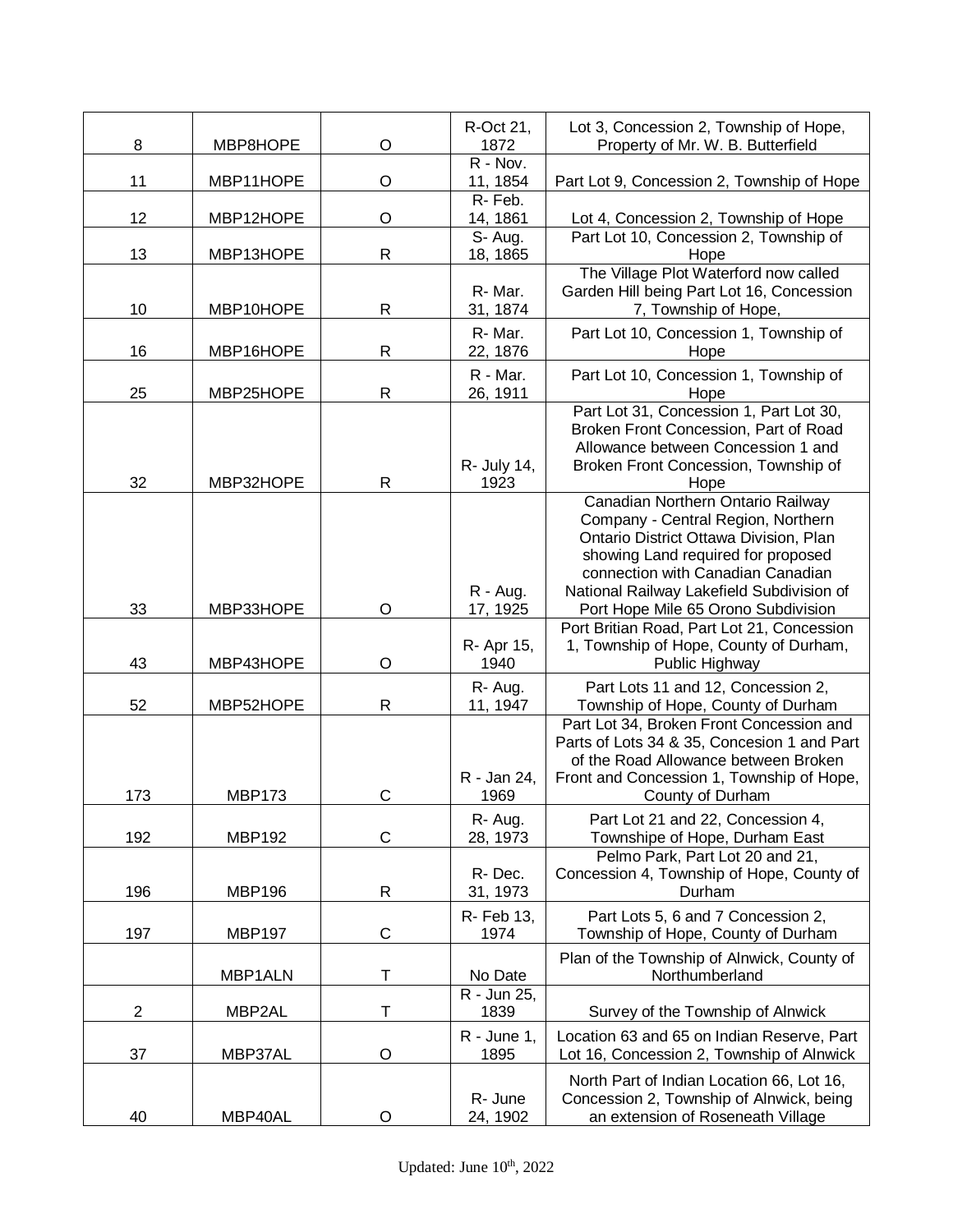| 8   | MBP8HOPE      | $\circ$      | R-Oct 21,<br>1872              | Lot 3, Concession 2, Township of Hope,<br>Property of Mr. W. B. Butterfield                                                                                                                                                               |
|-----|---------------|--------------|--------------------------------|-------------------------------------------------------------------------------------------------------------------------------------------------------------------------------------------------------------------------------------------|
| 11  | MBP11HOPE     | O            | R - Nov.<br>11, 1854           | Part Lot 9, Concession 2, Township of Hope                                                                                                                                                                                                |
| 12  | MBP12HOPE     | O            | R-Feb.<br>14, 1861             | Lot 4, Concession 2, Township of Hope                                                                                                                                                                                                     |
| 13  | MBP13HOPE     | $\mathsf{R}$ | S-Aug.<br>18, 1865             | Part Lot 10, Concession 2, Township of<br>Hope                                                                                                                                                                                            |
| 10  | MBP10HOPE     | $\mathsf{R}$ | R-Mar.<br>31, 1874             | The Village Plot Waterford now called<br>Garden Hill being Part Lot 16, Concession<br>7, Township of Hope,                                                                                                                                |
| 16  | MBP16HOPE     | $\mathsf{R}$ | R-Mar.<br>22, 1876             | Part Lot 10, Concession 1, Township of<br>Hope                                                                                                                                                                                            |
| 25  | MBP25HOPE     | $\mathsf{R}$ | R - Mar.<br>26, 1911           | Part Lot 10, Concession 1, Township of<br>Hope                                                                                                                                                                                            |
| 32  | MBP32HOPE     | $\mathsf{R}$ | R- July 14,<br>1923            | Part Lot 31, Concession 1, Part Lot 30,<br>Broken Front Concession, Part of Road<br>Allowance between Concession 1 and<br>Broken Front Concession, Township of<br>Hope                                                                    |
| 33  | MBP33HOPE     | $\circ$      | $R - Aug.$                     | Canadian Northern Ontario Railway<br>Company - Central Region, Northern<br>Ontario District Ottawa Division, Plan<br>showing Land required for proposed<br>connection with Canadian Canadian<br>National Railway Lakefield Subdivision of |
| 43  | MBP43HOPE     | $\circ$      | 17, 1925<br>R- Apr 15,<br>1940 | Port Hope Mile 65 Orono Subdivision<br>Port Britian Road, Part Lot 21, Concession<br>1, Township of Hope, County of Durham,<br>Public Highway                                                                                             |
| 52  | MBP52HOPE     | $\mathsf{R}$ | R-Aug.<br>11, 1947             | Part Lots 11 and 12, Concession 2,<br>Township of Hope, County of Durham                                                                                                                                                                  |
| 173 | <b>MBP173</b> | $\mathsf{C}$ | R - Jan 24,<br>1969            | Part Lot 34, Broken Front Concession and<br>Parts of Lots 34 & 35, Concesion 1 and Part<br>of the Road Allowance between Broken<br>Front and Concession 1, Township of Hope,<br>County of Durham                                          |
| 192 | <b>MBP192</b> | C            | R-Aug.<br>28, 1973             | Part Lot 21 and 22, Concession 4,<br>Townshipe of Hope, Durham East                                                                                                                                                                       |
| 196 | <b>MBP196</b> | $\mathsf{R}$ | R-Dec.<br>31, 1973             | Pelmo Park, Part Lot 20 and 21,<br>Concession 4, Township of Hope, County of<br>Durham                                                                                                                                                    |
| 197 | <b>MBP197</b> | $\mathsf C$  | R- Feb 13,<br>1974             | Part Lots 5, 6 and 7 Concession 2,<br>Township of Hope, County of Durham                                                                                                                                                                  |
|     | MBP1ALN       | Т            | No Date                        | Plan of the Township of Alnwick, County of<br>Northumberland                                                                                                                                                                              |
| 2   | MBP2AL        | Т            | R - Jun 25,<br>1839            | Survey of the Township of Alnwick                                                                                                                                                                                                         |
| 37  | MBP37AL       | O            | $R - June 1$ ,<br>1895         | Location 63 and 65 on Indian Reserve, Part<br>Lot 16, Concession 2, Township of Alnwick                                                                                                                                                   |
| 40  | MBP40AL       | O            | R- June<br>24, 1902            | North Part of Indian Location 66, Lot 16,<br>Concession 2, Township of Alnwick, being<br>an extension of Roseneath Village                                                                                                                |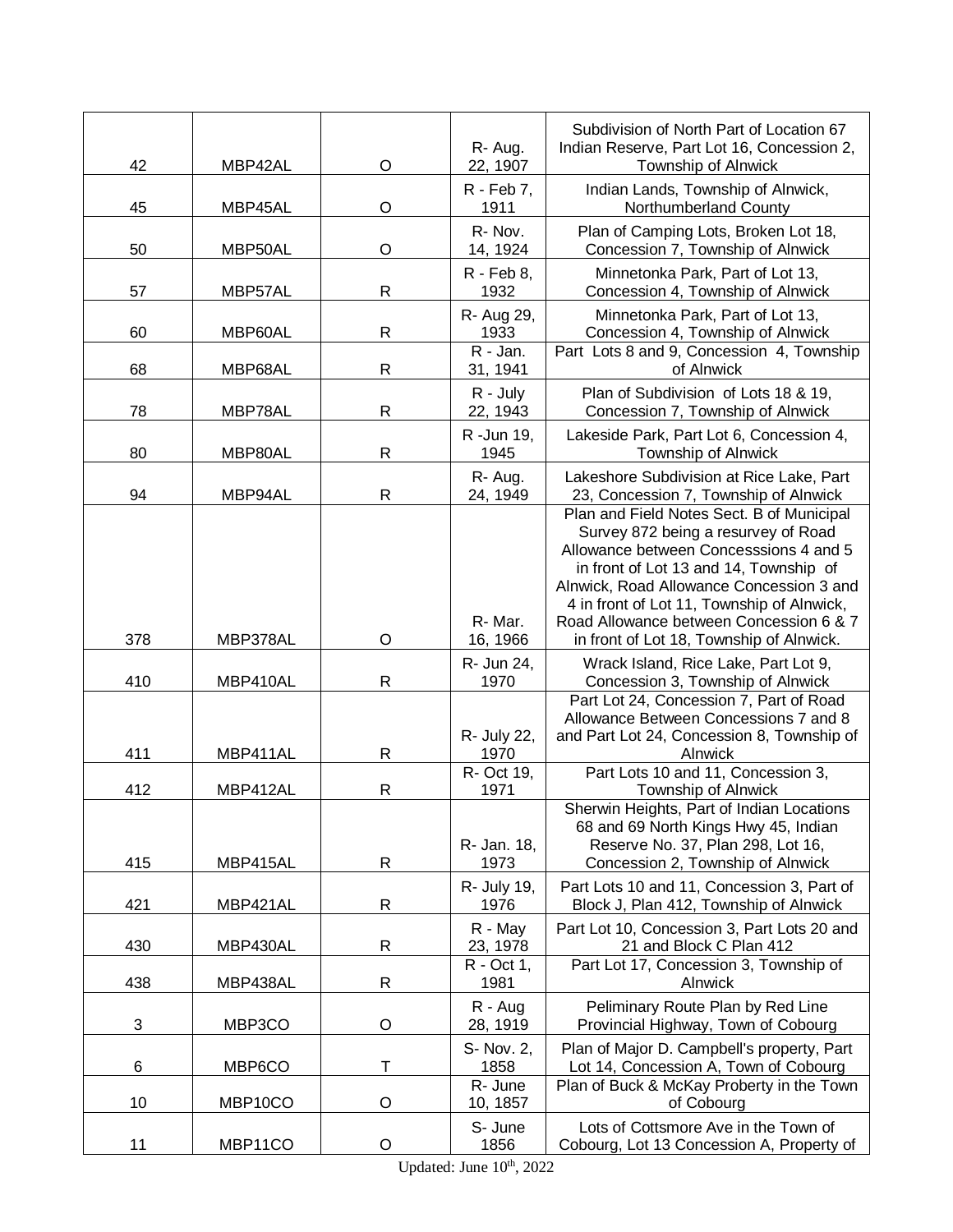| 42         | MBP42AL  | $\circ$      | R-Aug.<br>22, 1907    | Subdivision of North Part of Location 67<br>Indian Reserve, Part Lot 16, Concession 2,<br>Township of Alnwick                                                                                                                                                                                                                                         |
|------------|----------|--------------|-----------------------|-------------------------------------------------------------------------------------------------------------------------------------------------------------------------------------------------------------------------------------------------------------------------------------------------------------------------------------------------------|
| 45         | MBP45AL  | $\circ$      | R - Feb 7,<br>1911    | Indian Lands, Township of Alnwick,<br>Northumberland County                                                                                                                                                                                                                                                                                           |
| 50         | MBP50AL  | $\circ$      | R-Nov.<br>14, 1924    | Plan of Camping Lots, Broken Lot 18,<br>Concession 7, Township of Alnwick                                                                                                                                                                                                                                                                             |
| 57         | MBP57AL  | ${\sf R}$    | R - Feb 8,<br>1932    | Minnetonka Park, Part of Lot 13,<br>Concession 4, Township of Alnwick                                                                                                                                                                                                                                                                                 |
| 60         | MBP60AL  | R            | R- Aug 29,<br>1933    | Minnetonka Park, Part of Lot 13,<br>Concession 4, Township of Alnwick                                                                                                                                                                                                                                                                                 |
| 68         | MBP68AL  | $\mathsf R$  | R - Jan.<br>31, 1941  | Part Lots 8 and 9, Concession 4, Township<br>of Alnwick                                                                                                                                                                                                                                                                                               |
| 78         | MBP78AL  | $\mathsf{R}$ | R - July<br>22, 1943  | Plan of Subdivision of Lots 18 & 19,<br>Concession 7, Township of Alnwick                                                                                                                                                                                                                                                                             |
| 80         | MBP80AL  | $\mathsf R$  | R -Jun 19,<br>1945    | Lakeside Park, Part Lot 6, Concession 4,<br>Township of Alnwick                                                                                                                                                                                                                                                                                       |
| 94         | MBP94AL  | $\mathsf{R}$ | R-Aug.<br>24, 1949    | Lakeshore Subdivision at Rice Lake, Part<br>23, Concession 7, Township of Alnwick                                                                                                                                                                                                                                                                     |
| 378        | MBP378AL | $\circ$      | R-Mar.<br>16, 1966    | Plan and Field Notes Sect. B of Municipal<br>Survey 872 being a resurvey of Road<br>Allowance between Concesssions 4 and 5<br>in front of Lot 13 and 14, Township of<br>Alnwick, Road Allowance Concession 3 and<br>4 in front of Lot 11, Township of Alnwick,<br>Road Allowance between Concession 6 & 7<br>in front of Lot 18, Township of Alnwick. |
| 410        | MBP410AL | $\mathsf{R}$ | R- Jun 24,<br>1970    | Wrack Island, Rice Lake, Part Lot 9,<br>Concession 3, Township of Alnwick                                                                                                                                                                                                                                                                             |
| 411        | MBP411AL | $\mathsf{R}$ | R- July 22,<br>1970   | Part Lot 24, Concession 7, Part of Road<br>Allowance Between Concessions 7 and 8<br>and Part Lot 24, Concession 8, Township of<br>Alnwick                                                                                                                                                                                                             |
| 412        | MBP412AL | $\mathsf{R}$ | R- Oct 19,<br>1971    | Part Lots 10 and 11, Concession 3,<br>Township of Alnwick                                                                                                                                                                                                                                                                                             |
| 415        | MBP415AL | $\mathsf R$  | R- Jan. 18,<br>1973   | Sherwin Heights, Part of Indian Locations<br>68 and 69 North Kings Hwy 45, Indian<br>Reserve No. 37, Plan 298, Lot 16,<br>Concession 2, Township of Alnwick                                                                                                                                                                                           |
| 421        | MBP421AL | $\mathsf R$  | R- July 19,<br>1976   | Part Lots 10 and 11, Concession 3, Part of<br>Block J, Plan 412, Township of Alnwick                                                                                                                                                                                                                                                                  |
| 430        | MBP430AL | $\mathsf R$  | R - May<br>23, 1978   | Part Lot 10, Concession 3, Part Lots 20 and<br>21 and Block C Plan 412                                                                                                                                                                                                                                                                                |
| 438        | MBP438AL | $\mathsf{R}$ | R - Oct 1,<br>1981    | Part Lot 17, Concession 3, Township of<br>Alnwick                                                                                                                                                                                                                                                                                                     |
| $\sqrt{3}$ | MBP3CO   | $\circ$      | $R - Aug$<br>28, 1919 | Peliminary Route Plan by Red Line<br>Provincial Highway, Town of Cobourg                                                                                                                                                                                                                                                                              |
| 6          | MBP6CO   | T            | S- Nov. 2,<br>1858    | Plan of Major D. Campbell's property, Part<br>Lot 14, Concession A, Town of Cobourg                                                                                                                                                                                                                                                                   |
| 10         | MBP10CO  | $\circ$      | R- June<br>10, 1857   | Plan of Buck & McKay Proberty in the Town<br>of Cobourg                                                                                                                                                                                                                                                                                               |
| 11         | MBP11CO  | O            | S- June<br>1856       | Lots of Cottsmore Ave in the Town of<br>Cobourg, Lot 13 Concession A, Property of                                                                                                                                                                                                                                                                     |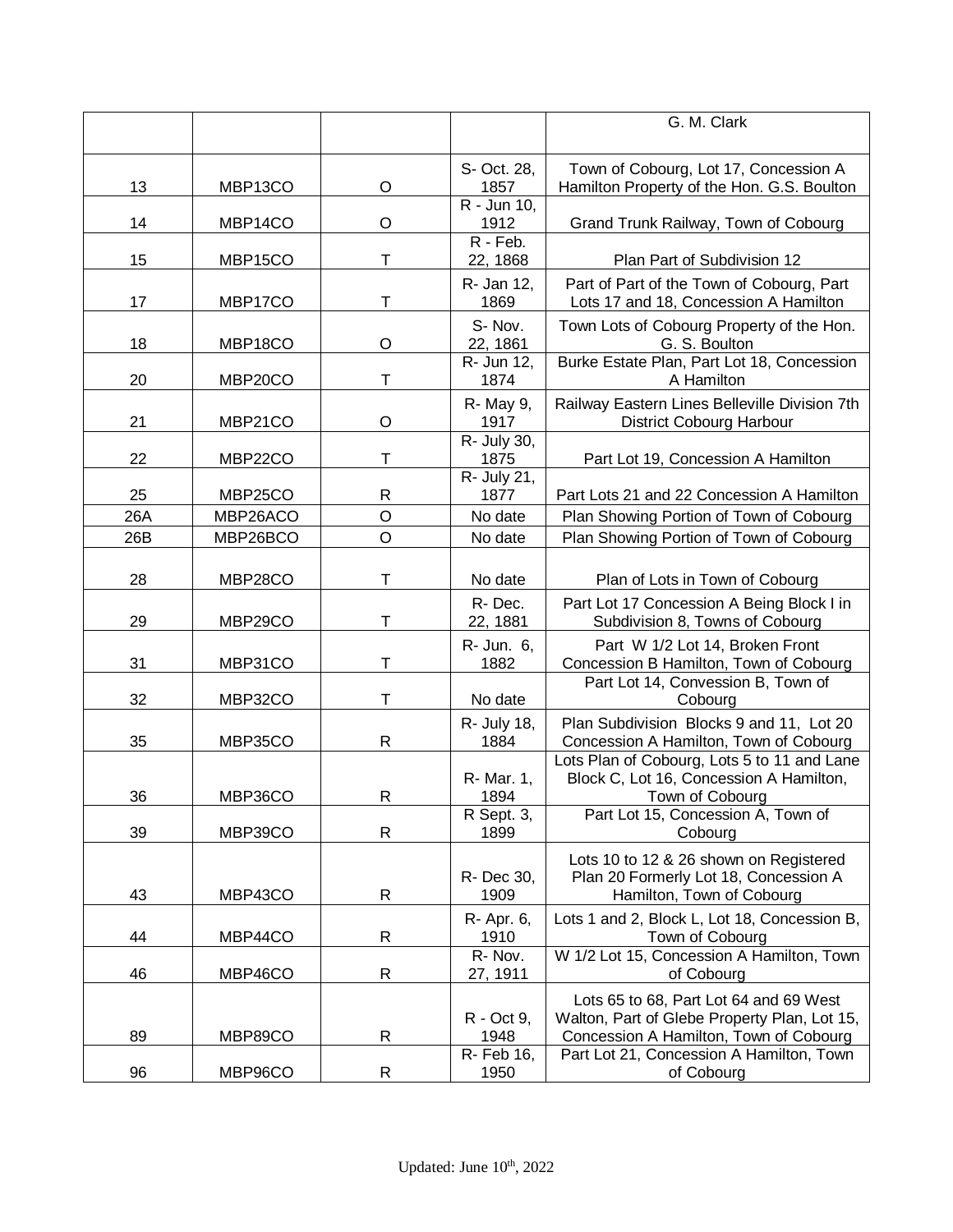|     |          |              |                          | G. M. Clark                                                                           |
|-----|----------|--------------|--------------------------|---------------------------------------------------------------------------------------|
|     |          |              |                          |                                                                                       |
|     |          |              | S- Oct. 28,              | Town of Cobourg, Lot 17, Concession A                                                 |
| 13  | MBP13CO  | O            | 1857                     | Hamilton Property of the Hon. G.S. Boulton                                            |
|     |          |              | $\overline{R}$ - Jun 10, |                                                                                       |
| 14  | MBP14CO  | O            | 1912                     | Grand Trunk Railway, Town of Cobourg                                                  |
|     |          |              | R - Feb.                 |                                                                                       |
| 15  | MBP15CO  | Τ            | 22, 1868                 | Plan Part of Subdivision 12                                                           |
| 17  | MBP17CO  | T            | R- Jan 12,<br>1869       | Part of Part of the Town of Cobourg, Part<br>Lots 17 and 18, Concession A Hamilton    |
|     |          |              |                          |                                                                                       |
| 18  | MBP18CO  | O            | S-Nov.<br>22, 1861       | Town Lots of Cobourg Property of the Hon.<br>G. S. Boulton                            |
|     |          |              | R- Jun 12,               | Burke Estate Plan, Part Lot 18, Concession                                            |
| 20  | MBP20CO  | T            | 1874                     | A Hamilton                                                                            |
|     |          |              | R- May 9,                | Railway Eastern Lines Belleville Division 7th                                         |
| 21  | MBP21CO  | O            | 1917                     | District Cobourg Harbour                                                              |
|     |          |              | R- July 30,              |                                                                                       |
| 22  | MBP22CO  | Τ            | 1875<br>R- July 21,      | Part Lot 19, Concession A Hamilton                                                    |
| 25  | MBP25CO  | R            | 1877                     | Part Lots 21 and 22 Concession A Hamilton                                             |
| 26A | MBP26ACO | $\mathsf O$  | No date                  | Plan Showing Portion of Town of Cobourg                                               |
| 26B | MBP26BCO | $\circ$      | No date                  | Plan Showing Portion of Town of Cobourg                                               |
|     |          |              |                          |                                                                                       |
| 28  | MBP28CO  | T            | No date                  | Plan of Lots in Town of Cobourg                                                       |
|     |          |              | R-Dec.                   | Part Lot 17 Concession A Being Block I in                                             |
| 29  | MBP29CO  | Τ            | 22, 1881                 | Subdivision 8, Towns of Cobourg                                                       |
|     |          |              | R- Jun. 6,               | Part W 1/2 Lot 14, Broken Front                                                       |
| 31  | MBP31CO  | Т            | 1882                     | Concession B Hamilton, Town of Cobourg                                                |
|     |          |              |                          | Part Lot 14, Convession B, Town of                                                    |
| 32  | MBP32CO  | Т            | No date                  | Cobourg                                                                               |
|     |          |              | R- July 18,              | Plan Subdivision Blocks 9 and 11, Lot 20                                              |
| 35  | MBP35CO  | $\mathsf{R}$ | 1884                     | Concession A Hamilton, Town of Cobourg<br>Lots Plan of Cobourg, Lots 5 to 11 and Lane |
|     |          |              | R- Mar. 1,               | Block C, Lot 16, Concession A Hamilton,                                               |
| 36  | MBP36CO  | R            | 1894                     | Town of Cobourg                                                                       |
|     |          |              | R Sept. 3,               | Part Lot 15, Concession A, Town of                                                    |
| 39  | MBP39CO  | $\mathsf{R}$ | 1899                     | Cobourg                                                                               |
|     |          |              |                          | Lots 10 to 12 & 26 shown on Registered                                                |
|     |          |              | R- Dec 30,               | Plan 20 Formerly Lot 18, Concession A                                                 |
| 43  | MBP43CO  | R            | 1909                     | Hamilton, Town of Cobourg                                                             |
| 44  | MBP44CO  | R            | R- Apr. 6,<br>1910       | Lots 1 and 2, Block L, Lot 18, Concession B,                                          |
|     |          |              | R-Nov.                   | Town of Cobourg<br>W 1/2 Lot 15, Concession A Hamilton, Town                          |
| 46  | MBP46CO  | R            | 27, 1911                 | of Cobourg                                                                            |
|     |          |              |                          | Lots 65 to 68, Part Lot 64 and 69 West                                                |
|     |          |              | R - Oct 9,               | Walton, Part of Glebe Property Plan, Lot 15,                                          |
| 89  | MBP89CO  | R            | 1948                     | Concession A Hamilton, Town of Cobourg                                                |
|     |          |              | R- Feb 16,               | Part Lot 21, Concession A Hamilton, Town                                              |
| 96  | MBP96CO  | R            | 1950                     | of Cobourg                                                                            |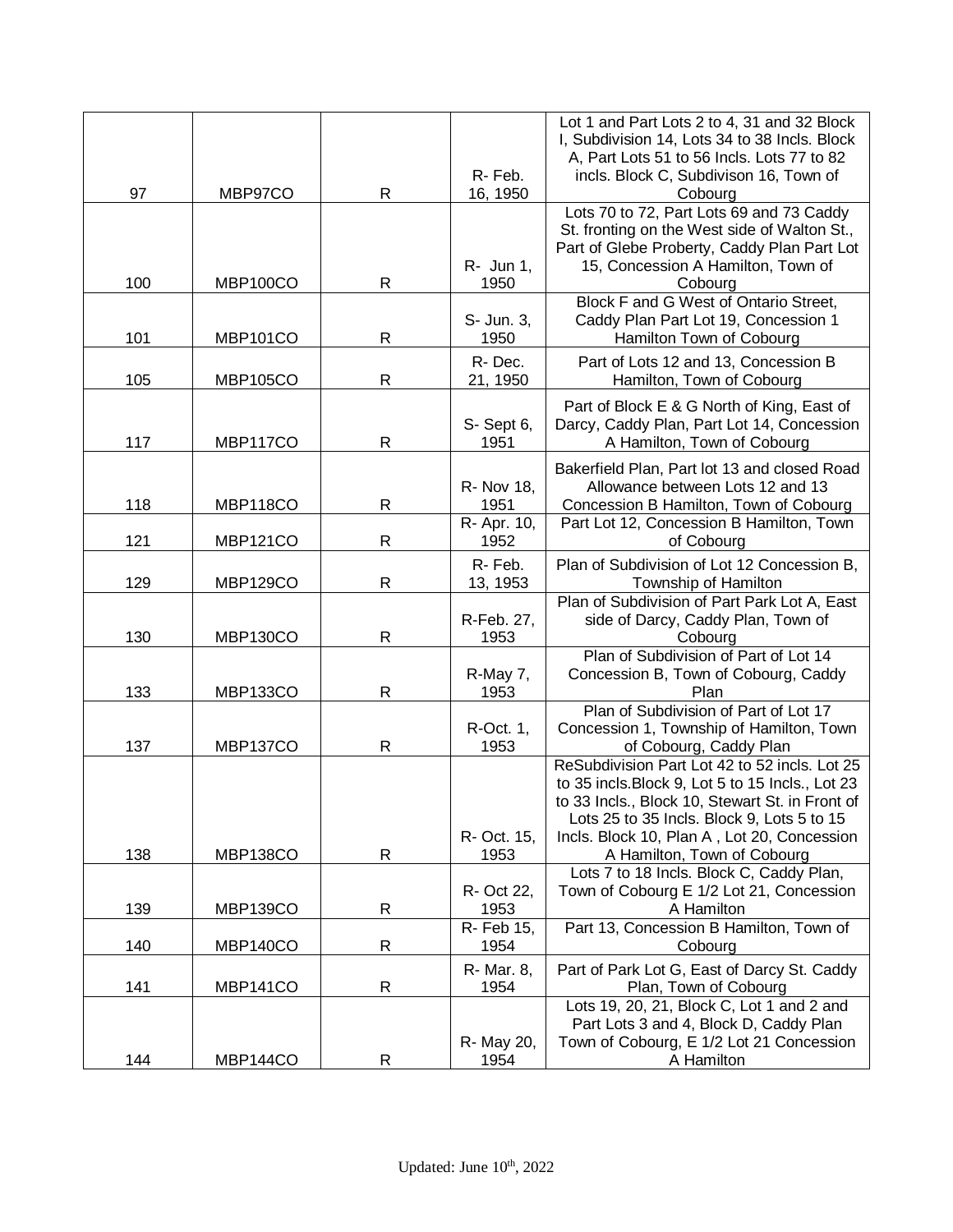|     |                 |              |                     | Lot 1 and Part Lots 2 to 4, 31 and 32 Block<br>I, Subdivision 14, Lots 34 to 38 Incls. Block      |
|-----|-----------------|--------------|---------------------|---------------------------------------------------------------------------------------------------|
|     |                 |              |                     | A, Part Lots 51 to 56 Incls. Lots 77 to 82                                                        |
| 97  | MBP97CO         | R            | R-Feb.<br>16, 1950  | incls. Block C, Subdivison 16, Town of<br>Cobourg                                                 |
|     |                 |              |                     | Lots 70 to 72, Part Lots 69 and 73 Caddy                                                          |
|     |                 |              |                     | St. fronting on the West side of Walton St.,                                                      |
|     |                 |              |                     | Part of Glebe Proberty, Caddy Plan Part Lot                                                       |
| 100 | <b>MBP100CO</b> | $\mathsf{R}$ | R- Jun 1,<br>1950   | 15, Concession A Hamilton, Town of<br>Cobourg                                                     |
|     |                 |              |                     | Block F and G West of Ontario Street,                                                             |
|     |                 |              | S- Jun. 3,          | Caddy Plan Part Lot 19, Concession 1                                                              |
| 101 | <b>MBP101CO</b> | R            | 1950                | Hamilton Town of Cobourg                                                                          |
| 105 | <b>MBP105CO</b> | $\mathsf{R}$ | R-Dec.<br>21, 1950  | Part of Lots 12 and 13, Concession B<br>Hamilton, Town of Cobourg                                 |
|     |                 |              |                     | Part of Block E & G North of King, East of                                                        |
|     |                 |              | S-Sept 6,           | Darcy, Caddy Plan, Part Lot 14, Concession                                                        |
| 117 | MBP117CO        | R            | 1951                | A Hamilton, Town of Cobourg                                                                       |
|     |                 |              |                     | Bakerfield Plan, Part lot 13 and closed Road                                                      |
|     |                 |              | R- Nov 18,          | Allowance between Lots 12 and 13                                                                  |
| 118 | MBP118CO        | $\mathsf R$  | 1951                | Concession B Hamilton, Town of Cobourg                                                            |
| 121 | <b>MBP121CO</b> | $\mathsf{R}$ | R- Apr. 10,<br>1952 | Part Lot 12, Concession B Hamilton, Town<br>of Cobourg                                            |
|     |                 |              | R-Feb.              | Plan of Subdivision of Lot 12 Concession B,                                                       |
| 129 | <b>MBP129CO</b> | $\mathsf{R}$ | 13, 1953            | Township of Hamilton                                                                              |
|     |                 |              | R-Feb. 27,          | Plan of Subdivision of Part Park Lot A, East<br>side of Darcy, Caddy Plan, Town of                |
| 130 | MBP130CO        | $\mathsf{R}$ | 1953                | Cobourg                                                                                           |
|     |                 |              |                     | Plan of Subdivision of Part of Lot 14                                                             |
| 133 | MBP133CO        | $\mathsf R$  | R-May 7,<br>1953    | Concession B, Town of Cobourg, Caddy<br>Plan                                                      |
|     |                 |              |                     | Plan of Subdivision of Part of Lot 17                                                             |
|     |                 |              | R-Oct. 1,           | Concession 1, Township of Hamilton, Town                                                          |
| 137 | MBP137CO        | R            | 1953                | of Cobourg, Caddy Plan                                                                            |
|     |                 |              |                     | ReSubdivision Part Lot 42 to 52 incls. Lot 25<br>to 35 incls. Block 9, Lot 5 to 15 Incls., Lot 23 |
|     |                 |              |                     | to 33 Incls., Block 10, Stewart St. in Front of                                                   |
|     |                 |              |                     | Lots 25 to 35 Incls. Block 9, Lots 5 to 15                                                        |
| 138 | MBP138CO        | R            | R- Oct. 15,<br>1953 | Incls. Block 10, Plan A, Lot 20, Concession<br>A Hamilton, Town of Cobourg                        |
|     |                 |              |                     | Lots 7 to 18 Incls. Block C, Caddy Plan,                                                          |
|     |                 |              | R- Oct 22,          | Town of Cobourg E 1/2 Lot 21, Concession                                                          |
| 139 | MBP139CO        | R            | 1953                | A Hamilton                                                                                        |
| 140 | MBP140CO        | $\mathsf R$  | R- Feb 15,<br>1954  | Part 13, Concession B Hamilton, Town of<br>Cobourg                                                |
|     |                 |              | R- Mar. 8,          | Part of Park Lot G, East of Darcy St. Caddy                                                       |
| 141 | MBP141CO        | $\mathsf{R}$ | 1954                | Plan, Town of Cobourg                                                                             |
|     |                 |              |                     | Lots 19, 20, 21, Block C, Lot 1 and 2 and<br>Part Lots 3 and 4, Block D, Caddy Plan               |
|     |                 |              | R- May 20,          | Town of Cobourg, E 1/2 Lot 21 Concession                                                          |
| 144 | MBP144CO        | R            | 1954                | A Hamilton                                                                                        |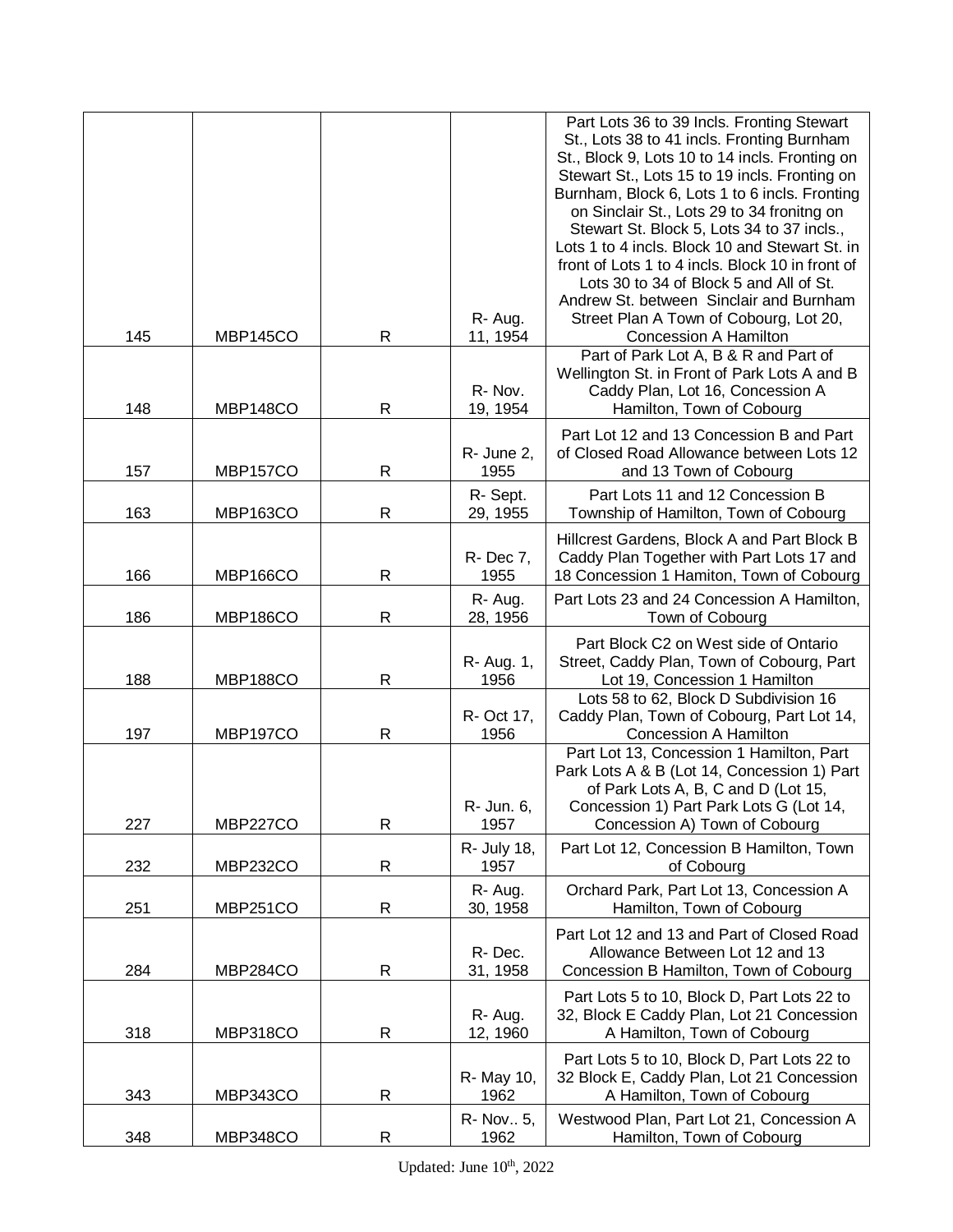|     |                 |              | R-Aug.              | Part Lots 36 to 39 Incls. Fronting Stewart<br>St., Lots 38 to 41 incls. Fronting Burnham<br>St., Block 9, Lots 10 to 14 incls. Fronting on<br>Stewart St., Lots 15 to 19 incls. Fronting on<br>Burnham, Block 6, Lots 1 to 6 incls. Fronting<br>on Sinclair St., Lots 29 to 34 fronitng on<br>Stewart St. Block 5, Lots 34 to 37 incls.,<br>Lots 1 to 4 incls. Block 10 and Stewart St. in<br>front of Lots 1 to 4 incls. Block 10 in front of<br>Lots 30 to 34 of Block 5 and All of St.<br>Andrew St. between Sinclair and Burnham<br>Street Plan A Town of Cobourg, Lot 20, |
|-----|-----------------|--------------|---------------------|--------------------------------------------------------------------------------------------------------------------------------------------------------------------------------------------------------------------------------------------------------------------------------------------------------------------------------------------------------------------------------------------------------------------------------------------------------------------------------------------------------------------------------------------------------------------------------|
| 145 | MBP145CO        | $\mathsf{R}$ | 11, 1954            | Concession A Hamilton                                                                                                                                                                                                                                                                                                                                                                                                                                                                                                                                                          |
| 148 | MBP148CO        | $\mathsf{R}$ | R-Nov.<br>19, 1954  | Part of Park Lot A, B & R and Part of<br>Wellington St. in Front of Park Lots A and B<br>Caddy Plan, Lot 16, Concession A<br>Hamilton, Town of Cobourg                                                                                                                                                                                                                                                                                                                                                                                                                         |
| 157 | <b>MBP157CO</b> | $\mathsf{R}$ | R- June 2,<br>1955  | Part Lot 12 and 13 Concession B and Part<br>of Closed Road Allowance between Lots 12<br>and 13 Town of Cobourg                                                                                                                                                                                                                                                                                                                                                                                                                                                                 |
| 163 | <b>MBP163CO</b> | $\mathsf R$  | R-Sept.<br>29, 1955 | Part Lots 11 and 12 Concession B<br>Township of Hamilton, Town of Cobourg                                                                                                                                                                                                                                                                                                                                                                                                                                                                                                      |
| 166 | <b>MBP166CO</b> | $\mathsf{R}$ | R- Dec 7,<br>1955   | Hillcrest Gardens, Block A and Part Block B<br>Caddy Plan Together with Part Lots 17 and<br>18 Concession 1 Hamiton, Town of Cobourg                                                                                                                                                                                                                                                                                                                                                                                                                                           |
| 186 | MBP186CO        | R            | R-Aug.<br>28, 1956  | Part Lots 23 and 24 Concession A Hamilton,<br>Town of Cobourg                                                                                                                                                                                                                                                                                                                                                                                                                                                                                                                  |
| 188 | <b>MBP188CO</b> | R            | R- Aug. 1,<br>1956  | Part Block C2 on West side of Ontario<br>Street, Caddy Plan, Town of Cobourg, Part<br>Lot 19, Concession 1 Hamilton                                                                                                                                                                                                                                                                                                                                                                                                                                                            |
| 197 | <b>MBP197CO</b> | $\mathsf{R}$ | R- Oct 17,<br>1956  | Lots 58 to 62, Block D Subdivision 16<br>Caddy Plan, Town of Cobourg, Part Lot 14,<br>Concession A Hamilton                                                                                                                                                                                                                                                                                                                                                                                                                                                                    |
| 227 | <b>MBP227CO</b> | R            | R- Jun. 6,<br>1957  | Part Lot 13, Concession 1 Hamilton, Part<br>Park Lots A & B (Lot 14, Concession 1) Part<br>of Park Lots A, B, C and D (Lot 15,<br>Concession 1) Part Park Lots G (Lot 14,<br>Concession A) Town of Cobourg                                                                                                                                                                                                                                                                                                                                                                     |
| 232 | <b>MBP232CO</b> | R            | R- July 18,<br>1957 | Part Lot 12, Concession B Hamilton, Town<br>of Cobourg                                                                                                                                                                                                                                                                                                                                                                                                                                                                                                                         |
| 251 | <b>MBP251CO</b> | R            | R-Aug.<br>30, 1958  | Orchard Park, Part Lot 13, Concession A<br>Hamilton, Town of Cobourg                                                                                                                                                                                                                                                                                                                                                                                                                                                                                                           |
| 284 | MBP284CO        | $\mathsf R$  | R-Dec.<br>31, 1958  | Part Lot 12 and 13 and Part of Closed Road<br>Allowance Between Lot 12 and 13<br>Concession B Hamilton, Town of Cobourg                                                                                                                                                                                                                                                                                                                                                                                                                                                        |
| 318 | MBP318CO        | R            | R-Aug.<br>12, 1960  | Part Lots 5 to 10, Block D, Part Lots 22 to<br>32, Block E Caddy Plan, Lot 21 Concession<br>A Hamilton, Town of Cobourg                                                                                                                                                                                                                                                                                                                                                                                                                                                        |
| 343 | MBP343CO        | R            | R- May 10,<br>1962  | Part Lots 5 to 10, Block D, Part Lots 22 to<br>32 Block E, Caddy Plan, Lot 21 Concession<br>A Hamilton, Town of Cobourg                                                                                                                                                                                                                                                                                                                                                                                                                                                        |
| 348 | MBP348CO        | R            | R- Nov., 5,<br>1962 | Westwood Plan, Part Lot 21, Concession A<br>Hamilton, Town of Cobourg                                                                                                                                                                                                                                                                                                                                                                                                                                                                                                          |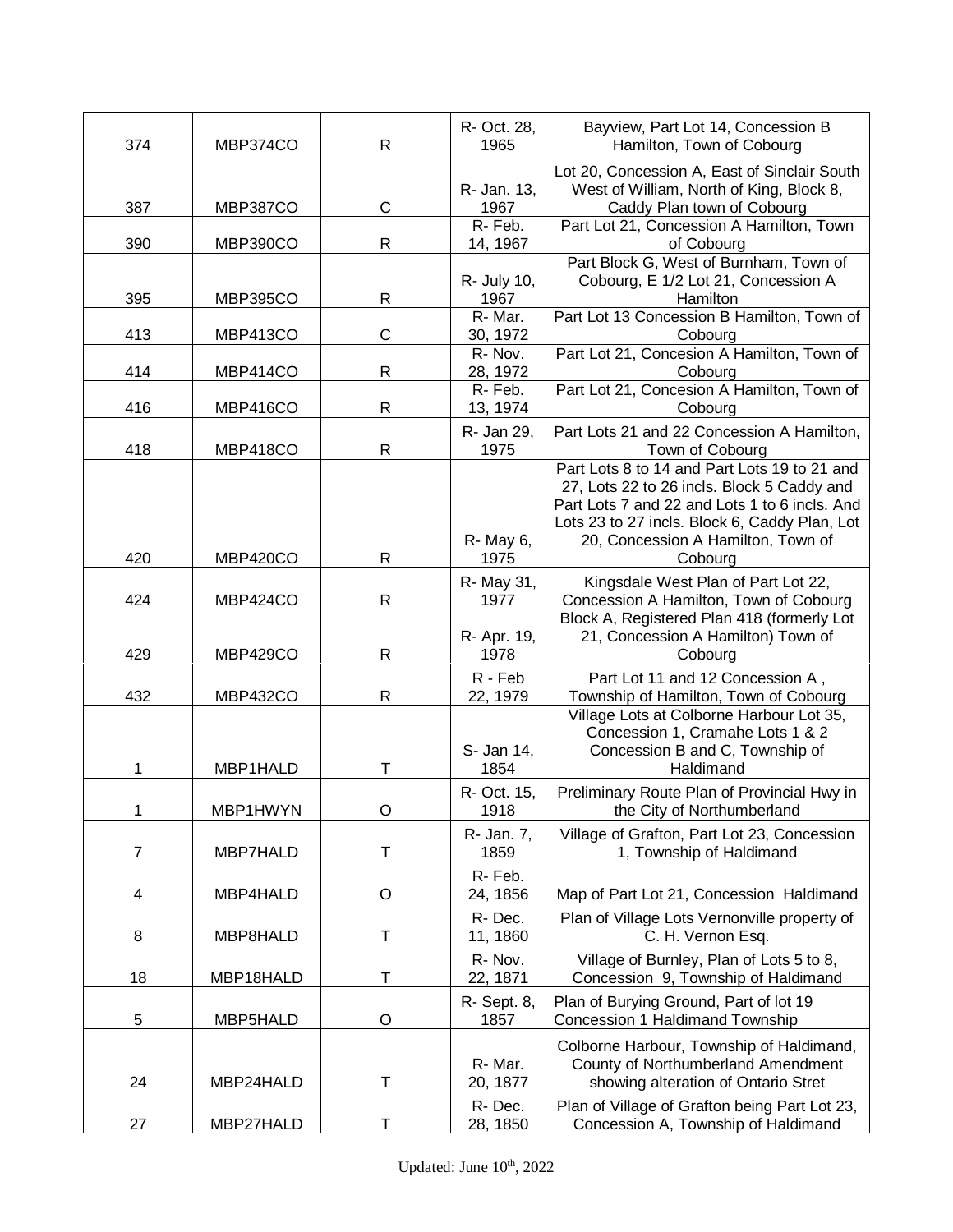| 374            | MBP374CO        | R            | R- Oct. 28,<br>1965 | Bayview, Part Lot 14, Concession B<br>Hamilton, Town of Cobourg                                                                                                                                                                               |
|----------------|-----------------|--------------|---------------------|-----------------------------------------------------------------------------------------------------------------------------------------------------------------------------------------------------------------------------------------------|
| 387            | <b>MBP387CO</b> | $\mathsf{C}$ | R- Jan. 13,<br>1967 | Lot 20, Concession A, East of Sinclair South<br>West of William, North of King, Block 8,<br>Caddy Plan town of Cobourg                                                                                                                        |
| 390            | MBP390CO        | $\mathsf R$  | R-Feb.<br>14, 1967  | Part Lot 21, Concession A Hamilton, Town<br>of Cobourg                                                                                                                                                                                        |
| 395            | <b>MBP395CO</b> | R            | R- July 10,<br>1967 | Part Block G, West of Burnham, Town of<br>Cobourg, E 1/2 Lot 21, Concession A<br>Hamilton                                                                                                                                                     |
| 413            | MBP413CO        | $\mathsf C$  | R-Mar.<br>30, 1972  | Part Lot 13 Concession B Hamilton, Town of<br>Cobourg                                                                                                                                                                                         |
| 414            | MBP414CO        | R            | R-Nov.<br>28, 1972  | Part Lot 21, Concesion A Hamilton, Town of<br>Cobourg                                                                                                                                                                                         |
| 416            | MBP416CO        | R            | R-Feb.<br>13, 1974  | Part Lot 21, Concesion A Hamilton, Town of<br>Cobourg                                                                                                                                                                                         |
| 418            | MBP418CO        | $\mathsf R$  | R- Jan 29,<br>1975  | Part Lots 21 and 22 Concession A Hamilton,<br>Town of Cobourg                                                                                                                                                                                 |
| 420            | MBP420CO        | R            | R- May 6,<br>1975   | Part Lots 8 to 14 and Part Lots 19 to 21 and<br>27, Lots 22 to 26 incls. Block 5 Caddy and<br>Part Lots 7 and 22 and Lots 1 to 6 incls. And<br>Lots 23 to 27 incls. Block 6, Caddy Plan, Lot<br>20, Concession A Hamilton, Town of<br>Cobourg |
| 424            | MBP424CO        | R            | R- May 31,<br>1977  | Kingsdale West Plan of Part Lot 22,<br>Concession A Hamilton, Town of Cobourg                                                                                                                                                                 |
| 429            | MBP429CO        | R            | R- Apr. 19,<br>1978 | Block A, Registered Plan 418 (formerly Lot<br>21, Concession A Hamilton) Town of<br>Cobourg                                                                                                                                                   |
| 432            | <b>MBP432CO</b> | $\mathsf R$  | R - Feb<br>22, 1979 | Part Lot 11 and 12 Concession A,<br>Township of Hamilton, Town of Cobourg                                                                                                                                                                     |
| 1              | MBP1HALD        | т            | S- Jan 14,<br>1854  | Village Lots at Colborne Harbour Lot 35,<br>Concession 1, Cramahe Lots 1 & 2<br>Concession B and C, Township of<br>Haldimand                                                                                                                  |
| 1              | MBP1HWYN        |              | R- Oct. 15,<br>1918 | Preliminary Route Plan of Provincial Hwy in<br>the City of Northumberland                                                                                                                                                                     |
| $\overline{7}$ | MBP7HALD        | т            | R- Jan. 7,<br>1859  | Village of Grafton, Part Lot 23, Concession<br>1, Township of Haldimand                                                                                                                                                                       |
| 4              | MBP4HALD        | O            | R-Feb.<br>24, 1856  | Map of Part Lot 21, Concession Haldimand                                                                                                                                                                                                      |
| 8              | MBP8HALD        | Т            | R-Dec.<br>11, 1860  | Plan of Village Lots Vernonville property of<br>C. H. Vernon Esq.                                                                                                                                                                             |
| 18             | MBP18HALD       | Τ            | R-Nov.<br>22, 1871  | Village of Burnley, Plan of Lots 5 to 8,<br>Concession 9, Township of Haldimand                                                                                                                                                               |
| 5              | MBP5HALD        | O            | R- Sept. 8,<br>1857 | Plan of Burying Ground, Part of lot 19<br>Concession 1 Haldimand Township                                                                                                                                                                     |
| 24             | MBP24HALD       | Т            | R-Mar.<br>20, 1877  | Colborne Harbour, Township of Haldimand,<br>County of Northumberland Amendment<br>showing alteration of Ontario Stret                                                                                                                         |
| 27             | MBP27HALD       | Т            | R-Dec.<br>28, 1850  | Plan of Village of Grafton being Part Lot 23,<br>Concession A, Township of Haldimand                                                                                                                                                          |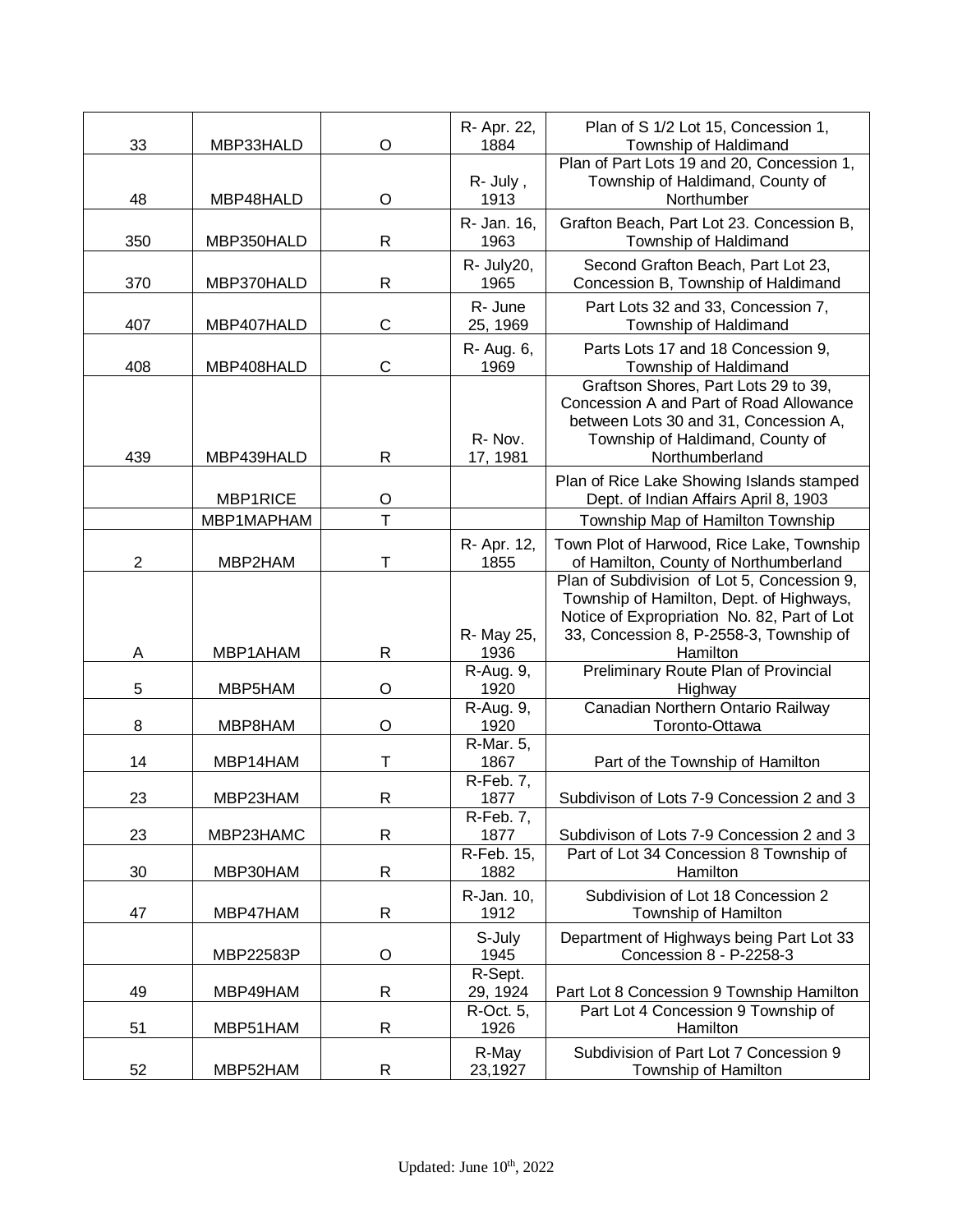| 33             | MBP33HALD  | O              | R- Apr. 22,<br>1884             | Plan of S 1/2 Lot 15, Concession 1,<br>Township of Haldimand                                                                                                                                  |
|----------------|------------|----------------|---------------------------------|-----------------------------------------------------------------------------------------------------------------------------------------------------------------------------------------------|
| 48             | MBP48HALD  | O              | R- July,<br>1913                | Plan of Part Lots 19 and 20, Concession 1,<br>Township of Haldimand, County of<br>Northumber                                                                                                  |
| 350            | MBP350HALD | R              | R- Jan. 16,<br>1963             | Grafton Beach, Part Lot 23. Concession B,<br>Township of Haldimand                                                                                                                            |
| 370            | MBP370HALD | R              | R- July20,<br>1965              | Second Grafton Beach, Part Lot 23,<br>Concession B, Township of Haldimand                                                                                                                     |
| 407            | MBP407HALD | $\mathsf{C}$   | R- June<br>25, 1969             | Part Lots 32 and 33, Concession 7,<br>Township of Haldimand                                                                                                                                   |
| 408            | MBP408HALD | $\mathsf C$    | R- Aug. 6,<br>1969              | Parts Lots 17 and 18 Concession 9,<br>Township of Haldimand                                                                                                                                   |
| 439            | MBP439HALD | $\mathsf{R}$   | R-Nov.<br>17, 1981              | Graftson Shores, Part Lots 29 to 39,<br>Concession A and Part of Road Allowance<br>between Lots 30 and 31, Concession A,<br>Township of Haldimand, County of<br>Northumberland                |
|                | MBP1RICE   | O              |                                 | Plan of Rice Lake Showing Islands stamped<br>Dept. of Indian Affairs April 8, 1903                                                                                                            |
|                | MBP1MAPHAM | $\overline{T}$ |                                 | Township Map of Hamilton Township                                                                                                                                                             |
| $\overline{2}$ | MBP2HAM    | т              | R- Apr. 12,<br>1855             | Town Plot of Harwood, Rice Lake, Township<br>of Hamilton, County of Northumberland                                                                                                            |
| Α              | MBP1AHAM   | $\mathsf{R}$   | R- May 25,<br>1936              | Plan of Subdivision of Lot 5, Concession 9,<br>Township of Hamilton, Dept. of Highways,<br>Notice of Expropriation No. 82, Part of Lot<br>33, Concession 8, P-2558-3, Township of<br>Hamilton |
| 5              | MBP5HAM    | O              | R-Aug. 9,<br>1920               | Preliminary Route Plan of Provincial<br>Highway                                                                                                                                               |
| 8              | MBP8HAM    | O              | R-Aug. 9,<br>1920               | Canadian Northern Ontario Railway<br>Toronto-Ottawa                                                                                                                                           |
| 14             | MBP14HAM   | Т              | R-Mar. 5,<br>1867               | Part of the Township of Hamilton                                                                                                                                                              |
| 23             | MBP23HAM   | R              | R-Feb. 7,<br>1877               | Subdivison of Lots 7-9 Concession 2 and 3                                                                                                                                                     |
| 23             | MBP23HAMC  | R              | R-Feb. 7,<br>1877<br>R-Feb. 15, | Subdivison of Lots 7-9 Concession 2 and 3<br>Part of Lot 34 Concession 8 Township of                                                                                                          |
| 30             | MBP30HAM   | R              | 1882                            | Hamilton                                                                                                                                                                                      |
| 47             | MBP47HAM   | R              | R-Jan. 10,<br>1912              | Subdivision of Lot 18 Concession 2<br>Township of Hamilton                                                                                                                                    |
|                | MBP22583P  | O              | S-July<br>1945                  | Department of Highways being Part Lot 33<br>Concession 8 - P-2258-3                                                                                                                           |
| 49             | MBP49HAM   | R              | R-Sept.<br>29, 1924             | Part Lot 8 Concession 9 Township Hamilton                                                                                                                                                     |
| 51             | MBP51HAM   | $\mathsf{R}$   | R-Oct. 5,<br>1926               | Part Lot 4 Concession 9 Township of<br>Hamilton                                                                                                                                               |
| 52             | MBP52HAM   | R              | R-May<br>23,1927                | Subdivision of Part Lot 7 Concession 9<br>Township of Hamilton                                                                                                                                |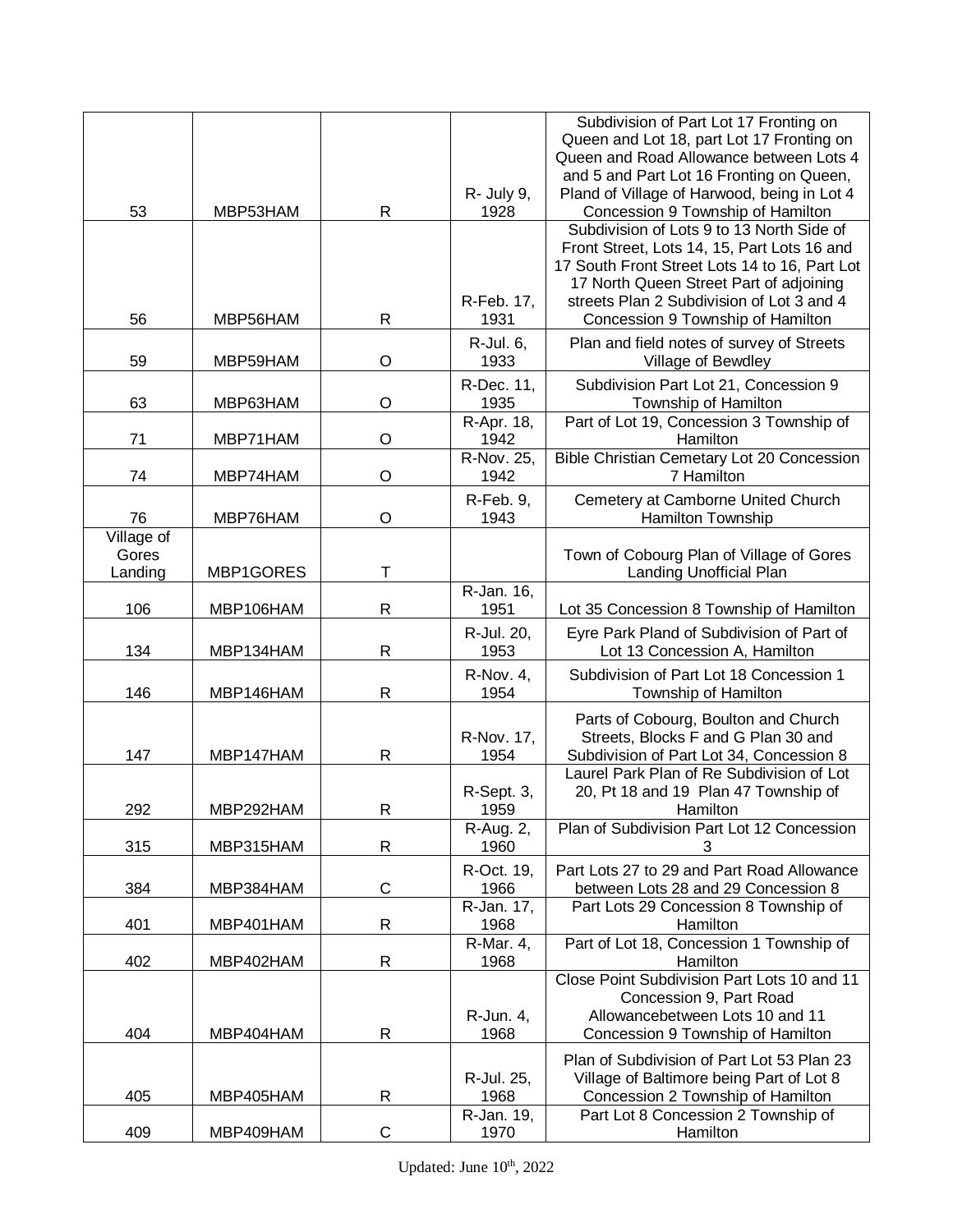|            |           |              |                    | Subdivision of Part Lot 17 Fronting on                                          |
|------------|-----------|--------------|--------------------|---------------------------------------------------------------------------------|
|            |           |              |                    | Queen and Lot 18, part Lot 17 Fronting on                                       |
|            |           |              |                    | Queen and Road Allowance between Lots 4                                         |
|            |           |              |                    | and 5 and Part Lot 16 Fronting on Queen,                                        |
|            |           |              | R- July 9,         | Pland of Village of Harwood, being in Lot 4                                     |
| 53         | MBP53HAM  | R            | 1928               | Concession 9 Township of Hamilton                                               |
|            |           |              |                    | Subdivision of Lots 9 to 13 North Side of                                       |
|            |           |              |                    | Front Street, Lots 14, 15, Part Lots 16 and                                     |
|            |           |              |                    | 17 South Front Street Lots 14 to 16, Part Lot                                   |
|            |           |              |                    | 17 North Queen Street Part of adjoining                                         |
|            |           |              | R-Feb. 17,         | streets Plan 2 Subdivision of Lot 3 and 4                                       |
| 56         | MBP56HAM  | R            | 1931               | Concession 9 Township of Hamilton                                               |
|            |           |              | R-Jul. 6,          | Plan and field notes of survey of Streets                                       |
| 59         | MBP59HAM  | O            | 1933               | Village of Bewdley                                                              |
|            |           |              | R-Dec. 11,         | Subdivision Part Lot 21, Concession 9                                           |
| 63         | MBP63HAM  | O            | 1935               | Township of Hamilton                                                            |
|            |           |              | R-Apr. 18,         | Part of Lot 19, Concession 3 Township of                                        |
| 71         | MBP71HAM  | O            | 1942               | Hamilton                                                                        |
|            |           |              | R-Nov. 25,         | Bible Christian Cemetary Lot 20 Concession                                      |
| 74         | MBP74HAM  | O            | 1942               | 7 Hamilton                                                                      |
|            |           |              | R-Feb. 9,          | Cemetery at Camborne United Church                                              |
| 76         | MBP76HAM  | O            | 1943               | Hamilton Township                                                               |
| Village of |           |              |                    |                                                                                 |
| Gores      |           |              |                    | Town of Cobourg Plan of Village of Gores                                        |
| Landing    | MBP1GORES | т            |                    | Landing Unofficial Plan                                                         |
|            |           |              | R-Jan. 16,         |                                                                                 |
| 106        | MBP106HAM | R            | 1951               | Lot 35 Concession 8 Township of Hamilton                                        |
|            |           |              | R-Jul. 20,         | Eyre Park Pland of Subdivision of Part of                                       |
| 134        | MBP134HAM | R            | 1953               | Lot 13 Concession A, Hamilton                                                   |
|            |           |              | <b>R-Nov. 4,</b>   | Subdivision of Part Lot 18 Concession 1                                         |
| 146        | MBP146HAM | R            | 1954               | Township of Hamilton                                                            |
|            |           |              |                    |                                                                                 |
|            |           |              |                    | Parts of Cobourg, Boulton and Church                                            |
| 147        | MBP147HAM | R            | R-Nov. 17,<br>1954 | Streets, Blocks F and G Plan 30 and<br>Subdivision of Part Lot 34, Concession 8 |
|            |           |              |                    | Laurel Park Plan of Re Subdivision of Lot                                       |
|            |           |              | R-Sept. 3,         | 20, Pt 18 and 19 Plan 47 Township of                                            |
| 292        | MBP292HAM | $\mathsf{R}$ | 1959               | <b>Example 1</b> Hamilton                                                       |
|            |           |              | R-Aug. 2,          | Plan of Subdivision Part Lot 12 Concession                                      |
| 315        | MBP315HAM | R            | 1960               | 3                                                                               |
|            |           |              | R-Oct. 19,         | Part Lots 27 to 29 and Part Road Allowance                                      |
| 384        | MBP384HAM | C            | 1966               | between Lots 28 and 29 Concession 8                                             |
|            |           |              | R-Jan. 17,         | Part Lots 29 Concession 8 Township of                                           |
| 401        | MBP401HAM | R            | 1968               | Hamilton                                                                        |
|            |           |              | R-Mar. 4,          | Part of Lot 18, Concession 1 Township of                                        |
| 402        | MBP402HAM | R            | 1968               | Hamilton                                                                        |
|            |           |              |                    | Close Point Subdivision Part Lots 10 and 11                                     |
|            |           |              |                    | Concession 9, Part Road                                                         |
|            |           |              | R-Jun. 4,          | Allowancebetween Lots 10 and 11                                                 |
| 404        | MBP404HAM | R            | 1968               | Concession 9 Township of Hamilton                                               |
|            |           |              |                    | Plan of Subdivision of Part Lot 53 Plan 23                                      |
|            |           |              | R-Jul. 25,         | Village of Baltimore being Part of Lot 8                                        |
| 405        | MBP405HAM | R            | 1968               | Concession 2 Township of Hamilton                                               |
|            |           |              | R-Jan. 19,         | Part Lot 8 Concession 2 Township of                                             |
| 409        | MBP409HAM | $\mathsf C$  | 1970               | Hamilton                                                                        |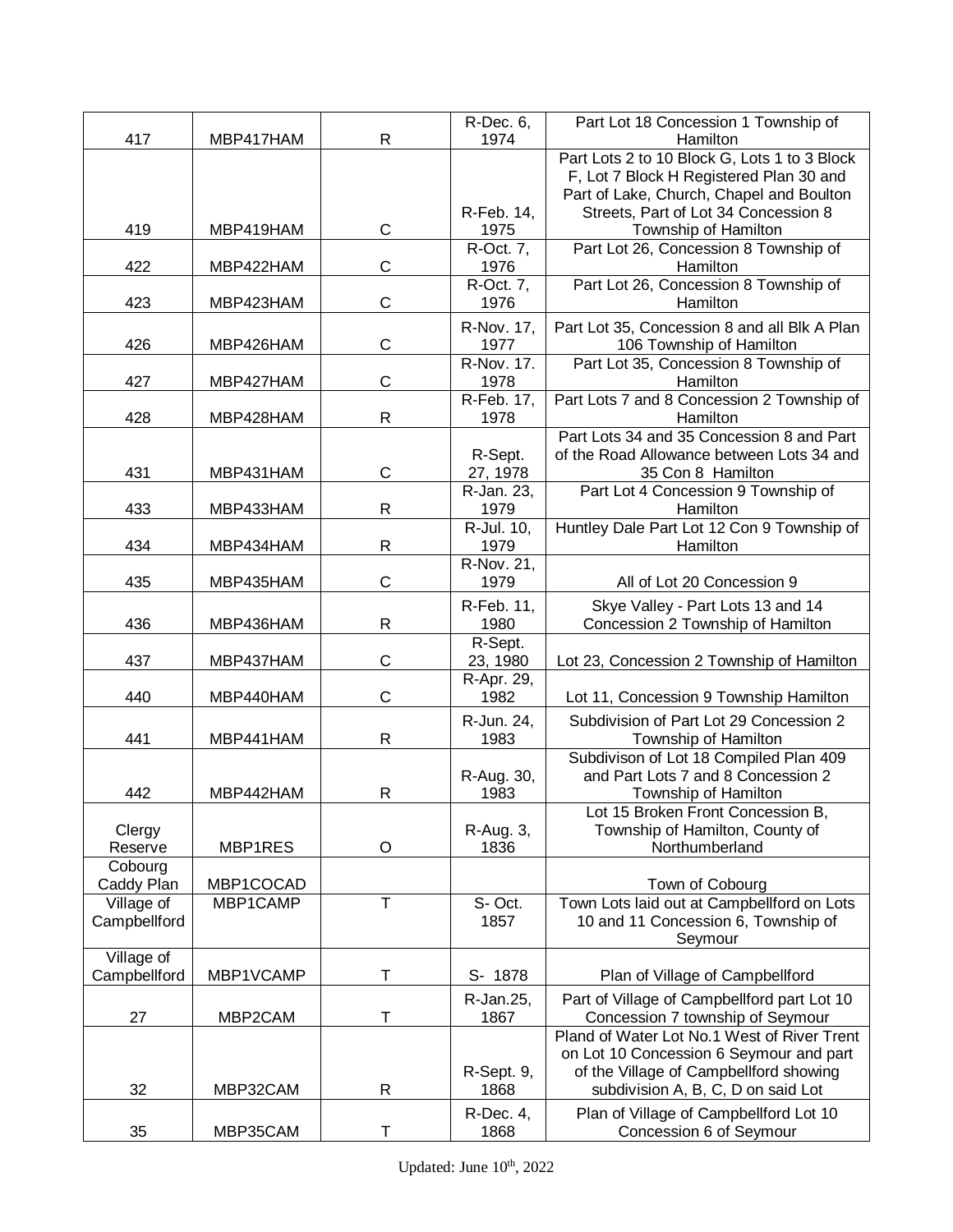|              |           |                         | R-Dec. 6,               | Part Lot 18 Concession 1 Township of         |
|--------------|-----------|-------------------------|-------------------------|----------------------------------------------|
| 417          | MBP417HAM | R                       | 1974                    | Hamilton                                     |
|              |           |                         |                         | Part Lots 2 to 10 Block G, Lots 1 to 3 Block |
|              |           |                         |                         | F, Lot 7 Block H Registered Plan 30 and      |
|              |           |                         |                         | Part of Lake, Church, Chapel and Boulton     |
|              |           |                         | R-Feb. 14,              | Streets, Part of Lot 34 Concession 8         |
| 419          | MBP419HAM | C                       | 1975                    | Township of Hamilton                         |
|              |           |                         | $\overline{R}$ -Oct. 7, | Part Lot 26, Concession 8 Township of        |
| 422          | MBP422HAM | C                       | 1976                    | Hamilton                                     |
|              |           |                         | R-Oct. 7,               | Part Lot 26, Concession 8 Township of        |
| 423          | MBP423HAM | $\mathsf C$             | 1976                    | Hamilton                                     |
|              |           |                         | R-Nov. 17,              | Part Lot 35, Concession 8 and all Blk A Plan |
| 426          | MBP426HAM | $\mathsf{C}$            | 1977                    | 106 Township of Hamilton                     |
|              |           |                         | R-Nov. 17.              | Part Lot 35, Concession 8 Township of        |
| 427          | MBP427HAM | $\mathsf{C}$            | 1978                    | Hamilton                                     |
|              |           |                         | R-Feb. 17,              |                                              |
|              |           |                         |                         | Part Lots 7 and 8 Concession 2 Township of   |
| 428          | MBP428HAM | $\mathsf{R}$            | 1978                    | Hamilton                                     |
|              |           |                         |                         | Part Lots 34 and 35 Concession 8 and Part    |
|              |           |                         | R-Sept.                 | of the Road Allowance between Lots 34 and    |
| 431          | MBP431HAM | $\mathsf{C}$            | 27, 1978                | 35 Con 8 Hamilton                            |
|              |           |                         | R-Jan. 23,              | Part Lot 4 Concession 9 Township of          |
| 433          | MBP433HAM | $\mathsf{R}$            | 1979                    | Hamilton                                     |
|              |           |                         | R-Jul. 10,              | Huntley Dale Part Lot 12 Con 9 Township of   |
| 434          | MBP434HAM | R                       | 1979                    | Hamilton                                     |
|              |           |                         | R-Nov. 21,              |                                              |
| 435          | MBP435HAM | $\mathsf{C}$            | 1979                    | All of Lot 20 Concession 9                   |
|              |           |                         | R-Feb. 11,              | Skye Valley - Part Lots 13 and 14            |
| 436          | MBP436HAM | $\mathsf{R}$            | 1980                    | Concession 2 Township of Hamilton            |
|              |           |                         |                         |                                              |
| 437          |           | $\mathsf{C}$            | R-Sept.                 |                                              |
|              | MBP437HAM |                         | 23, 1980                | Lot 23, Concession 2 Township of Hamilton    |
|              |           |                         | R-Apr. 29,              |                                              |
| 440          | MBP440HAM | $\mathsf{C}$            | 1982                    | Lot 11, Concession 9 Township Hamilton       |
|              |           |                         | R-Jun. 24,              | Subdivision of Part Lot 29 Concession 2      |
| 441          | MBP441HAM | $\mathsf{R}$            | 1983                    | Township of Hamilton                         |
|              |           |                         |                         | Subdivison of Lot 18 Compiled Plan 409       |
|              |           |                         | R-Aug. 30,              | and Part Lots 7 and 8 Concession 2           |
| 442          | MBP442HAM | R                       | 1983                    | Township of Hamilton                         |
|              |           |                         |                         | Lot 15 Broken Front Concession B,            |
| Clergy       |           |                         | R-Aug. 3,               | Township of Hamilton, County of              |
| Reserve      | MBP1RES   | $\circ$                 | 1836                    | Northumberland                               |
| Cobourg      |           |                         |                         |                                              |
| Caddy Plan   | MBP1COCAD |                         |                         | Town of Cobourg                              |
| Village of   | MBP1CAMP  | $\overline{\mathsf{T}}$ | S-Oct.                  | Town Lots laid out at Campbellford on Lots   |
| Campbellford |           |                         | 1857                    | 10 and 11 Concession 6, Township of          |
|              |           |                         |                         | Seymour                                      |
| Village of   |           |                         |                         |                                              |
| Campbellford | MBP1VCAMP | т                       | S- 1878                 |                                              |
|              |           |                         |                         | Plan of Village of Campbellford              |
|              |           |                         | R-Jan.25,               | Part of Village of Campbellford part Lot 10  |
| 27           | MBP2CAM   | T                       | 1867                    | Concession 7 township of Seymour             |
|              |           |                         |                         | Pland of Water Lot No.1 West of River Trent  |
|              |           |                         |                         | on Lot 10 Concession 6 Seymour and part      |
|              |           |                         | R-Sept. 9,              | of the Village of Campbellford showing       |
| 32           | MBP32CAM  | R                       | 1868                    | subdivision A, B, C, D on said Lot           |
|              |           |                         | R-Dec. 4,               | Plan of Village of Campbellford Lot 10       |
| 35           | MBP35CAM  | Τ                       | 1868                    | Concession 6 of Seymour                      |
|              |           |                         |                         |                                              |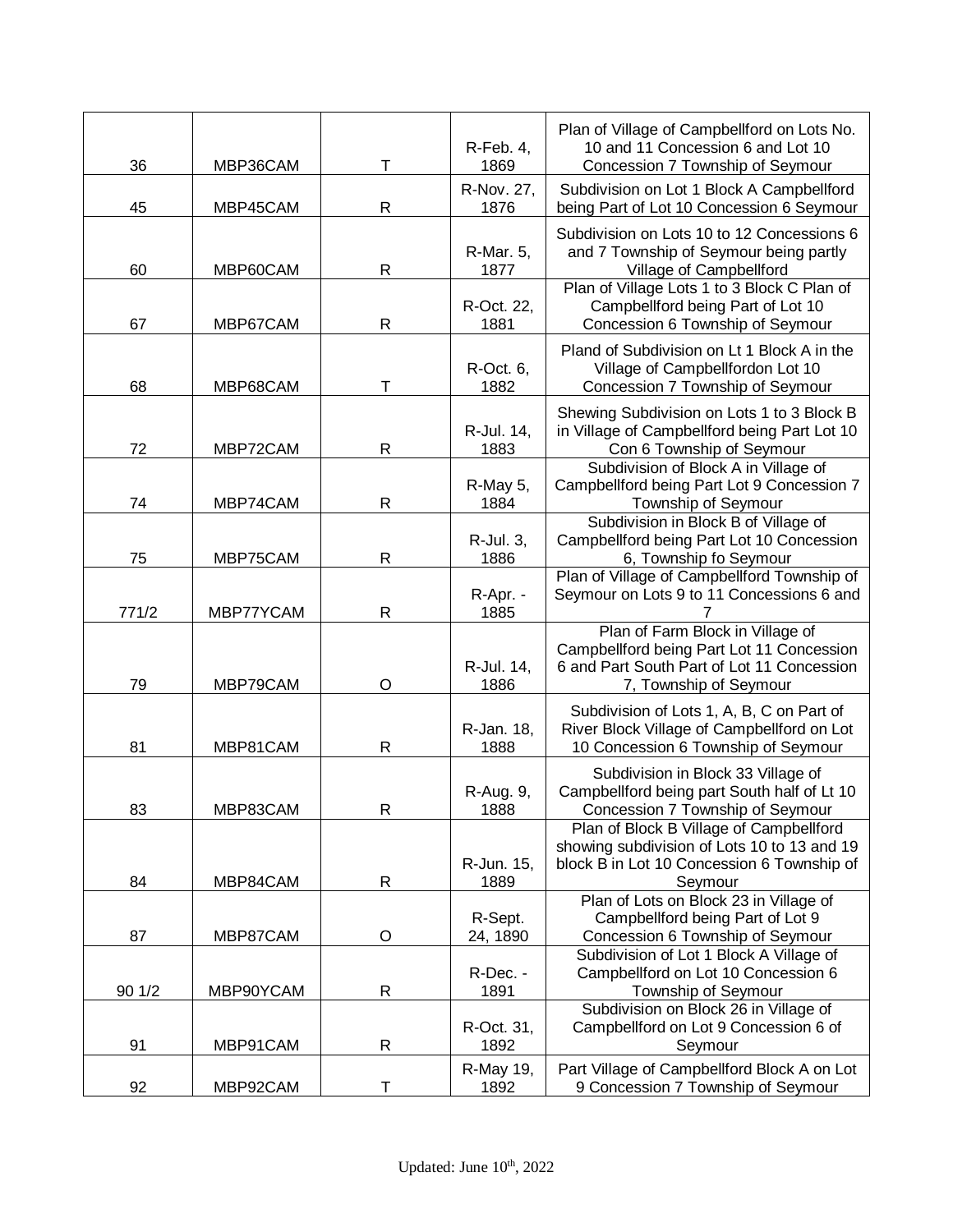| 36     | MBP36CAM  | Т            | R-Feb. 4,<br>1869   | Plan of Village of Campbellford on Lots No.<br>10 and 11 Concession 6 and Lot 10<br>Concession 7 Township of Seymour                                           |
|--------|-----------|--------------|---------------------|----------------------------------------------------------------------------------------------------------------------------------------------------------------|
| 45     | MBP45CAM  | R            | R-Nov. 27,<br>1876  | Subdivision on Lot 1 Block A Campbellford<br>being Part of Lot 10 Concession 6 Seymour                                                                         |
| 60     | MBP60CAM  | R            | R-Mar. 5,<br>1877   | Subdivision on Lots 10 to 12 Concessions 6<br>and 7 Township of Seymour being partly<br>Village of Campbellford<br>Plan of Village Lots 1 to 3 Block C Plan of |
| 67     | MBP67CAM  | R            | R-Oct. 22,<br>1881  | Campbellford being Part of Lot 10<br>Concession 6 Township of Seymour                                                                                          |
| 68     | MBP68CAM  | Т            | R-Oct. 6,<br>1882   | Pland of Subdivision on Lt 1 Block A in the<br>Village of Campbellfordon Lot 10<br>Concession 7 Township of Seymour                                            |
| 72     | MBP72CAM  | R            | R-Jul. 14,<br>1883  | Shewing Subdivision on Lots 1 to 3 Block B<br>in Village of Campbellford being Part Lot 10<br>Con 6 Township of Seymour                                        |
| 74     | MBP74CAM  | $\mathsf{R}$ | R-May 5,<br>1884    | Subdivision of Block A in Village of<br>Campbellford being Part Lot 9 Concession 7<br>Township of Seymour                                                      |
| 75     | MBP75CAM  | R            | R-Jul. 3,<br>1886   | Subdivision in Block B of Village of<br>Campbellford being Part Lot 10 Concession<br>6, Township fo Seymour                                                    |
| 771/2  | MBP77YCAM | R            | R-Apr. -<br>1885    | Plan of Village of Campbellford Township of<br>Seymour on Lots 9 to 11 Concessions 6 and                                                                       |
| 79     | MBP79CAM  | O            | R-Jul. 14,<br>1886  | Plan of Farm Block in Village of<br>Campbellford being Part Lot 11 Concession<br>6 and Part South Part of Lot 11 Concession<br>7, Township of Seymour          |
| 81     | MBP81CAM  | $\mathsf{R}$ | R-Jan. 18,<br>1888  | Subdivision of Lots 1, A, B, C on Part of<br>River Block Village of Campbellford on Lot<br>10 Concession 6 Township of Seymour                                 |
| 83     | MBP83CAM  | R            | R-Aug. 9,<br>1888   | Subdivision in Block 33 Village of<br>Campbellford being part South half of Lt 10<br>Concession 7 Township of Seymour                                          |
| 84     | MBP84CAM  | R            | R-Jun. 15,<br>1889  | Plan of Block B Village of Campbellford<br>showing subdivision of Lots 10 to 13 and 19<br>block B in Lot 10 Concession 6 Township of<br>Seymour                |
| 87     | MBP87CAM  | $\mathsf O$  | R-Sept.<br>24, 1890 | Plan of Lots on Block 23 in Village of<br>Campbellford being Part of Lot 9<br>Concession 6 Township of Seymour                                                 |
| 90 1/2 | MBP90YCAM | $\mathsf{R}$ | R-Dec. -<br>1891    | Subdivision of Lot 1 Block A Village of<br>Campbellford on Lot 10 Concession 6<br>Township of Seymour                                                          |
| 91     | MBP91CAM  | $\mathsf{R}$ | R-Oct. 31,<br>1892  | Subdivision on Block 26 in Village of<br>Campbellford on Lot 9 Concession 6 of<br>Seymour                                                                      |
| 92     | MBP92CAM  | Т            | R-May 19,<br>1892   | Part Village of Campbellford Block A on Lot<br>9 Concession 7 Township of Seymour                                                                              |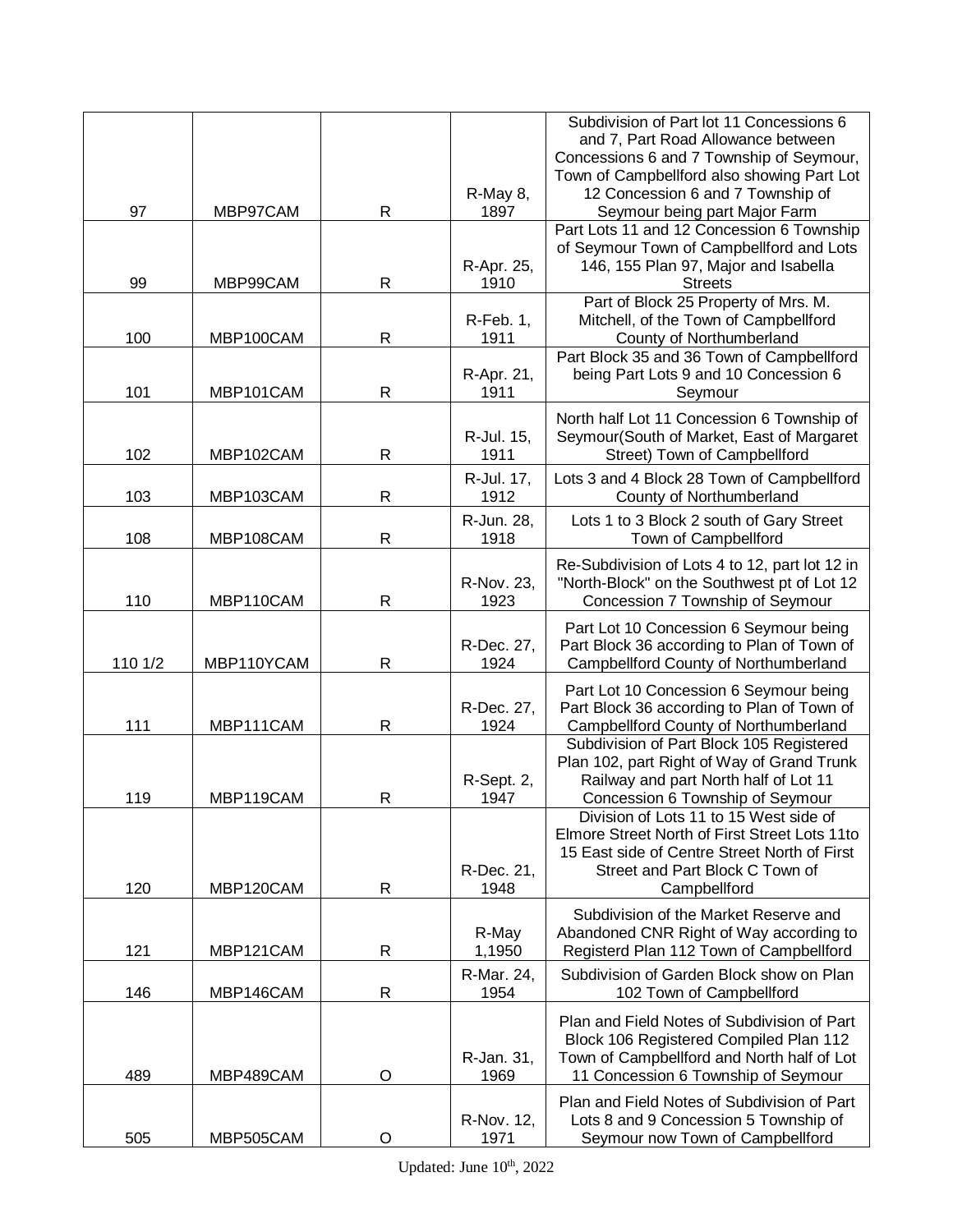|         |            |              |                    | Subdivision of Part lot 11 Concessions 6                                   |
|---------|------------|--------------|--------------------|----------------------------------------------------------------------------|
|         |            |              |                    | and 7, Part Road Allowance between                                         |
|         |            |              |                    | Concessions 6 and 7 Township of Seymour,                                   |
|         |            |              |                    | Town of Campbellford also showing Part Lot                                 |
|         |            |              | R-May 8,           | 12 Concession 6 and 7 Township of                                          |
| 97      | MBP97CAM   | $\mathsf{R}$ | 1897               | Seymour being part Major Farm<br>Part Lots 11 and 12 Concession 6 Township |
|         |            |              |                    | of Seymour Town of Campbellford and Lots                                   |
|         |            |              | R-Apr. 25,         | 146, 155 Plan 97, Major and Isabella                                       |
| 99      | MBP99CAM   | $\mathsf{R}$ | 1910               | <b>Streets</b>                                                             |
|         |            |              |                    | Part of Block 25 Property of Mrs. M.                                       |
|         |            |              | $R$ -Feb. 1,       | Mitchell, of the Town of Campbellford                                      |
| 100     | MBP100CAM  | R            | 1911               | County of Northumberland                                                   |
|         |            |              |                    | Part Block 35 and 36 Town of Campbellford                                  |
|         |            |              | R-Apr. 21,         | being Part Lots 9 and 10 Concession 6                                      |
| 101     | MBP101CAM  | $\mathsf{R}$ | 1911               | Seymour                                                                    |
|         |            |              |                    | North half Lot 11 Concession 6 Township of                                 |
|         |            |              | R-Jul. 15,         | Seymour(South of Market, East of Margaret                                  |
| 102     | MBP102CAM  | $\mathsf{R}$ | 1911               | Street) Town of Campbellford                                               |
|         |            |              | R-Jul. 17,         | Lots 3 and 4 Block 28 Town of Campbellford                                 |
| 103     | MBP103CAM  | $\mathsf{R}$ | 1912               | County of Northumberland                                                   |
|         |            |              | R-Jun. 28,         | Lots 1 to 3 Block 2 south of Gary Street                                   |
| 108     | MBP108CAM  | R            | 1918               | Town of Campbellford                                                       |
|         |            |              |                    |                                                                            |
|         |            |              |                    | Re-Subdivision of Lots 4 to 12, part lot 12 in                             |
| 110     |            |              | R-Nov. 23,<br>1923 | "North-Block" on the Southwest pt of Lot 12                                |
|         | MBP110CAM  | $\mathsf R$  |                    | Concession 7 Township of Seymour                                           |
|         |            |              |                    | Part Lot 10 Concession 6 Seymour being                                     |
|         |            |              | R-Dec. 27,         | Part Block 36 according to Plan of Town of                                 |
| 110 1/2 | MBP110YCAM | $\mathsf R$  | 1924               | Campbellford County of Northumberland                                      |
|         |            |              |                    | Part Lot 10 Concession 6 Seymour being                                     |
|         |            |              | R-Dec. 27,         | Part Block 36 according to Plan of Town of                                 |
| 111     | MBP111CAM  | $\mathsf{R}$ | 1924               | Campbellford County of Northumberland                                      |
|         |            |              |                    | Subdivision of Part Block 105 Registered                                   |
|         |            |              |                    | Plan 102, part Right of Way of Grand Trunk                                 |
|         |            |              | R-Sept. 2,         | Railway and part North half of Lot 11                                      |
| 119     | MBP119CAM  | $\mathsf R$  | 1947               | Concession 6 Township of Seymour<br>Division of Lots 11 to 15 West side of |
|         |            |              |                    | Elmore Street North of First Street Lots 11to                              |
|         |            |              |                    | 15 East side of Centre Street North of First                               |
|         |            |              | R-Dec. 21,         | Street and Part Block C Town of                                            |
| 120     | MBP120CAM  | R            | 1948               | Campbellford                                                               |
|         |            |              |                    | Subdivision of the Market Reserve and                                      |
|         |            |              | R-May              | Abandoned CNR Right of Way according to                                    |
| 121     | MBP121CAM  | $\mathsf{R}$ | 1,1950             | Registerd Plan 112 Town of Campbellford                                    |
|         |            |              |                    | Subdivision of Garden Block show on Plan                                   |
| 146     | MBP146CAM  | $\mathsf{R}$ | R-Mar. 24,<br>1954 | 102 Town of Campbellford                                                   |
|         |            |              |                    |                                                                            |
|         |            |              |                    | Plan and Field Notes of Subdivision of Part                                |
|         |            |              |                    | Block 106 Registered Compiled Plan 112                                     |
|         |            |              | R-Jan. 31,         | Town of Campbellford and North half of Lot                                 |
| 489     | MBP489CAM  | O            | 1969               | 11 Concession 6 Township of Seymour                                        |
|         |            |              |                    | Plan and Field Notes of Subdivision of Part                                |
|         |            |              | R-Nov. 12,         | Lots 8 and 9 Concession 5 Township of                                      |
| 505     | MBP505CAM  | O            | 1971               | Seymour now Town of Campbellford                                           |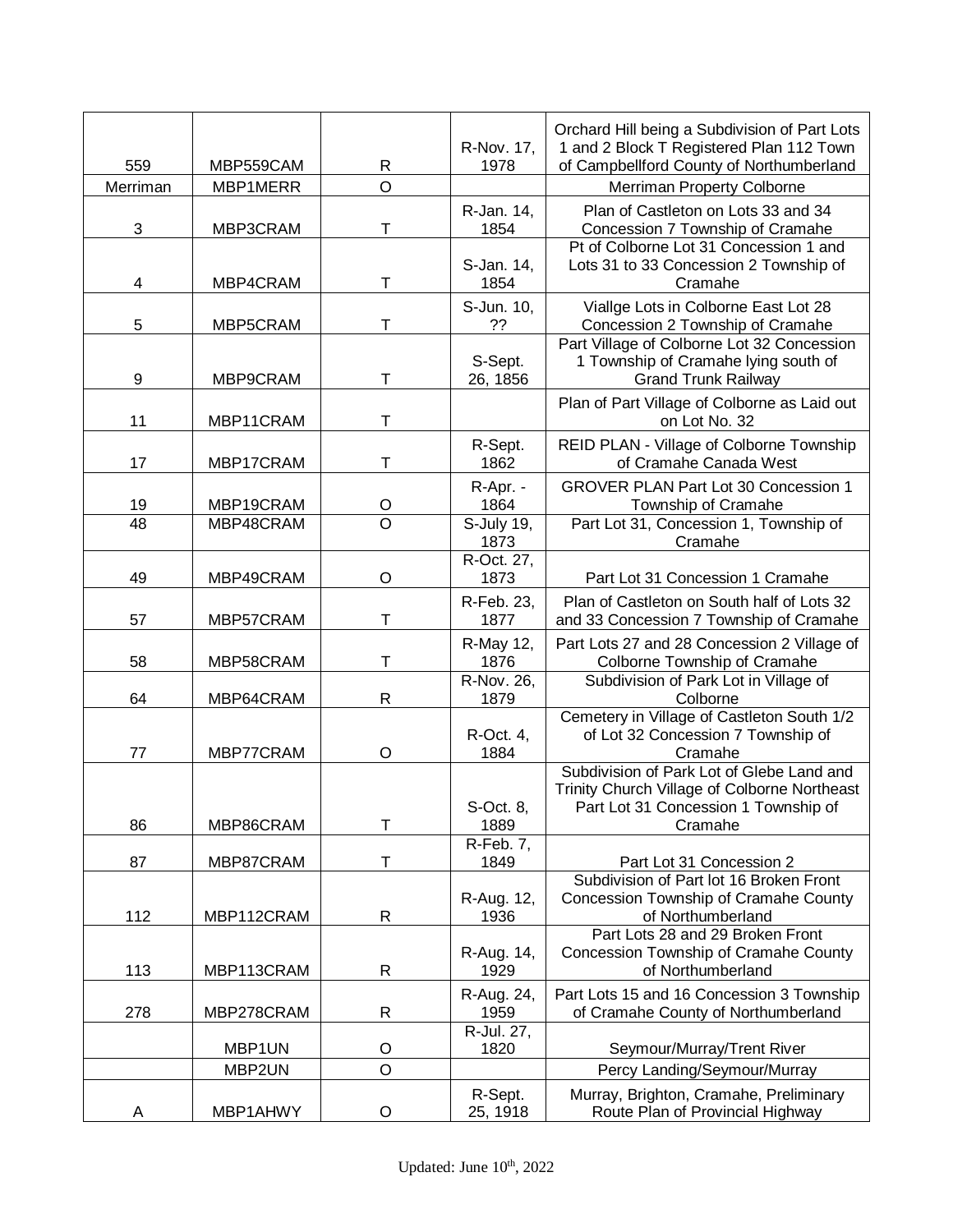|                 |                       |                     | R-Nov. 17,          | Orchard Hill being a Subdivision of Part Lots<br>1 and 2 Block T Registered Plan 112 Town                                                    |
|-----------------|-----------------------|---------------------|---------------------|----------------------------------------------------------------------------------------------------------------------------------------------|
| 559<br>Merriman | MBP559CAM<br>MBP1MERR | R<br>$\overline{O}$ | 1978                | of Campbellford County of Northumberland                                                                                                     |
|                 |                       |                     |                     | Merriman Property Colborne                                                                                                                   |
| 3               | MBP3CRAM              | T                   | R-Jan. 14,<br>1854  | Plan of Castleton on Lots 33 and 34<br>Concession 7 Township of Cramahe                                                                      |
| 4               | MBP4CRAM              | Т                   | S-Jan. 14,<br>1854  | Pt of Colborne Lot 31 Concession 1 and<br>Lots 31 to 33 Concession 2 Township of<br>Cramahe                                                  |
| 5               | MBP5CRAM              | т                   | S-Jun. 10,<br>??    | Vialige Lots in Colborne East Lot 28<br>Concession 2 Township of Cramahe                                                                     |
| 9               | MBP9CRAM              | T                   | S-Sept.<br>26, 1856 | Part Village of Colborne Lot 32 Concession<br>1 Township of Cramahe lying south of<br><b>Grand Trunk Railway</b>                             |
| 11              | MBP11CRAM             | т                   |                     | Plan of Part Village of Colborne as Laid out<br>on Lot No. 32                                                                                |
| 17              | MBP17CRAM             | т                   | R-Sept.<br>1862     | REID PLAN - Village of Colborne Township<br>of Cramahe Canada West                                                                           |
| 19              | MBP19CRAM             | O                   | R-Apr. -<br>1864    | <b>GROVER PLAN Part Lot 30 Concession 1</b><br>Township of Cramahe                                                                           |
| $\overline{48}$ | MBP48CRAM             | $\overline{\rm o}$  | S-July 19,<br>1873  | Part Lot 31, Concession 1, Township of<br>Cramahe                                                                                            |
| 49              | MBP49CRAM             | O                   | R-Oct. 27,<br>1873  | Part Lot 31 Concession 1 Cramahe                                                                                                             |
| 57              | MBP57CRAM             | T                   | R-Feb. 23,<br>1877  | Plan of Castleton on South half of Lots 32<br>and 33 Concession 7 Township of Cramahe                                                        |
| 58              | MBP58CRAM             | т                   | R-May 12,<br>1876   | Part Lots 27 and 28 Concession 2 Village of<br>Colborne Township of Cramahe                                                                  |
| 64              | MBP64CRAM             | $\mathsf{R}$        | R-Nov. 26,<br>1879  | Subdivision of Park Lot in Village of<br>Colborne                                                                                            |
| 77              | MBP77CRAM             | O                   | R-Oct. 4,<br>1884   | Cemetery in Village of Castleton South 1/2<br>of Lot 32 Concession 7 Township of<br>Cramahe                                                  |
| 86              | MBP86CRAM             | T                   | S-Oct. 8,<br>1889   | Subdivision of Park Lot of Glebe Land and<br>Trinity Church Village of Colborne Northeast<br>Part Lot 31 Concession 1 Township of<br>Cramahe |
| 87              | MBP87CRAM             | T                   | R-Feb. 7,<br>1849   | Part Lot 31 Concession 2                                                                                                                     |
| 112             | MBP112CRAM            | R                   | R-Aug. 12,<br>1936  | Subdivision of Part lot 16 Broken Front<br>Concession Township of Cramahe County<br>of Northumberland                                        |
| 113             | MBP113CRAM            | R                   | R-Aug. 14,<br>1929  | Part Lots 28 and 29 Broken Front<br>Concession Township of Cramahe County<br>of Northumberland                                               |
| 278             | MBP278CRAM            | R                   | R-Aug. 24,<br>1959  | Part Lots 15 and 16 Concession 3 Township<br>of Cramahe County of Northumberland                                                             |
|                 | MBP1UN                | O                   | R-Jul. 27,<br>1820  | Seymour/Murray/Trent River                                                                                                                   |
|                 | MBP2UN                | $\circ$             |                     | Percy Landing/Seymour/Murray                                                                                                                 |
| A               | MBP1AHWY              | O                   | R-Sept.<br>25, 1918 | Murray, Brighton, Cramahe, Preliminary<br>Route Plan of Provincial Highway                                                                   |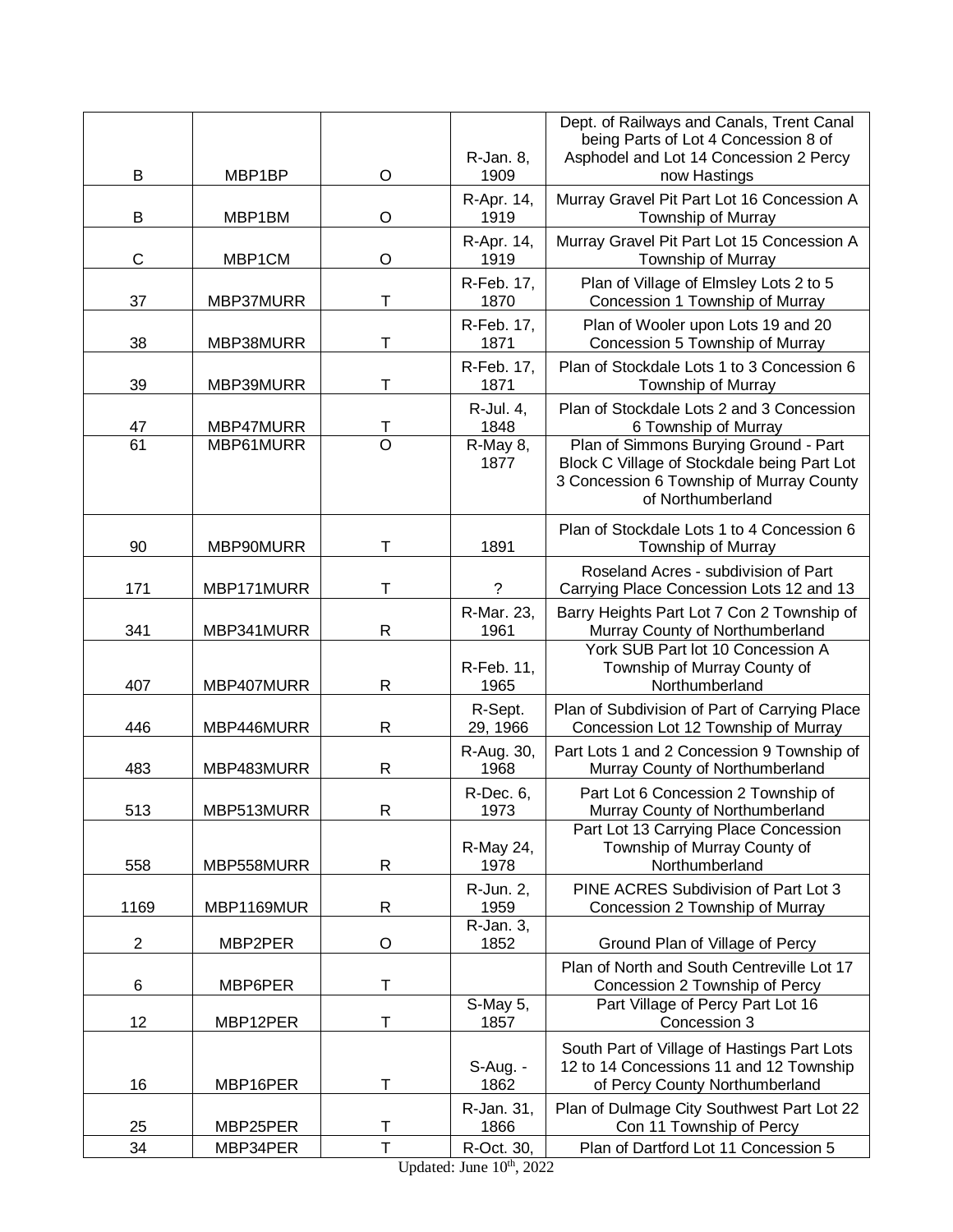|                |            |                | R-Jan. 8,           | Dept. of Railways and Canals, Trent Canal<br>being Parts of Lot 4 Concession 8 of<br>Asphodel and Lot 14 Concession 2 Percy                           |
|----------------|------------|----------------|---------------------|-------------------------------------------------------------------------------------------------------------------------------------------------------|
| B              | MBP1BP     | $\circ$        | 1909<br>R-Apr. 14,  | now Hastings<br>Murray Gravel Pit Part Lot 16 Concession A                                                                                            |
| B              | MBP1BM     | $\circ$        | 1919<br>R-Apr. 14,  | Township of Murray<br>Murray Gravel Pit Part Lot 15 Concession A                                                                                      |
| $\mathsf C$    | MBP1CM     | $\circ$        | 1919                | Township of Murray                                                                                                                                    |
| 37             | MBP37MURR  | T              | R-Feb. 17,<br>1870  | Plan of Village of Elmsley Lots 2 to 5<br>Concession 1 Township of Murray                                                                             |
| 38             | MBP38MURR  | Т              | R-Feb. 17,<br>1871  | Plan of Wooler upon Lots 19 and 20<br>Concession 5 Township of Murray                                                                                 |
| 39             | MBP39MURR  | т              | R-Feb. 17,<br>1871  | Plan of Stockdale Lots 1 to 3 Concession 6<br>Township of Murray                                                                                      |
| 47             | MBP47MURR  | Т              | R-Jul. 4,<br>1848   | Plan of Stockdale Lots 2 and 3 Concession<br>6 Township of Murray                                                                                     |
| 61             | MBP61MURR  | $\overline{O}$ | R-May 8,<br>1877    | Plan of Simmons Burying Ground - Part<br>Block C Village of Stockdale being Part Lot<br>3 Concession 6 Township of Murray County<br>of Northumberland |
| 90             | MBP90MURR  | T              | 1891                | Plan of Stockdale Lots 1 to 4 Concession 6<br>Township of Murray                                                                                      |
| 171            | MBP171MURR | Т              | ?                   | Roseland Acres - subdivision of Part<br>Carrying Place Concession Lots 12 and 13                                                                      |
| 341            | MBP341MURR | R              | R-Mar. 23,<br>1961  | Barry Heights Part Lot 7 Con 2 Township of<br>Murray County of Northumberland                                                                         |
| 407            | MBP407MURR | R              | R-Feb. 11,<br>1965  | York SUB Part lot 10 Concession A<br>Township of Murray County of<br>Northumberland                                                                   |
| 446            | MBP446MURR | $\mathsf{R}$   | R-Sept.<br>29, 1966 | Plan of Subdivision of Part of Carrying Place<br>Concession Lot 12 Township of Murray                                                                 |
| 483            | MBP483MURR | $\mathsf{R}$   | R-Aug. 30,<br>1968  | Part Lots 1 and 2 Concession 9 Township of<br>Murray County of Northumberland                                                                         |
| 513            | MBP513MURR | R              | R-Dec. 6,<br>1973   | Part Lot 6 Concession 2 Township of<br>Murray County of Northumberland                                                                                |
| 558            | MBP558MURR | R              | R-May 24,<br>1978   | Part Lot 13 Carrying Place Concession<br>Township of Murray County of<br>Northumberland                                                               |
| 1169           | MBP1169MUR | R              | R-Jun. 2,<br>1959   | PINE ACRES Subdivision of Part Lot 3<br>Concession 2 Township of Murray                                                                               |
| $\overline{c}$ | MBP2PER    | O              | R-Jan. 3,<br>1852   | Ground Plan of Village of Percy                                                                                                                       |
| 6              | MBP6PER    | T              |                     | Plan of North and South Centreville Lot 17<br>Concession 2 Township of Percy                                                                          |
| 12             | MBP12PER   | T              | S-May 5,<br>1857    | Part Village of Percy Part Lot 16<br>Concession 3                                                                                                     |
|                |            |                | $S$ -Aug. -         | South Part of Village of Hastings Part Lots<br>12 to 14 Concessions 11 and 12 Township                                                                |
| 16             | MBP16PER   | Т              | 1862                | of Percy County Northumberland                                                                                                                        |
| 25             | MBP25PER   | Т              | R-Jan. 31,<br>1866  | Plan of Dulmage City Southwest Part Lot 22<br>Con 11 Township of Percy                                                                                |
| 34             | MBP34PER   | $\top$         | R-Oct. 30,          | Plan of Dartford Lot 11 Concession 5                                                                                                                  |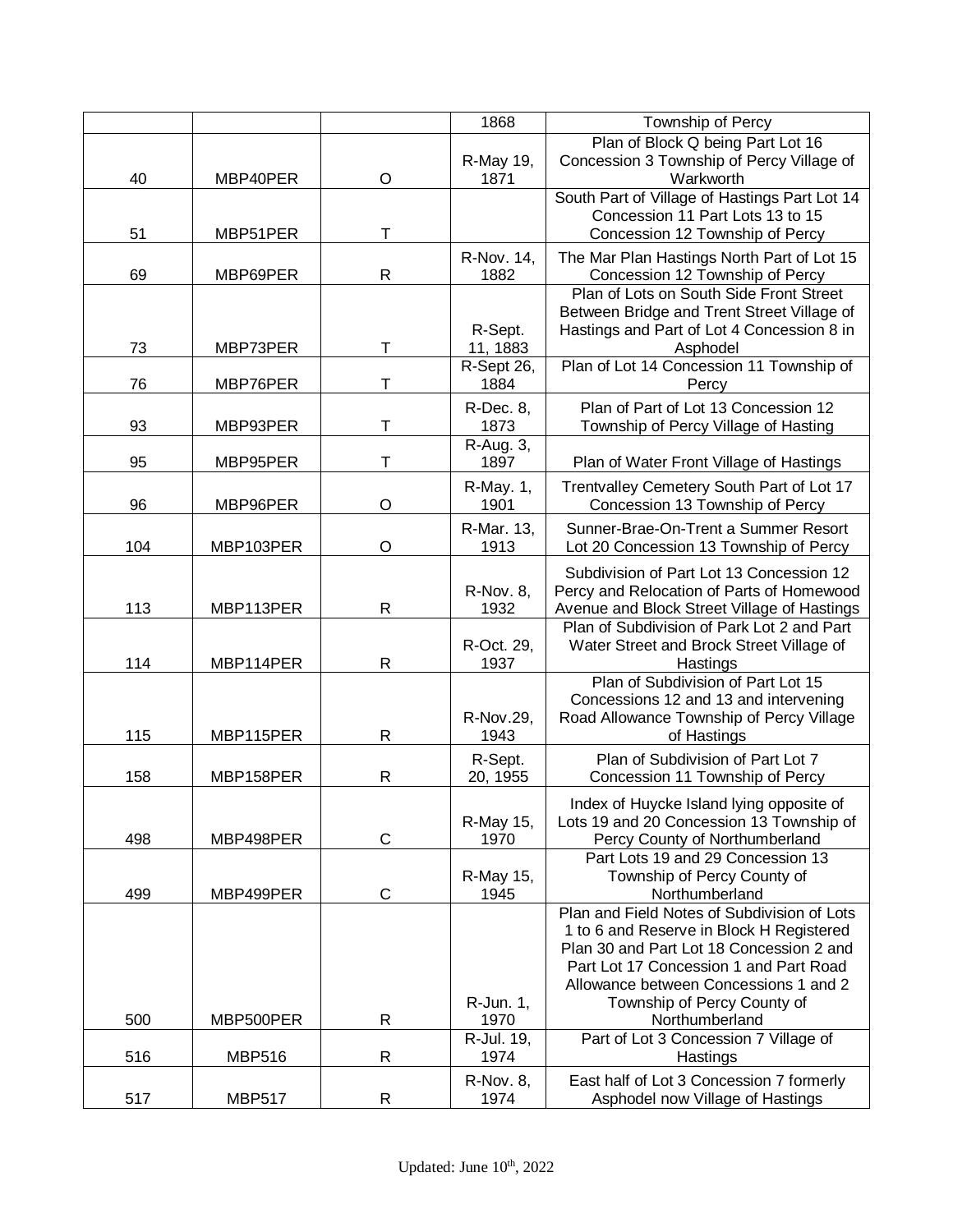|     |               |              | 1868                     | Township of Percy                                                                                                                                                                                                                                     |
|-----|---------------|--------------|--------------------------|-------------------------------------------------------------------------------------------------------------------------------------------------------------------------------------------------------------------------------------------------------|
| 40  | MBP40PER      | O            | R-May 19,<br>1871        | Plan of Block Q being Part Lot 16<br>Concession 3 Township of Percy Village of<br>Warkworth                                                                                                                                                           |
| 51  | MBP51PER      | т            |                          | South Part of Village of Hastings Part Lot 14<br>Concession 11 Part Lots 13 to 15<br>Concession 12 Township of Percy                                                                                                                                  |
| 69  | MBP69PER      | $\mathsf{R}$ | R-Nov. 14,<br>1882       | The Mar Plan Hastings North Part of Lot 15<br>Concession 12 Township of Percy                                                                                                                                                                         |
|     |               |              | R-Sept.                  | Plan of Lots on South Side Front Street<br>Between Bridge and Trent Street Village of<br>Hastings and Part of Lot 4 Concession 8 in                                                                                                                   |
| 73  | MBP73PER      | Т            | 11, 1883<br>R-Sept 26,   | Asphodel<br>Plan of Lot 14 Concession 11 Township of                                                                                                                                                                                                  |
| 76  | MBP76PER      | т            | 1884                     | Percy                                                                                                                                                                                                                                                 |
| 93  | MBP93PER      | т            | R-Dec. 8,<br>1873        | Plan of Part of Lot 13 Concession 12<br>Township of Percy Village of Hasting                                                                                                                                                                          |
| 95  | MBP95PER      | Т            | R-Aug. 3,<br>1897        | Plan of Water Front Village of Hastings                                                                                                                                                                                                               |
| 96  | MBP96PER      | O            | R-May. 1,<br>1901        | Trentvalley Cemetery South Part of Lot 17<br>Concession 13 Township of Percy                                                                                                                                                                          |
| 104 | MBP103PER     | $\circ$      | R-Mar. 13,<br>1913       | Sunner-Brae-On-Trent a Summer Resort<br>Lot 20 Concession 13 Township of Percy                                                                                                                                                                        |
| 113 | MBP113PER     | $\mathsf{R}$ | <b>R-Nov. 8,</b><br>1932 | Subdivision of Part Lot 13 Concession 12<br>Percy and Relocation of Parts of Homewood<br>Avenue and Block Street Village of Hastings                                                                                                                  |
| 114 | MBP114PER     | $\mathsf{R}$ | R-Oct. 29,<br>1937       | Plan of Subdivision of Park Lot 2 and Part<br>Water Street and Brock Street Village of<br>Hastings                                                                                                                                                    |
| 115 | MBP115PER     | $\mathsf{R}$ | R-Nov.29,<br>1943        | Plan of Subdivision of Part Lot 15<br>Concessions 12 and 13 and intervening<br>Road Allowance Township of Percy Village<br>of Hastings                                                                                                                |
| 158 | MBP158PER     | $\mathsf{R}$ | R-Sept.<br>20, 1955      | Plan of Subdivision of Part Lot 7<br>Concession 11 Township of Percy                                                                                                                                                                                  |
| 498 | MBP498PER     | $\mathsf C$  | R-May 15,<br>1970        | Index of Huycke Island lying opposite of<br>Lots 19 and 20 Concession 13 Township of<br>Percy County of Northumberland                                                                                                                                |
| 499 | MBP499PER     | $\mathsf C$  | R-May 15,<br>1945        | Part Lots 19 and 29 Concession 13<br>Township of Percy County of<br>Northumberland                                                                                                                                                                    |
|     |               |              | R-Jun. 1,                | Plan and Field Notes of Subdivision of Lots<br>1 to 6 and Reserve in Block H Registered<br>Plan 30 and Part Lot 18 Concession 2 and<br>Part Lot 17 Concession 1 and Part Road<br>Allowance between Concessions 1 and 2<br>Township of Percy County of |
| 500 | MBP500PER     | R            | 1970                     | Northumberland                                                                                                                                                                                                                                        |
| 516 | <b>MBP516</b> | $\mathsf{R}$ | R-Jul. 19,<br>1974       | Part of Lot 3 Concession 7 Village of<br>Hastings                                                                                                                                                                                                     |
| 517 | <b>MBP517</b> | R            | <b>R-Nov. 8,</b><br>1974 | East half of Lot 3 Concession 7 formerly<br>Asphodel now Village of Hastings                                                                                                                                                                          |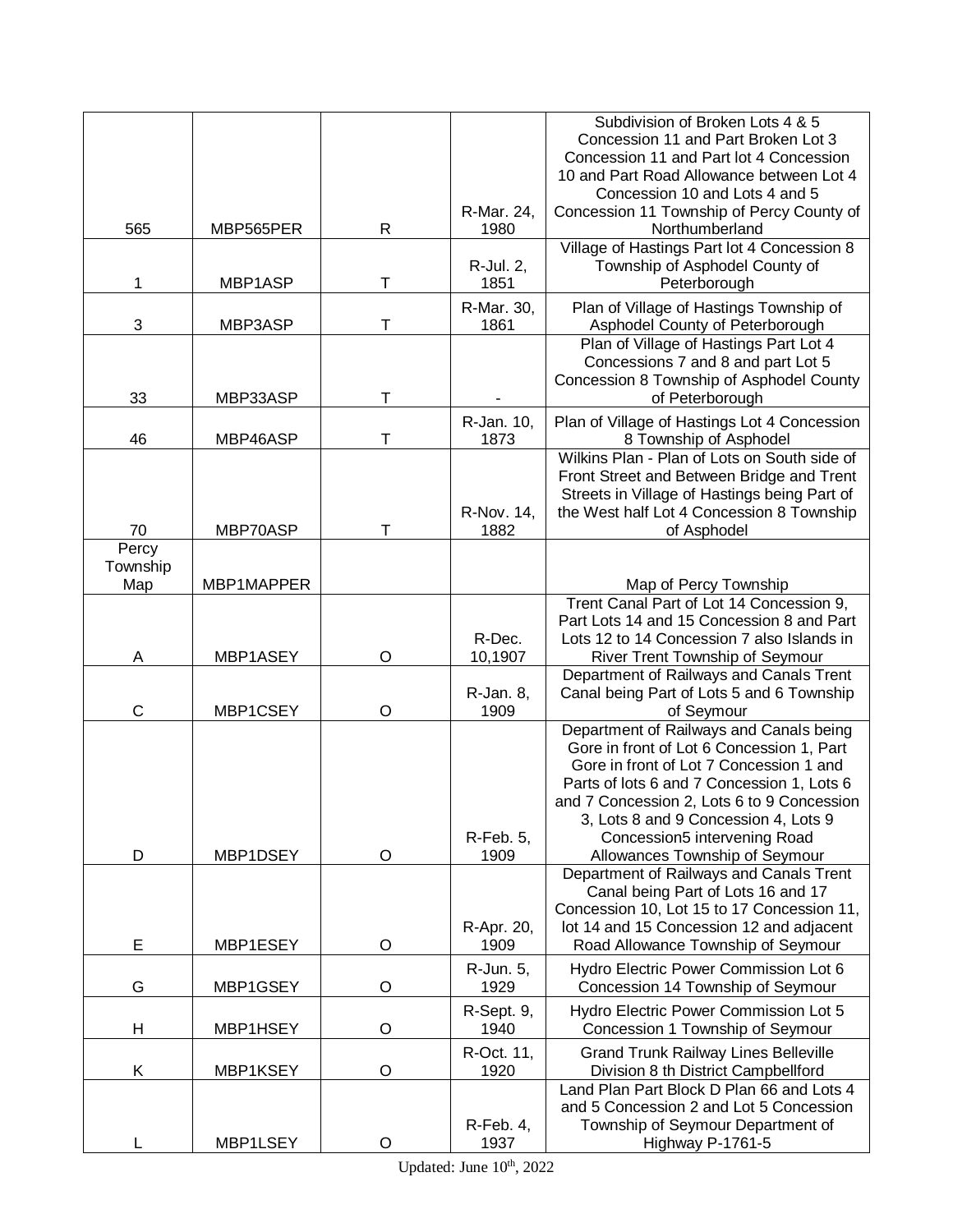|          |            |        |                    | Subdivision of Broken Lots 4 & 5                                                          |
|----------|------------|--------|--------------------|-------------------------------------------------------------------------------------------|
|          |            |        |                    | Concession 11 and Part Broken Lot 3                                                       |
|          |            |        |                    | Concession 11 and Part lot 4 Concession<br>10 and Part Road Allowance between Lot 4       |
|          |            |        |                    | Concession 10 and Lots 4 and 5                                                            |
|          |            |        | R-Mar. 24,         | Concession 11 Township of Percy County of                                                 |
| 565      | MBP565PER  | R      | 1980               | Northumberland                                                                            |
|          |            |        |                    | Village of Hastings Part lot 4 Concession 8                                               |
|          |            |        | R-Jul. 2,          | Township of Asphodel County of                                                            |
| 1        | MBP1ASP    | T      | 1851               | Peterborough                                                                              |
| 3        |            | T      | R-Mar. 30,<br>1861 | Plan of Village of Hastings Township of                                                   |
|          | MBP3ASP    |        |                    | Asphodel County of Peterborough<br>Plan of Village of Hastings Part Lot 4                 |
|          |            |        |                    | Concessions 7 and 8 and part Lot 5                                                        |
|          |            |        |                    | Concession 8 Township of Asphodel County                                                  |
| 33       | MBP33ASP   | T      |                    | of Peterborough                                                                           |
|          |            |        | R-Jan. 10,         | Plan of Village of Hastings Lot 4 Concession                                              |
| 46       | MBP46ASP   | т      | 1873               | 8 Township of Asphodel                                                                    |
|          |            |        |                    | Wilkins Plan - Plan of Lots on South side of                                              |
|          |            |        |                    | Front Street and Between Bridge and Trent<br>Streets in Village of Hastings being Part of |
|          |            |        | R-Nov. 14,         | the West half Lot 4 Concession 8 Township                                                 |
| 70       | MBP70ASP   | $\top$ | 1882               | of Asphodel                                                                               |
| Percy    |            |        |                    |                                                                                           |
| Township |            |        |                    |                                                                                           |
| Map      | MBP1MAPPER |        |                    | Map of Percy Township<br>Trent Canal Part of Lot 14 Concession 9,                         |
|          |            |        |                    | Part Lots 14 and 15 Concession 8 and Part                                                 |
|          |            |        | R-Dec.             | Lots 12 to 14 Concession 7 also Islands in                                                |
| Α        | MBP1ASEY   | O      | 10,1907            | River Trent Township of Seymour                                                           |
|          |            |        |                    | Department of Railways and Canals Trent                                                   |
|          |            |        | R-Jan. 8,          | Canal being Part of Lots 5 and 6 Township                                                 |
| C        | MBP1CSEY   | O      | 1909               | of Seymour                                                                                |
|          |            |        |                    | Department of Railways and Canals being<br>Gore in front of Lot 6 Concession 1, Part      |
|          |            |        |                    | Gore in front of Lot 7 Concession 1 and                                                   |
|          |            |        |                    | Parts of lots 6 and 7 Concession 1, Lots 6                                                |
|          |            |        |                    | and 7 Concession 2, Lots 6 to 9 Concession                                                |
|          |            |        |                    | 3, Lots 8 and 9 Concession 4, Lots 9                                                      |
|          |            |        | $R$ -Feb. 5,       | Concession5 intervening Road                                                              |
| D        | MBP1DSEY   | O      | 1909               | Allowances Township of Seymour<br>Department of Railways and Canals Trent                 |
|          |            |        |                    | Canal being Part of Lots 16 and 17                                                        |
|          |            |        |                    | Concession 10, Lot 15 to 17 Concession 11,                                                |
|          |            |        | R-Apr. 20,         | lot 14 and 15 Concession 12 and adjacent                                                  |
| E        | MBP1ESEY   | O      | 1909               | Road Allowance Township of Seymour                                                        |
|          |            |        | R-Jun. 5,          | Hydro Electric Power Commission Lot 6                                                     |
| G        | MBP1GSEY   | O      | 1929               | Concession 14 Township of Seymour                                                         |
|          |            |        | R-Sept. 9,         | Hydro Electric Power Commission Lot 5                                                     |
| н        | MBP1HSEY   | O      | 1940               | Concession 1 Township of Seymour                                                          |
|          |            |        | R-Oct. 11,         | <b>Grand Trunk Railway Lines Belleville</b>                                               |
| Κ        | MBP1KSEY   | O      | 1920               | Division 8 th District Campbellford<br>Land Plan Part Block D Plan 66 and Lots 4          |
|          |            |        |                    | and 5 Concession 2 and Lot 5 Concession                                                   |
|          |            |        | $R$ -Feb. 4,       | Township of Seymour Department of                                                         |
|          | MBP1LSEY   | O      | 1937               | Highway P-1761-5                                                                          |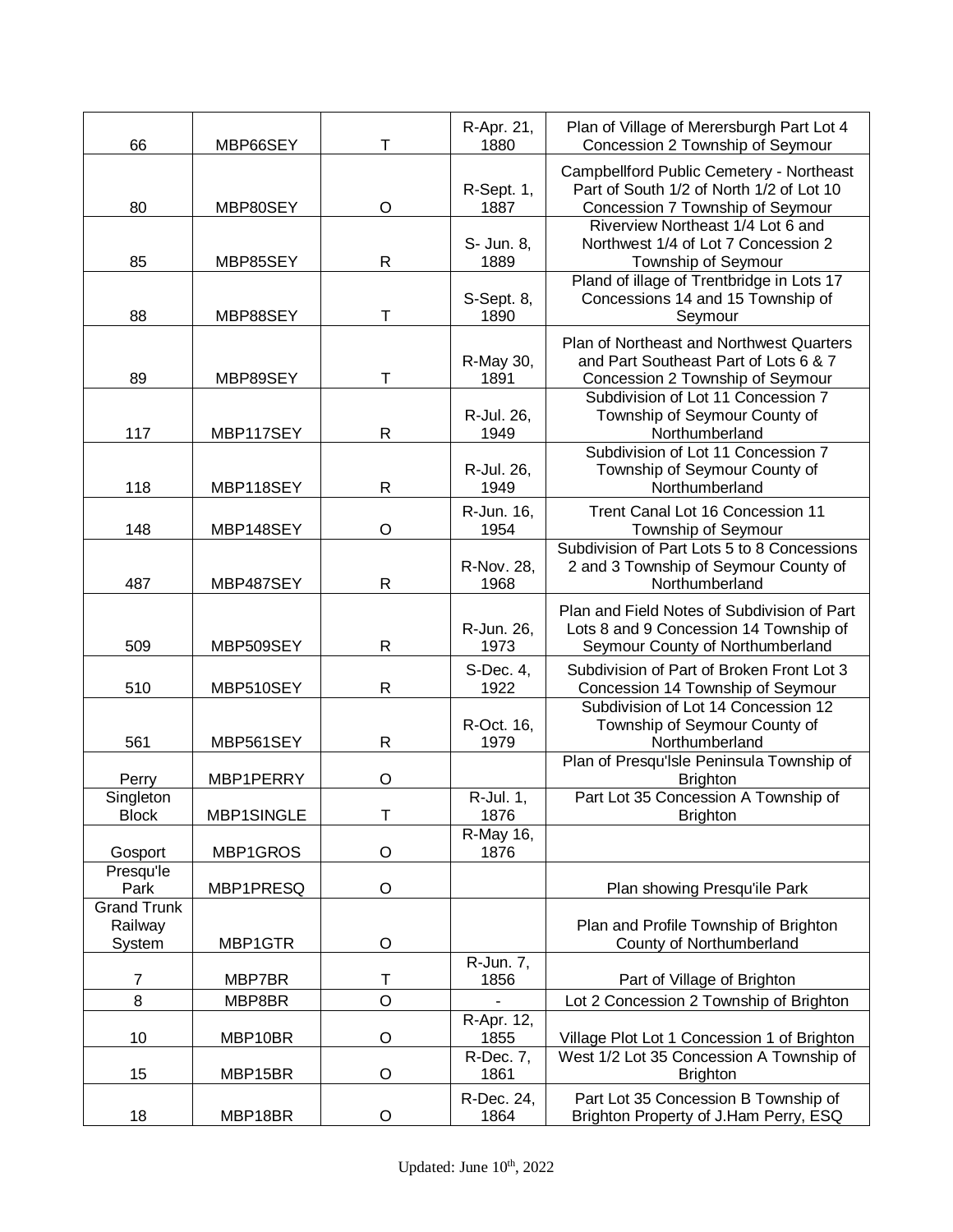| 66                         | MBP66SEY   | Т            | R-Apr. 21,<br>1880 | Plan of Village of Merersburgh Part Lot 4<br>Concession 2 Township of Seymour |
|----------------------------|------------|--------------|--------------------|-------------------------------------------------------------------------------|
|                            |            |              |                    | Campbellford Public Cemetery - Northeast                                      |
|                            |            |              | R-Sept. 1,         | Part of South 1/2 of North 1/2 of Lot 10                                      |
| 80                         | MBP80SEY   | $\circ$      | 1887               | Concession 7 Township of Seymour                                              |
|                            |            |              |                    | Riverview Northeast 1/4 Lot 6 and                                             |
| 85                         |            | $\mathsf{R}$ | S- Jun. 8,         | Northwest 1/4 of Lot 7 Concession 2                                           |
|                            | MBP85SEY   |              | 1889               | Township of Seymour<br>Pland of illage of Trentbridge in Lots 17              |
|                            |            |              | S-Sept. 8,         | Concessions 14 and 15 Township of                                             |
| 88                         | MBP88SEY   | T            | 1890               | Seymour                                                                       |
|                            |            |              |                    | Plan of Northeast and Northwest Quarters                                      |
|                            |            |              | R-May 30,          | and Part Southeast Part of Lots 6 & 7                                         |
| 89                         | MBP89SEY   | Т            | 1891               | Concession 2 Township of Seymour                                              |
|                            |            |              | R-Jul. 26,         | Subdivision of Lot 11 Concession 7<br>Township of Seymour County of           |
| 117                        | MBP117SEY  | R            | 1949               | Northumberland                                                                |
|                            |            |              |                    | Subdivision of Lot 11 Concession 7                                            |
|                            |            |              | R-Jul. 26,         | Township of Seymour County of                                                 |
| 118                        | MBP118SEY  | $\mathsf R$  | 1949               | Northumberland                                                                |
|                            |            |              | R-Jun. 16,         | Trent Canal Lot 16 Concession 11                                              |
| 148                        | MBP148SEY  | $\circ$      | 1954               | Township of Seymour<br>Subdivision of Part Lots 5 to 8 Concessions            |
|                            |            |              | R-Nov. 28,         | 2 and 3 Township of Seymour County of                                         |
| 487                        | MBP487SEY  | $\mathsf{R}$ | 1968               | Northumberland                                                                |
|                            |            |              |                    | Plan and Field Notes of Subdivision of Part                                   |
|                            |            |              | R-Jun. 26,         | Lots 8 and 9 Concession 14 Township of                                        |
| 509                        | MBP509SEY  | $\mathsf{R}$ | 1973               | Seymour County of Northumberland                                              |
|                            |            |              | S-Dec. 4,          | Subdivision of Part of Broken Front Lot 3                                     |
| 510                        | MBP510SEY  | $\mathsf{R}$ | 1922               | Concession 14 Township of Seymour<br>Subdivision of Lot 14 Concession 12      |
|                            |            |              | R-Oct. 16,         | Township of Seymour County of                                                 |
| 561                        | MBP561SEY  | $\mathsf{R}$ | 1979               | Northumberland                                                                |
|                            |            |              |                    | Plan of Presqu'Isle Peninsula Township of                                     |
| Perry                      | MBP1PERRY  | O            |                    | <b>Brighton</b>                                                               |
| Singleton<br><b>Block</b>  | MBP1SINGLE |              | R-Jul. 1,<br>1876  | Part Lot 35 Concession A Township of<br><b>Brighton</b>                       |
|                            |            |              | R-May 16,          |                                                                               |
| Gosport                    | MBP1GROS   | $\circ$      | 1876               |                                                                               |
| Presqu'le                  |            |              |                    |                                                                               |
| Park<br><b>Grand Trunk</b> | MBP1PRESQ  | $\circ$      |                    | Plan showing Presqu'ile Park                                                  |
| Railway                    |            |              |                    | Plan and Profile Township of Brighton                                         |
| System                     | MBP1GTR    | $\circ$      |                    | County of Northumberland                                                      |
|                            |            |              | R-Jun. 7,          |                                                                               |
| $\overline{7}$             | MBP7BR     | T            | 1856               | Part of Village of Brighton                                                   |
| 8                          | MBP8BR     | $\circ$      |                    | Lot 2 Concession 2 Township of Brighton                                       |
| 10                         | MBP10BR    | $\circ$      | R-Apr. 12,<br>1855 | Village Plot Lot 1 Concession 1 of Brighton                                   |
|                            |            |              | R-Dec. 7,          | West 1/2 Lot 35 Concession A Township of                                      |
| 15                         | MBP15BR    | $\circ$      | 1861               | <b>Brighton</b>                                                               |
|                            |            |              | R-Dec. 24,         | Part Lot 35 Concession B Township of                                          |
| 18                         | MBP18BR    | O            | 1864               | Brighton Property of J.Ham Perry, ESQ                                         |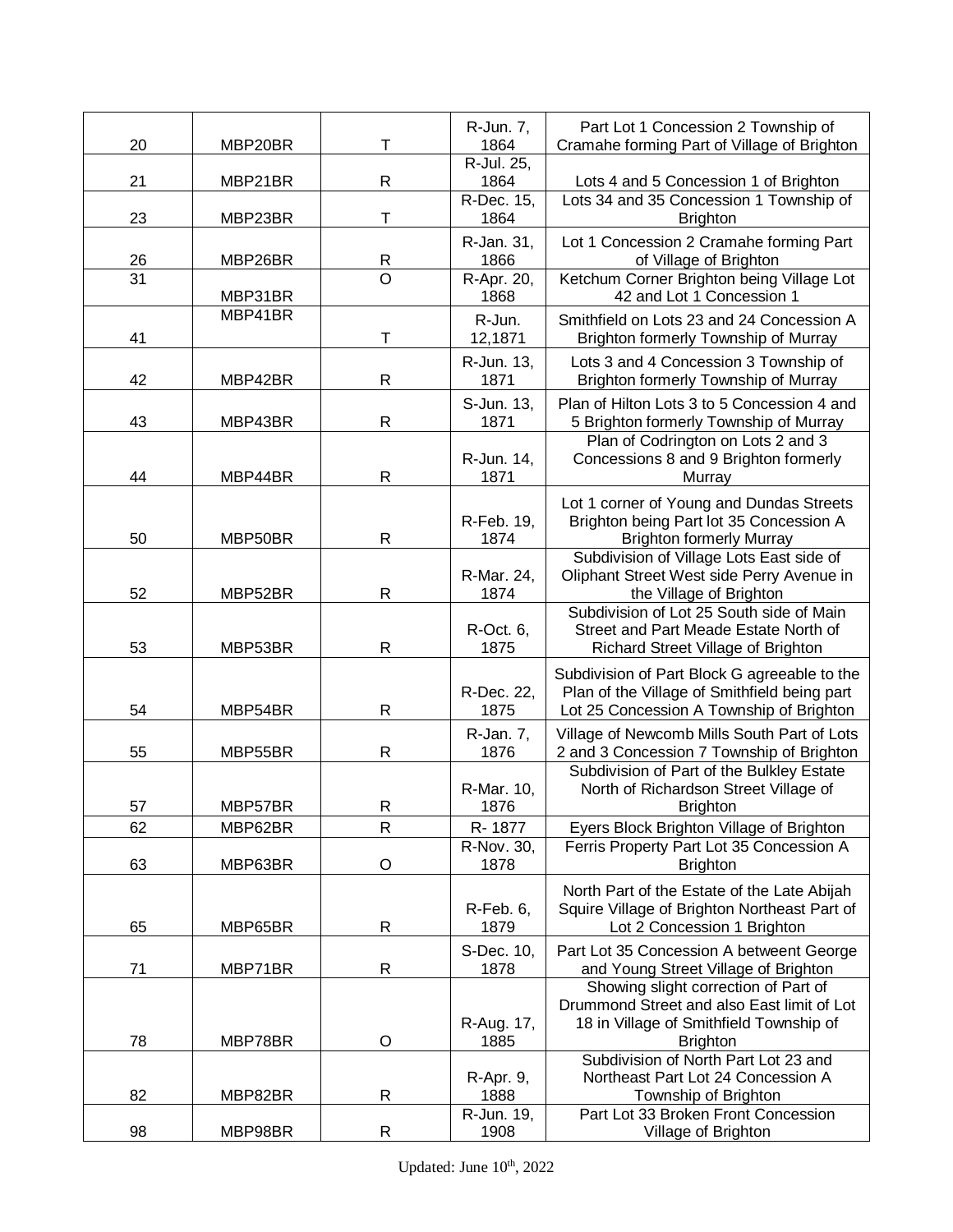| 20       | MBP20BR            | Т                | R-Jun. 7,<br>1864          | Part Lot 1 Concession 2 Township of<br>Cramahe forming Part of Village of Brighton                                                               |
|----------|--------------------|------------------|----------------------------|--------------------------------------------------------------------------------------------------------------------------------------------------|
| 21       | MBP21BR            | R                | R-Jul. 25,<br>1864         | Lots 4 and 5 Concession 1 of Brighton                                                                                                            |
| 23       | MBP23BR            | Т                | R-Dec. 15,<br>1864         | Lots 34 and 35 Concession 1 Township of<br><b>Brighton</b>                                                                                       |
| 26       | MBP26BR            | R                | R-Jan. 31,<br>1866         | Lot 1 Concession 2 Cramahe forming Part<br>of Village of Brighton                                                                                |
| 31       | MBP31BR            | $\overline{O}$   | R-Apr. 20,<br>1868         | Ketchum Corner Brighton being Village Lot<br>42 and Lot 1 Concession 1                                                                           |
| 41       | MBP41BR            | Т                | R-Jun.<br>12,1871          | Smithfield on Lots 23 and 24 Concession A<br>Brighton formerly Township of Murray                                                                |
| 42       | MBP42BR            | $\mathsf{R}$     | R-Jun. 13,<br>1871         | Lots 3 and 4 Concession 3 Township of                                                                                                            |
|          |                    |                  | S-Jun. 13,                 | Brighton formerly Township of Murray<br>Plan of Hilton Lots 3 to 5 Concession 4 and                                                              |
| 43<br>44 | MBP43BR<br>MBP44BR | $\mathsf R$<br>R | 1871<br>R-Jun. 14,<br>1871 | 5 Brighton formerly Township of Murray<br>Plan of Codrington on Lots 2 and 3<br>Concessions 8 and 9 Brighton formerly<br>Murray                  |
| 50       | MBP50BR            | $\mathsf{R}$     | R-Feb. 19,<br>1874         | Lot 1 corner of Young and Dundas Streets<br>Brighton being Part lot 35 Concession A<br><b>Brighton formerly Murray</b>                           |
| 52       | MBP52BR            | R                | R-Mar. 24,<br>1874         | Subdivision of Village Lots East side of<br>Oliphant Street West side Perry Avenue in<br>the Village of Brighton                                 |
| 53       | MBP53BR            | R                | R-Oct. 6,<br>1875          | Subdivision of Lot 25 South side of Main<br>Street and Part Meade Estate North of<br>Richard Street Village of Brighton                          |
| 54       | MBP54BR            | R                | R-Dec. 22,<br>1875         | Subdivision of Part Block G agreeable to the<br>Plan of the Village of Smithfield being part<br>Lot 25 Concession A Township of Brighton         |
| 55       | MBP55BR            | $\mathsf{R}$     | R-Jan. 7,<br>1876          | Village of Newcomb Mills South Part of Lots<br>2 and 3 Concession 7 Township of Brighton                                                         |
| 57       | MBP57BR            | R                | R-Mar. 10,<br>1876         | Subdivision of Part of the Bulkley Estate<br>North of Richardson Street Village of<br><b>Brighton</b>                                            |
| 62       | MBP62BR            | R                | R-1877                     | Eyers Block Brighton Village of Brighton                                                                                                         |
| 63       | MBP63BR            | $\mathsf O$      | R-Nov. 30,<br>1878         | Ferris Property Part Lot 35 Concession A<br><b>Brighton</b>                                                                                      |
| 65       | MBP65BR            | R                | R-Feb. 6,<br>1879          | North Part of the Estate of the Late Abijah<br>Squire Village of Brighton Northeast Part of<br>Lot 2 Concession 1 Brighton                       |
| 71       | MBP71BR            | $\mathsf{R}$     | S-Dec. 10,<br>1878         | Part Lot 35 Concession A betweent George<br>and Young Street Village of Brighton                                                                 |
| 78       | MBP78BR            | O                | R-Aug. 17,<br>1885         | Showing slight correction of Part of<br>Drummond Street and also East limit of Lot<br>18 in Village of Smithfield Township of<br><b>Brighton</b> |
|          |                    |                  |                            | Subdivision of North Part Lot 23 and                                                                                                             |
| 82       | MBP82BR            | R                | R-Apr. 9,<br>1888          | Northeast Part Lot 24 Concession A<br>Township of Brighton                                                                                       |
| 98       | MBP98BR            | $\mathsf{R}$     | R-Jun. 19,<br>1908         | Part Lot 33 Broken Front Concession<br>Village of Brighton                                                                                       |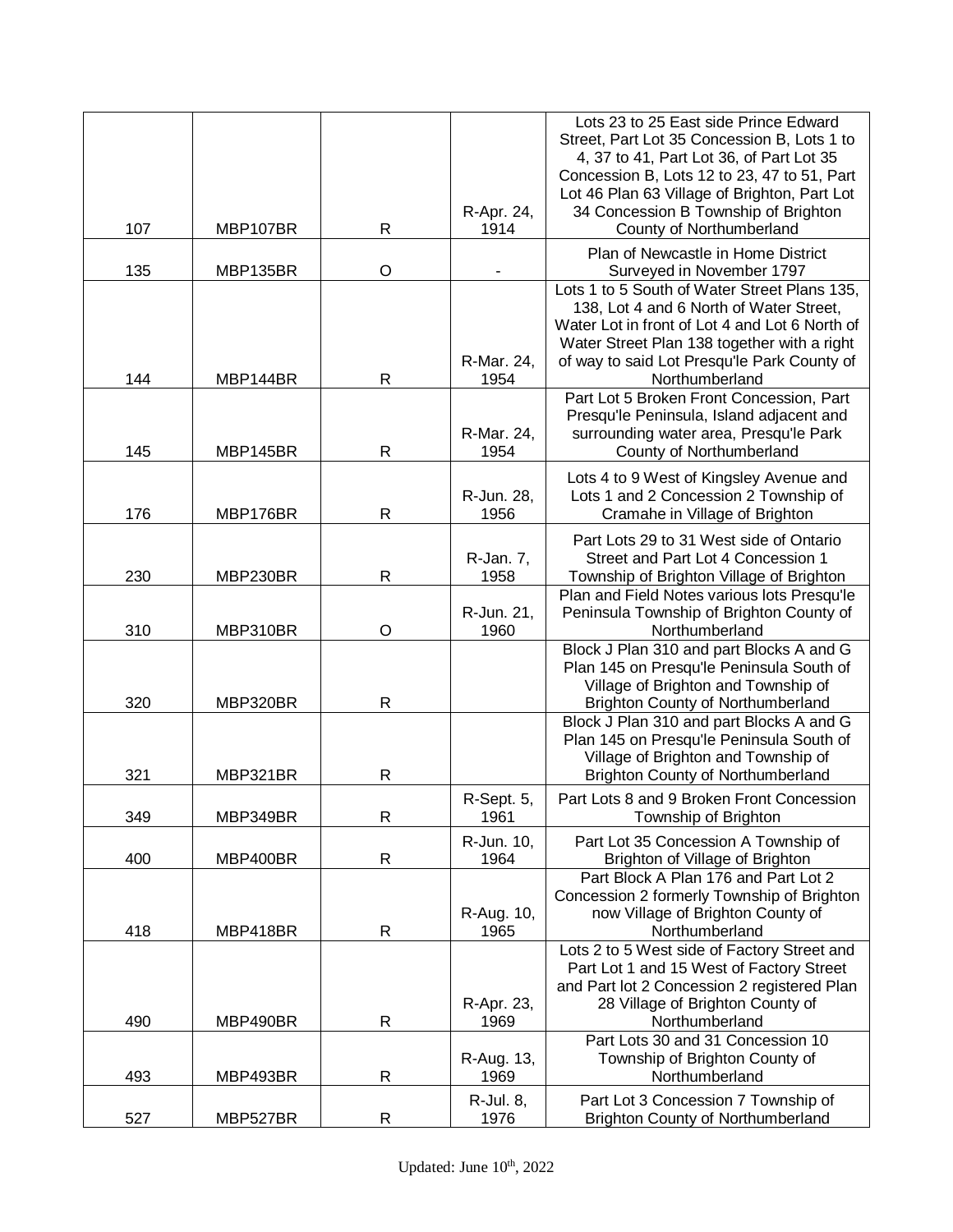| Street, Part Lot 35 Concession B, Lots 1 to<br>4, 37 to 41, Part Lot 36, of Part Lot 35<br>Concession B, Lots 12 to 23, 47 to 51, Part<br>Lot 46 Plan 63 Village of Brighton, Part Lot<br>34 Concession B Township of Brighton<br>R-Apr. 24,<br>107<br>$\mathsf R$<br>1914<br>County of Northumberland<br>MBP107BR<br>Plan of Newcastle in Home District<br>$\circ$<br>135<br>MBP135BR<br>Surveyed in November 1797<br>Lots 1 to 5 South of Water Street Plans 135,<br>138, Lot 4 and 6 North of Water Street,<br>Water Lot in front of Lot 4 and Lot 6 North of<br>Water Street Plan 138 together with a right<br>of way to said Lot Presqu'le Park County of<br>R-Mar. 24,<br>$\mathsf{R}$<br>144<br>MBP144BR<br>1954<br>Northumberland<br>Part Lot 5 Broken Front Concession, Part<br>Presqu'le Peninsula, Island adjacent and<br>surrounding water area, Presqu'le Park<br>R-Mar. 24,<br>$\mathsf R$<br>County of Northumberland<br>145<br>MBP145BR<br>1954<br>Lots 4 to 9 West of Kingsley Avenue and<br>R-Jun. 28,<br>Lots 1 and 2 Concession 2 Township of<br>$\mathsf R$<br>176<br>MBP176BR<br>1956<br>Cramahe in Village of Brighton<br>Part Lots 29 to 31 West side of Ontario<br>R-Jan. 7,<br>Street and Part Lot 4 Concession 1<br>230<br>$\mathsf{R}$<br>MBP230BR<br>1958<br>Township of Brighton Village of Brighton<br>Plan and Field Notes various lots Presqu'le<br>Peninsula Township of Brighton County of<br>R-Jun. 21,<br>310<br>MBP310BR<br>O<br>1960<br>Northumberland<br>Block J Plan 310 and part Blocks A and G<br>Plan 145 on Presqu'le Peninsula South of<br>Village of Brighton and Township of<br>320<br>$\mathsf{R}$<br><b>Brighton County of Northumberland</b><br>MBP320BR<br>Block J Plan 310 and part Blocks A and G<br>Plan 145 on Presqu'le Peninsula South of<br>Village of Brighton and Township of<br>321<br>$\mathsf R$<br>MBP321BR<br><b>Brighton County of Northumberland</b><br>R-Sept. 5,<br>Part Lots 8 and 9 Broken Front Concession<br>1961<br>349<br>MBP349BR<br>$\mathsf{R}$<br>Township of Brighton<br>R-Jun. 10,<br>Part Lot 35 Concession A Township of<br>400<br>$\mathsf R$<br>1964<br>Brighton of Village of Brighton<br>MBP400BR<br>Part Block A Plan 176 and Part Lot 2<br>Concession 2 formerly Township of Brighton<br>R-Aug. 10,<br>now Village of Brighton County of<br>418<br>$\mathsf{R}$<br>Northumberland<br>MBP418BR<br>1965<br>Lots 2 to 5 West side of Factory Street and<br>Part Lot 1 and 15 West of Factory Street<br>and Part lot 2 Concession 2 registered Plan<br>28 Village of Brighton County of<br>R-Apr. 23,<br>$\mathsf{R}$<br>1969<br>Northumberland<br>490<br>MBP490BR<br>Part Lots 30 and 31 Concession 10<br>Township of Brighton County of<br>R-Aug. 13,<br>Northumberland<br>493<br>MBP493BR<br>R<br>1969<br>R-Jul. 8,<br>Part Lot 3 Concession 7 Township of<br>527<br>$\mathsf{R}$<br>1976<br>MBP527BR<br><b>Brighton County of Northumberland</b> |  |  | Lots 23 to 25 East side Prince Edward |
|--------------------------------------------------------------------------------------------------------------------------------------------------------------------------------------------------------------------------------------------------------------------------------------------------------------------------------------------------------------------------------------------------------------------------------------------------------------------------------------------------------------------------------------------------------------------------------------------------------------------------------------------------------------------------------------------------------------------------------------------------------------------------------------------------------------------------------------------------------------------------------------------------------------------------------------------------------------------------------------------------------------------------------------------------------------------------------------------------------------------------------------------------------------------------------------------------------------------------------------------------------------------------------------------------------------------------------------------------------------------------------------------------------------------------------------------------------------------------------------------------------------------------------------------------------------------------------------------------------------------------------------------------------------------------------------------------------------------------------------------------------------------------------------------------------------------------------------------------------------------------------------------------------------------------------------------------------------------------------------------------------------------------------------------------------------------------------------------------------------------------------------------------------------------------------------------------------------------------------------------------------------------------------------------------------------------------------------------------------------------------------------------------------------------------------------------------------------------------------------------------------------------------------------------------------------------------------------------------------------------------------------------------------------------------------------------------------------------------------------------------------------------------------------------------------------------------------------------------------------------------------------------------------------------------------------------|--|--|---------------------------------------|
|                                                                                                                                                                                                                                                                                                                                                                                                                                                                                                                                                                                                                                                                                                                                                                                                                                                                                                                                                                                                                                                                                                                                                                                                                                                                                                                                                                                                                                                                                                                                                                                                                                                                                                                                                                                                                                                                                                                                                                                                                                                                                                                                                                                                                                                                                                                                                                                                                                                                                                                                                                                                                                                                                                                                                                                                                                                                                                                                            |  |  |                                       |
|                                                                                                                                                                                                                                                                                                                                                                                                                                                                                                                                                                                                                                                                                                                                                                                                                                                                                                                                                                                                                                                                                                                                                                                                                                                                                                                                                                                                                                                                                                                                                                                                                                                                                                                                                                                                                                                                                                                                                                                                                                                                                                                                                                                                                                                                                                                                                                                                                                                                                                                                                                                                                                                                                                                                                                                                                                                                                                                                            |  |  |                                       |
|                                                                                                                                                                                                                                                                                                                                                                                                                                                                                                                                                                                                                                                                                                                                                                                                                                                                                                                                                                                                                                                                                                                                                                                                                                                                                                                                                                                                                                                                                                                                                                                                                                                                                                                                                                                                                                                                                                                                                                                                                                                                                                                                                                                                                                                                                                                                                                                                                                                                                                                                                                                                                                                                                                                                                                                                                                                                                                                                            |  |  |                                       |
|                                                                                                                                                                                                                                                                                                                                                                                                                                                                                                                                                                                                                                                                                                                                                                                                                                                                                                                                                                                                                                                                                                                                                                                                                                                                                                                                                                                                                                                                                                                                                                                                                                                                                                                                                                                                                                                                                                                                                                                                                                                                                                                                                                                                                                                                                                                                                                                                                                                                                                                                                                                                                                                                                                                                                                                                                                                                                                                                            |  |  |                                       |
|                                                                                                                                                                                                                                                                                                                                                                                                                                                                                                                                                                                                                                                                                                                                                                                                                                                                                                                                                                                                                                                                                                                                                                                                                                                                                                                                                                                                                                                                                                                                                                                                                                                                                                                                                                                                                                                                                                                                                                                                                                                                                                                                                                                                                                                                                                                                                                                                                                                                                                                                                                                                                                                                                                                                                                                                                                                                                                                                            |  |  |                                       |
|                                                                                                                                                                                                                                                                                                                                                                                                                                                                                                                                                                                                                                                                                                                                                                                                                                                                                                                                                                                                                                                                                                                                                                                                                                                                                                                                                                                                                                                                                                                                                                                                                                                                                                                                                                                                                                                                                                                                                                                                                                                                                                                                                                                                                                                                                                                                                                                                                                                                                                                                                                                                                                                                                                                                                                                                                                                                                                                                            |  |  |                                       |
|                                                                                                                                                                                                                                                                                                                                                                                                                                                                                                                                                                                                                                                                                                                                                                                                                                                                                                                                                                                                                                                                                                                                                                                                                                                                                                                                                                                                                                                                                                                                                                                                                                                                                                                                                                                                                                                                                                                                                                                                                                                                                                                                                                                                                                                                                                                                                                                                                                                                                                                                                                                                                                                                                                                                                                                                                                                                                                                                            |  |  |                                       |
|                                                                                                                                                                                                                                                                                                                                                                                                                                                                                                                                                                                                                                                                                                                                                                                                                                                                                                                                                                                                                                                                                                                                                                                                                                                                                                                                                                                                                                                                                                                                                                                                                                                                                                                                                                                                                                                                                                                                                                                                                                                                                                                                                                                                                                                                                                                                                                                                                                                                                                                                                                                                                                                                                                                                                                                                                                                                                                                                            |  |  |                                       |
|                                                                                                                                                                                                                                                                                                                                                                                                                                                                                                                                                                                                                                                                                                                                                                                                                                                                                                                                                                                                                                                                                                                                                                                                                                                                                                                                                                                                                                                                                                                                                                                                                                                                                                                                                                                                                                                                                                                                                                                                                                                                                                                                                                                                                                                                                                                                                                                                                                                                                                                                                                                                                                                                                                                                                                                                                                                                                                                                            |  |  |                                       |
|                                                                                                                                                                                                                                                                                                                                                                                                                                                                                                                                                                                                                                                                                                                                                                                                                                                                                                                                                                                                                                                                                                                                                                                                                                                                                                                                                                                                                                                                                                                                                                                                                                                                                                                                                                                                                                                                                                                                                                                                                                                                                                                                                                                                                                                                                                                                                                                                                                                                                                                                                                                                                                                                                                                                                                                                                                                                                                                                            |  |  |                                       |
|                                                                                                                                                                                                                                                                                                                                                                                                                                                                                                                                                                                                                                                                                                                                                                                                                                                                                                                                                                                                                                                                                                                                                                                                                                                                                                                                                                                                                                                                                                                                                                                                                                                                                                                                                                                                                                                                                                                                                                                                                                                                                                                                                                                                                                                                                                                                                                                                                                                                                                                                                                                                                                                                                                                                                                                                                                                                                                                                            |  |  |                                       |
|                                                                                                                                                                                                                                                                                                                                                                                                                                                                                                                                                                                                                                                                                                                                                                                                                                                                                                                                                                                                                                                                                                                                                                                                                                                                                                                                                                                                                                                                                                                                                                                                                                                                                                                                                                                                                                                                                                                                                                                                                                                                                                                                                                                                                                                                                                                                                                                                                                                                                                                                                                                                                                                                                                                                                                                                                                                                                                                                            |  |  |                                       |
|                                                                                                                                                                                                                                                                                                                                                                                                                                                                                                                                                                                                                                                                                                                                                                                                                                                                                                                                                                                                                                                                                                                                                                                                                                                                                                                                                                                                                                                                                                                                                                                                                                                                                                                                                                                                                                                                                                                                                                                                                                                                                                                                                                                                                                                                                                                                                                                                                                                                                                                                                                                                                                                                                                                                                                                                                                                                                                                                            |  |  |                                       |
|                                                                                                                                                                                                                                                                                                                                                                                                                                                                                                                                                                                                                                                                                                                                                                                                                                                                                                                                                                                                                                                                                                                                                                                                                                                                                                                                                                                                                                                                                                                                                                                                                                                                                                                                                                                                                                                                                                                                                                                                                                                                                                                                                                                                                                                                                                                                                                                                                                                                                                                                                                                                                                                                                                                                                                                                                                                                                                                                            |  |  |                                       |
|                                                                                                                                                                                                                                                                                                                                                                                                                                                                                                                                                                                                                                                                                                                                                                                                                                                                                                                                                                                                                                                                                                                                                                                                                                                                                                                                                                                                                                                                                                                                                                                                                                                                                                                                                                                                                                                                                                                                                                                                                                                                                                                                                                                                                                                                                                                                                                                                                                                                                                                                                                                                                                                                                                                                                                                                                                                                                                                                            |  |  |                                       |
|                                                                                                                                                                                                                                                                                                                                                                                                                                                                                                                                                                                                                                                                                                                                                                                                                                                                                                                                                                                                                                                                                                                                                                                                                                                                                                                                                                                                                                                                                                                                                                                                                                                                                                                                                                                                                                                                                                                                                                                                                                                                                                                                                                                                                                                                                                                                                                                                                                                                                                                                                                                                                                                                                                                                                                                                                                                                                                                                            |  |  |                                       |
|                                                                                                                                                                                                                                                                                                                                                                                                                                                                                                                                                                                                                                                                                                                                                                                                                                                                                                                                                                                                                                                                                                                                                                                                                                                                                                                                                                                                                                                                                                                                                                                                                                                                                                                                                                                                                                                                                                                                                                                                                                                                                                                                                                                                                                                                                                                                                                                                                                                                                                                                                                                                                                                                                                                                                                                                                                                                                                                                            |  |  |                                       |
|                                                                                                                                                                                                                                                                                                                                                                                                                                                                                                                                                                                                                                                                                                                                                                                                                                                                                                                                                                                                                                                                                                                                                                                                                                                                                                                                                                                                                                                                                                                                                                                                                                                                                                                                                                                                                                                                                                                                                                                                                                                                                                                                                                                                                                                                                                                                                                                                                                                                                                                                                                                                                                                                                                                                                                                                                                                                                                                                            |  |  |                                       |
|                                                                                                                                                                                                                                                                                                                                                                                                                                                                                                                                                                                                                                                                                                                                                                                                                                                                                                                                                                                                                                                                                                                                                                                                                                                                                                                                                                                                                                                                                                                                                                                                                                                                                                                                                                                                                                                                                                                                                                                                                                                                                                                                                                                                                                                                                                                                                                                                                                                                                                                                                                                                                                                                                                                                                                                                                                                                                                                                            |  |  |                                       |
|                                                                                                                                                                                                                                                                                                                                                                                                                                                                                                                                                                                                                                                                                                                                                                                                                                                                                                                                                                                                                                                                                                                                                                                                                                                                                                                                                                                                                                                                                                                                                                                                                                                                                                                                                                                                                                                                                                                                                                                                                                                                                                                                                                                                                                                                                                                                                                                                                                                                                                                                                                                                                                                                                                                                                                                                                                                                                                                                            |  |  |                                       |
|                                                                                                                                                                                                                                                                                                                                                                                                                                                                                                                                                                                                                                                                                                                                                                                                                                                                                                                                                                                                                                                                                                                                                                                                                                                                                                                                                                                                                                                                                                                                                                                                                                                                                                                                                                                                                                                                                                                                                                                                                                                                                                                                                                                                                                                                                                                                                                                                                                                                                                                                                                                                                                                                                                                                                                                                                                                                                                                                            |  |  |                                       |
|                                                                                                                                                                                                                                                                                                                                                                                                                                                                                                                                                                                                                                                                                                                                                                                                                                                                                                                                                                                                                                                                                                                                                                                                                                                                                                                                                                                                                                                                                                                                                                                                                                                                                                                                                                                                                                                                                                                                                                                                                                                                                                                                                                                                                                                                                                                                                                                                                                                                                                                                                                                                                                                                                                                                                                                                                                                                                                                                            |  |  |                                       |
|                                                                                                                                                                                                                                                                                                                                                                                                                                                                                                                                                                                                                                                                                                                                                                                                                                                                                                                                                                                                                                                                                                                                                                                                                                                                                                                                                                                                                                                                                                                                                                                                                                                                                                                                                                                                                                                                                                                                                                                                                                                                                                                                                                                                                                                                                                                                                                                                                                                                                                                                                                                                                                                                                                                                                                                                                                                                                                                                            |  |  |                                       |
|                                                                                                                                                                                                                                                                                                                                                                                                                                                                                                                                                                                                                                                                                                                                                                                                                                                                                                                                                                                                                                                                                                                                                                                                                                                                                                                                                                                                                                                                                                                                                                                                                                                                                                                                                                                                                                                                                                                                                                                                                                                                                                                                                                                                                                                                                                                                                                                                                                                                                                                                                                                                                                                                                                                                                                                                                                                                                                                                            |  |  |                                       |
|                                                                                                                                                                                                                                                                                                                                                                                                                                                                                                                                                                                                                                                                                                                                                                                                                                                                                                                                                                                                                                                                                                                                                                                                                                                                                                                                                                                                                                                                                                                                                                                                                                                                                                                                                                                                                                                                                                                                                                                                                                                                                                                                                                                                                                                                                                                                                                                                                                                                                                                                                                                                                                                                                                                                                                                                                                                                                                                                            |  |  |                                       |
|                                                                                                                                                                                                                                                                                                                                                                                                                                                                                                                                                                                                                                                                                                                                                                                                                                                                                                                                                                                                                                                                                                                                                                                                                                                                                                                                                                                                                                                                                                                                                                                                                                                                                                                                                                                                                                                                                                                                                                                                                                                                                                                                                                                                                                                                                                                                                                                                                                                                                                                                                                                                                                                                                                                                                                                                                                                                                                                                            |  |  |                                       |
|                                                                                                                                                                                                                                                                                                                                                                                                                                                                                                                                                                                                                                                                                                                                                                                                                                                                                                                                                                                                                                                                                                                                                                                                                                                                                                                                                                                                                                                                                                                                                                                                                                                                                                                                                                                                                                                                                                                                                                                                                                                                                                                                                                                                                                                                                                                                                                                                                                                                                                                                                                                                                                                                                                                                                                                                                                                                                                                                            |  |  |                                       |
|                                                                                                                                                                                                                                                                                                                                                                                                                                                                                                                                                                                                                                                                                                                                                                                                                                                                                                                                                                                                                                                                                                                                                                                                                                                                                                                                                                                                                                                                                                                                                                                                                                                                                                                                                                                                                                                                                                                                                                                                                                                                                                                                                                                                                                                                                                                                                                                                                                                                                                                                                                                                                                                                                                                                                                                                                                                                                                                                            |  |  |                                       |
|                                                                                                                                                                                                                                                                                                                                                                                                                                                                                                                                                                                                                                                                                                                                                                                                                                                                                                                                                                                                                                                                                                                                                                                                                                                                                                                                                                                                                                                                                                                                                                                                                                                                                                                                                                                                                                                                                                                                                                                                                                                                                                                                                                                                                                                                                                                                                                                                                                                                                                                                                                                                                                                                                                                                                                                                                                                                                                                                            |  |  |                                       |
|                                                                                                                                                                                                                                                                                                                                                                                                                                                                                                                                                                                                                                                                                                                                                                                                                                                                                                                                                                                                                                                                                                                                                                                                                                                                                                                                                                                                                                                                                                                                                                                                                                                                                                                                                                                                                                                                                                                                                                                                                                                                                                                                                                                                                                                                                                                                                                                                                                                                                                                                                                                                                                                                                                                                                                                                                                                                                                                                            |  |  |                                       |
|                                                                                                                                                                                                                                                                                                                                                                                                                                                                                                                                                                                                                                                                                                                                                                                                                                                                                                                                                                                                                                                                                                                                                                                                                                                                                                                                                                                                                                                                                                                                                                                                                                                                                                                                                                                                                                                                                                                                                                                                                                                                                                                                                                                                                                                                                                                                                                                                                                                                                                                                                                                                                                                                                                                                                                                                                                                                                                                                            |  |  |                                       |
|                                                                                                                                                                                                                                                                                                                                                                                                                                                                                                                                                                                                                                                                                                                                                                                                                                                                                                                                                                                                                                                                                                                                                                                                                                                                                                                                                                                                                                                                                                                                                                                                                                                                                                                                                                                                                                                                                                                                                                                                                                                                                                                                                                                                                                                                                                                                                                                                                                                                                                                                                                                                                                                                                                                                                                                                                                                                                                                                            |  |  |                                       |
|                                                                                                                                                                                                                                                                                                                                                                                                                                                                                                                                                                                                                                                                                                                                                                                                                                                                                                                                                                                                                                                                                                                                                                                                                                                                                                                                                                                                                                                                                                                                                                                                                                                                                                                                                                                                                                                                                                                                                                                                                                                                                                                                                                                                                                                                                                                                                                                                                                                                                                                                                                                                                                                                                                                                                                                                                                                                                                                                            |  |  |                                       |
|                                                                                                                                                                                                                                                                                                                                                                                                                                                                                                                                                                                                                                                                                                                                                                                                                                                                                                                                                                                                                                                                                                                                                                                                                                                                                                                                                                                                                                                                                                                                                                                                                                                                                                                                                                                                                                                                                                                                                                                                                                                                                                                                                                                                                                                                                                                                                                                                                                                                                                                                                                                                                                                                                                                                                                                                                                                                                                                                            |  |  |                                       |
|                                                                                                                                                                                                                                                                                                                                                                                                                                                                                                                                                                                                                                                                                                                                                                                                                                                                                                                                                                                                                                                                                                                                                                                                                                                                                                                                                                                                                                                                                                                                                                                                                                                                                                                                                                                                                                                                                                                                                                                                                                                                                                                                                                                                                                                                                                                                                                                                                                                                                                                                                                                                                                                                                                                                                                                                                                                                                                                                            |  |  |                                       |
|                                                                                                                                                                                                                                                                                                                                                                                                                                                                                                                                                                                                                                                                                                                                                                                                                                                                                                                                                                                                                                                                                                                                                                                                                                                                                                                                                                                                                                                                                                                                                                                                                                                                                                                                                                                                                                                                                                                                                                                                                                                                                                                                                                                                                                                                                                                                                                                                                                                                                                                                                                                                                                                                                                                                                                                                                                                                                                                                            |  |  |                                       |
|                                                                                                                                                                                                                                                                                                                                                                                                                                                                                                                                                                                                                                                                                                                                                                                                                                                                                                                                                                                                                                                                                                                                                                                                                                                                                                                                                                                                                                                                                                                                                                                                                                                                                                                                                                                                                                                                                                                                                                                                                                                                                                                                                                                                                                                                                                                                                                                                                                                                                                                                                                                                                                                                                                                                                                                                                                                                                                                                            |  |  |                                       |
|                                                                                                                                                                                                                                                                                                                                                                                                                                                                                                                                                                                                                                                                                                                                                                                                                                                                                                                                                                                                                                                                                                                                                                                                                                                                                                                                                                                                                                                                                                                                                                                                                                                                                                                                                                                                                                                                                                                                                                                                                                                                                                                                                                                                                                                                                                                                                                                                                                                                                                                                                                                                                                                                                                                                                                                                                                                                                                                                            |  |  |                                       |
|                                                                                                                                                                                                                                                                                                                                                                                                                                                                                                                                                                                                                                                                                                                                                                                                                                                                                                                                                                                                                                                                                                                                                                                                                                                                                                                                                                                                                                                                                                                                                                                                                                                                                                                                                                                                                                                                                                                                                                                                                                                                                                                                                                                                                                                                                                                                                                                                                                                                                                                                                                                                                                                                                                                                                                                                                                                                                                                                            |  |  |                                       |
|                                                                                                                                                                                                                                                                                                                                                                                                                                                                                                                                                                                                                                                                                                                                                                                                                                                                                                                                                                                                                                                                                                                                                                                                                                                                                                                                                                                                                                                                                                                                                                                                                                                                                                                                                                                                                                                                                                                                                                                                                                                                                                                                                                                                                                                                                                                                                                                                                                                                                                                                                                                                                                                                                                                                                                                                                                                                                                                                            |  |  |                                       |
|                                                                                                                                                                                                                                                                                                                                                                                                                                                                                                                                                                                                                                                                                                                                                                                                                                                                                                                                                                                                                                                                                                                                                                                                                                                                                                                                                                                                                                                                                                                                                                                                                                                                                                                                                                                                                                                                                                                                                                                                                                                                                                                                                                                                                                                                                                                                                                                                                                                                                                                                                                                                                                                                                                                                                                                                                                                                                                                                            |  |  |                                       |
|                                                                                                                                                                                                                                                                                                                                                                                                                                                                                                                                                                                                                                                                                                                                                                                                                                                                                                                                                                                                                                                                                                                                                                                                                                                                                                                                                                                                                                                                                                                                                                                                                                                                                                                                                                                                                                                                                                                                                                                                                                                                                                                                                                                                                                                                                                                                                                                                                                                                                                                                                                                                                                                                                                                                                                                                                                                                                                                                            |  |  |                                       |
|                                                                                                                                                                                                                                                                                                                                                                                                                                                                                                                                                                                                                                                                                                                                                                                                                                                                                                                                                                                                                                                                                                                                                                                                                                                                                                                                                                                                                                                                                                                                                                                                                                                                                                                                                                                                                                                                                                                                                                                                                                                                                                                                                                                                                                                                                                                                                                                                                                                                                                                                                                                                                                                                                                                                                                                                                                                                                                                                            |  |  |                                       |
|                                                                                                                                                                                                                                                                                                                                                                                                                                                                                                                                                                                                                                                                                                                                                                                                                                                                                                                                                                                                                                                                                                                                                                                                                                                                                                                                                                                                                                                                                                                                                                                                                                                                                                                                                                                                                                                                                                                                                                                                                                                                                                                                                                                                                                                                                                                                                                                                                                                                                                                                                                                                                                                                                                                                                                                                                                                                                                                                            |  |  |                                       |
|                                                                                                                                                                                                                                                                                                                                                                                                                                                                                                                                                                                                                                                                                                                                                                                                                                                                                                                                                                                                                                                                                                                                                                                                                                                                                                                                                                                                                                                                                                                                                                                                                                                                                                                                                                                                                                                                                                                                                                                                                                                                                                                                                                                                                                                                                                                                                                                                                                                                                                                                                                                                                                                                                                                                                                                                                                                                                                                                            |  |  |                                       |
|                                                                                                                                                                                                                                                                                                                                                                                                                                                                                                                                                                                                                                                                                                                                                                                                                                                                                                                                                                                                                                                                                                                                                                                                                                                                                                                                                                                                                                                                                                                                                                                                                                                                                                                                                                                                                                                                                                                                                                                                                                                                                                                                                                                                                                                                                                                                                                                                                                                                                                                                                                                                                                                                                                                                                                                                                                                                                                                                            |  |  |                                       |
|                                                                                                                                                                                                                                                                                                                                                                                                                                                                                                                                                                                                                                                                                                                                                                                                                                                                                                                                                                                                                                                                                                                                                                                                                                                                                                                                                                                                                                                                                                                                                                                                                                                                                                                                                                                                                                                                                                                                                                                                                                                                                                                                                                                                                                                                                                                                                                                                                                                                                                                                                                                                                                                                                                                                                                                                                                                                                                                                            |  |  |                                       |
|                                                                                                                                                                                                                                                                                                                                                                                                                                                                                                                                                                                                                                                                                                                                                                                                                                                                                                                                                                                                                                                                                                                                                                                                                                                                                                                                                                                                                                                                                                                                                                                                                                                                                                                                                                                                                                                                                                                                                                                                                                                                                                                                                                                                                                                                                                                                                                                                                                                                                                                                                                                                                                                                                                                                                                                                                                                                                                                                            |  |  |                                       |
|                                                                                                                                                                                                                                                                                                                                                                                                                                                                                                                                                                                                                                                                                                                                                                                                                                                                                                                                                                                                                                                                                                                                                                                                                                                                                                                                                                                                                                                                                                                                                                                                                                                                                                                                                                                                                                                                                                                                                                                                                                                                                                                                                                                                                                                                                                                                                                                                                                                                                                                                                                                                                                                                                                                                                                                                                                                                                                                                            |  |  |                                       |
|                                                                                                                                                                                                                                                                                                                                                                                                                                                                                                                                                                                                                                                                                                                                                                                                                                                                                                                                                                                                                                                                                                                                                                                                                                                                                                                                                                                                                                                                                                                                                                                                                                                                                                                                                                                                                                                                                                                                                                                                                                                                                                                                                                                                                                                                                                                                                                                                                                                                                                                                                                                                                                                                                                                                                                                                                                                                                                                                            |  |  |                                       |